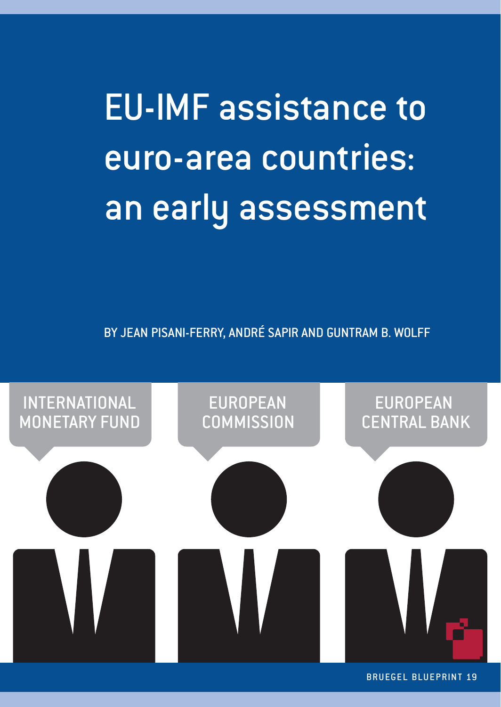**EU-IMF assistance to** euro-area countries: euro-area compositions.<br>En earlie accecement an early assessment

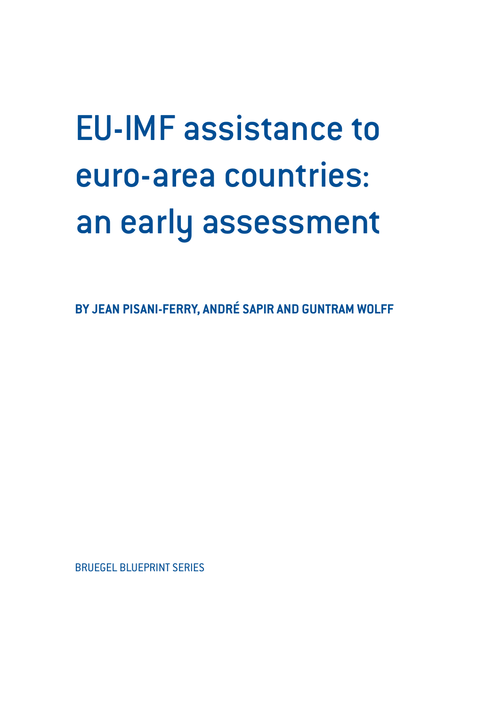# EU-IMF assistance to euro-area countries: an early assessment

**BY JEAN PISANI-FERRY, ANDRÉ SAPIR AND GUNTRAM WOLFF**

BRUEGEL BLUEPRINT SERIES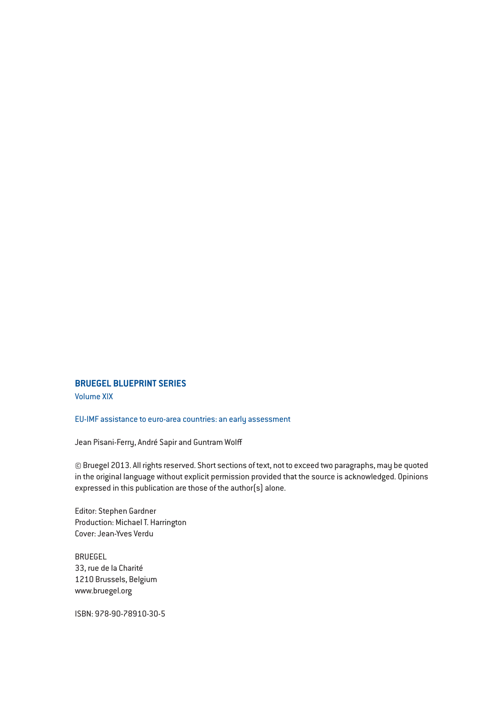#### **BRUEGEL BLUEPRINT SERIES**

Volume XIX

#### EU-IMF assistance to euro-area countries: an early assessment

Jean Pisani-Ferry, André Sapir and Guntram Wolff

© Bruegel 2013. All rights reserved. Short sections of text, not to exceed two paragraphs, may be quoted in the original language without explicit permission provided that the source is acknowledged. Opinions expressed in this publication are those of the author(s) alone.

Editor: Stephen Gardner Production: Michael T. Harrington Cover: Jean-Yves Verdu

BRUEGEL 33, rue de la Charité 1210 Brussels, Belgium www.bruegel.org

ISBN: 978-90-78910-30-5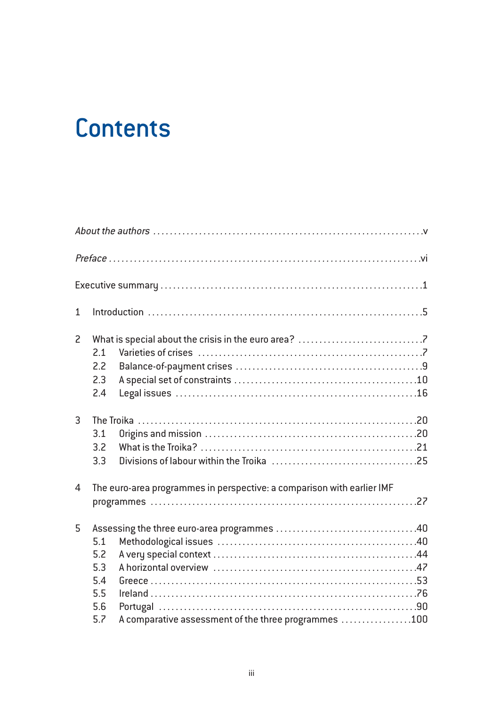# **Contents**

| $\mathbf{1}$   |                                                                        |                                                      |  |
|----------------|------------------------------------------------------------------------|------------------------------------------------------|--|
| $\overline{c}$ | 21<br>2.2                                                              |                                                      |  |
|                | 2.3<br>2.4                                                             |                                                      |  |
| 3              | 3.1<br>3.2<br>3.3                                                      |                                                      |  |
| 4              | The euro-area programmes in perspective: a comparison with earlier IMF |                                                      |  |
| 5              | 5.1<br>5.2<br>5.3<br>5.4<br>5.5<br>5.6<br>5.7                          | A comparative assessment of the three programmes 100 |  |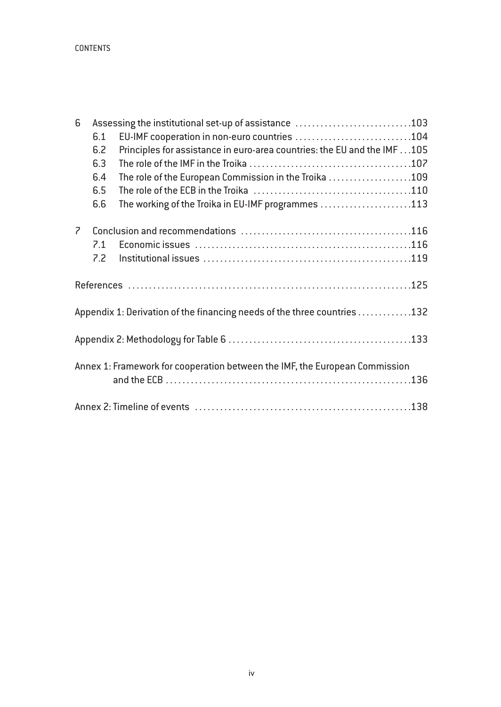CONTENTS

| 6              | Assessing the institutional set-up of assistance 103 |                                                                             |  |  |  |
|----------------|------------------------------------------------------|-----------------------------------------------------------------------------|--|--|--|
|                | 6.1                                                  | EU-IMF cooperation in non-euro countries 104                                |  |  |  |
|                | 6.2                                                  | Principles for assistance in euro-area countries: the EU and the IMF 105    |  |  |  |
|                | 6.3                                                  |                                                                             |  |  |  |
|                | 6.4                                                  | The role of the European Commission in the Troika 109                       |  |  |  |
|                | 6.5                                                  |                                                                             |  |  |  |
|                | 6.6                                                  | The working of the Troika in EU-IMF programmes 113                          |  |  |  |
| $\overline{z}$ |                                                      |                                                                             |  |  |  |
|                | 7.1                                                  |                                                                             |  |  |  |
|                | 7.2                                                  |                                                                             |  |  |  |
|                |                                                      |                                                                             |  |  |  |
|                |                                                      | Appendix 1: Derivation of the financing needs of the three countries 132    |  |  |  |
|                |                                                      |                                                                             |  |  |  |
|                |                                                      | Annex 1: Framework for cooperation between the IMF, the European Commission |  |  |  |
|                |                                                      |                                                                             |  |  |  |
|                |                                                      |                                                                             |  |  |  |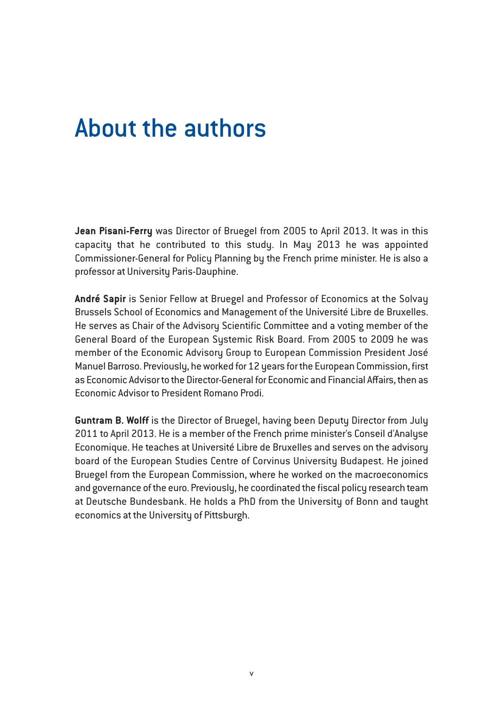## About the authors

**Jean Pisani-Ferry** was Director of Bruegel from 2005 to April 2013. It was in this capacity that he contributed to this study. In May 2013 he was appointed Commissioner-General for Policy Planning by the French prime minister. He is also a professor at University Paris-Dauphine.

**André Sapir** is Senior Fellow at Bruegel and Professor of Economics at the Solvay Brussels School of Economics and Management of the Université Libre de Bruxelles. He serves as Chair of the Advisory Scientific Committee and a voting member of the General Board of the European Systemic Risk Board. From 2005 to 2009 he was member of the Economic Advisory Group to European Commission President José Manuel Barroso. Previously, he worked for 12 years for the European Commission, first as Economic Advisor to the Director-General for Economic and Financial Affairs, then as Economic Advisor to President Romano Prodi.

**Guntram B. Wolff** is the Director of Bruegel, having been Deputy Director from July 2011 to April 2013. He is a member of the French prime minister's Conseil d'Analyse Economique. He teaches at Université Libre de Bruxelles and serves on the advisory board of the European Studies Centre of Corvinus University Budapest. He joined Bruegel from the European Commission, where he worked on the macroeconomics and governance of the euro. Previously, he coordinated the fiscal policy research team at Deutsche Bundesbank. He holds a PhD from the University of Bonn and taught economics at the University of Pittsburgh.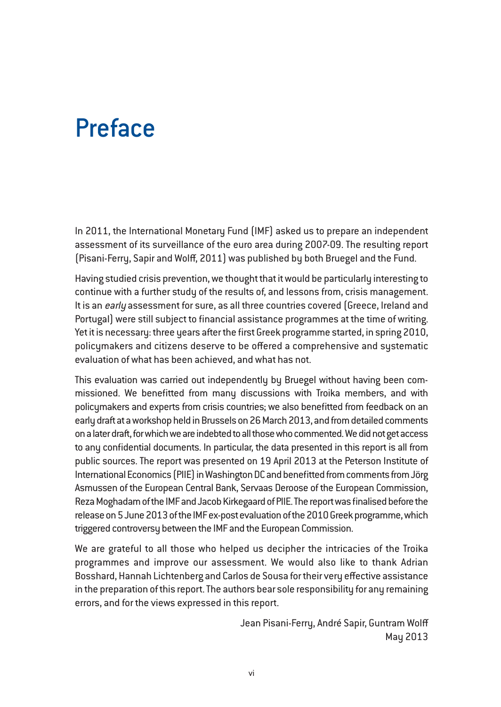### Preface

In 2011, the International Monetary Fund (IMF) asked us to prepare an independent assessment of its surveillance of the euro area during 2007-09. The resulting report (Pisani-Ferry, Sapir and Wolff, 2011) was published by both Bruegel and the Fund.

Having studied crisis prevention, we thought that it would be particularly interesting to continue with a further study of the results of, and lessons from, crisis management. It is an early assessment for sure, as all three countries covered (Greece, Ireland and Portugal) were still subject to financial assistance programmes at the time of writing. Yet it is necessary: three years after the first Greek programme started, in spring 2010, policymakers and citizens deserve to be offered a comprehensive and systematic evaluation of what has been achieved, and what has not.

This evaluation was carried out independently by Bruegel without having been commissioned. We benefitted from many discussions with Troika members, and with policymakers and experts from crisis countries; we also benefitted from feedback on an early draft at a workshop held in Brussels on 26 March 2013, and from detailed comments on a later draft, for which we are indebted to all those who commented. We did not get access to any confidential documents. In particular, the data presented in this report is all from public sources. The report was presented on 19 April 2013 at the Peterson Institute of International Economics (PIIE) in Washington DC and benefitted from comments from Jörg Asmussen of the European Central Bank, Servaas Deroose of the European Commission, Reza Moghadam of the IMF and Jacob Kirkegaard of PIIE. The report was finalised before the release on 5 June 2013 of the IMF ex-post evaluation of the 2010 Greek programme, which triggered controversy between the IMF and the European Commission.

We are grateful to all those who helped us decipher the intricacies of the Troika programmes and improve our assessment. We would also like to thank Adrian Bosshard, Hannah Lichtenberg and Carlos de Sousa for their very effective assistance in the preparation of this report. The authors bear sole responsibility for any remaining errors, and for the views expressed in this report.

> Jean Pisani-Ferry, André Sapir, Guntram Wolff May 2013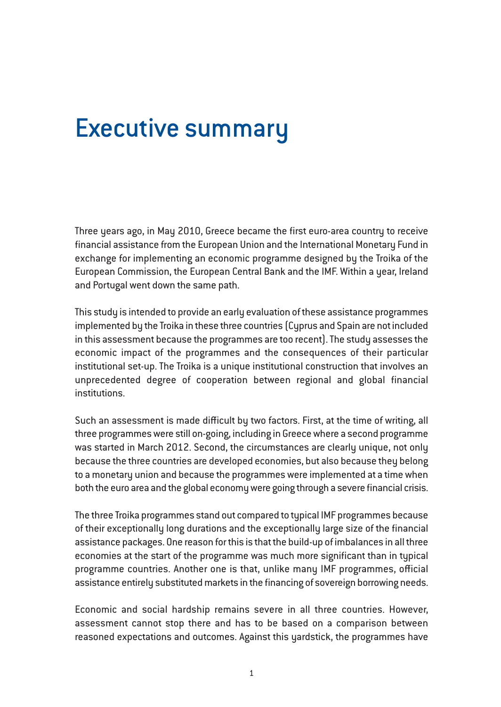## Executive summary

Three years ago, in May 2010, Greece became the first euro-area country to receive financial assistance from the European Union and the International Monetary Fund in exchange for implementing an economic programme designed by the Troika of the European Commission, the European Central Bank and the IMF. Within a year, Ireland and Portugal went down the same path.

This study is intended to provide an early evaluation of these assistance programmes implemented by the Troika in these three countries (Cyprus and Spain are not included in this assessment because the programmes are too recent). The study assesses the economic impact of the programmes and the consequences of their particular institutional set-up. The Troika is a unique institutional construction that involves an unprecedented degree of cooperation between regional and global financial institutions.

Such an assessment is made difficult by two factors. First, at the time of writing, all three programmes were still on-going, including in Greece where a second programme was started in March 2012. Second, the circumstances are clearly unique, not only because the three countries are developed economies, but also because they belong to a monetary union and because the programmes were implemented at a time when both the euro area and the global economy were going through a severe financial crisis.

The three Troika programmes stand out compared to typical IMF programmes because of their exceptionally long durations and the exceptionally large size of the financial assistance packages. One reason for this is that the build-up of imbalances in all three economies at the start of the programme was much more significant than in typical programme countries. Another one is that, unlike many IMF programmes, official assistance entirely substituted markets in the financing of sovereign borrowing needs.

Economic and social hardship remains severe in all three countries. However, assessment cannot stop there and has to be based on a comparison between reasoned expectations and outcomes. Against this yardstick, the programmes have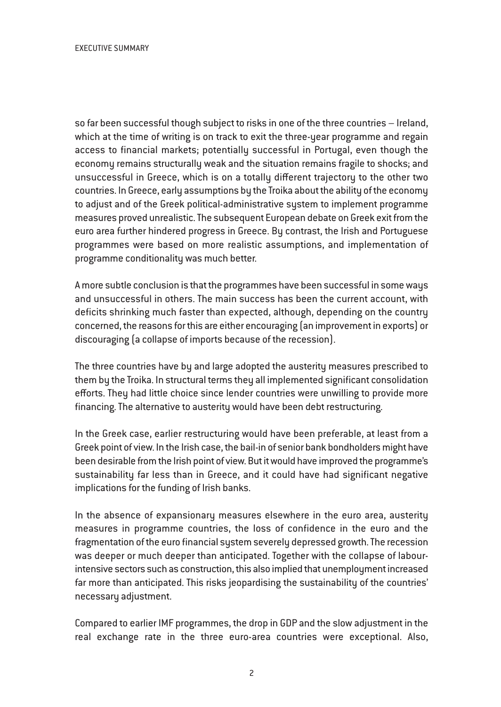so far been successful though subject to risks in one of the three countries – Ireland, which at the time of writing is on track to exit the three-year programme and regain access to financial markets; potentially successful in Portugal, even though the economy remains structurally weak and the situation remains fragile to shocks; and unsuccessful in Greece, which is on a totally different trajectory to the other two countries. In Greece, early assumptions by the Troika about the ability of the economy to adjust and of the Greek political-administrative system to implement programme measures proved unrealistic. The subsequent European debate on Greek exit from the euro area further hindered progress in Greece. By contrast, the Irish and Portuguese programmes were based on more realistic assumptions, and implementation of programme conditionality was much better.

A more subtle conclusion is that the programmes have been successful in some ways and unsuccessful in others. The main success has been the current account, with deficits shrinking much faster than expected, although, depending on the country concerned, the reasons for this are either encouraging (an improvement in exports) or discouraging (a collapse of imports because of the recession).

The three countries have by and large adopted the austerity measures prescribed to them by the Troika. In structural terms they all implemented significant consolidation efforts. They had little choice since lender countries were unwilling to provide more financing. The alternative to austerity would have been debt restructuring.

In the Greek case, earlier restructuring would have been preferable, at least from a Greek point of view. In the Irish case, the bail-in of senior bank bondholders might have been desirable from the Irish point of view. But it would have improved the programme's sustainability far less than in Greece, and it could have had significant negative implications for the funding of Irish banks.

In the absence of expansionary measures elsewhere in the euro area, austerity measures in programme countries, the loss of confidence in the euro and the fragmentation of the euro financial system severely depressed growth. The recession was deeper or much deeper than anticipated. Together with the collapse of labourintensive sectors such as construction, this also implied that unemployment increased far more than anticipated. This risks jeopardising the sustainability of the countries' necessary adjustment.

Compared to earlier IMF programmes, the drop in GDP and the slow adjustment in the real exchange rate in the three euro-area countries were exceptional. Also,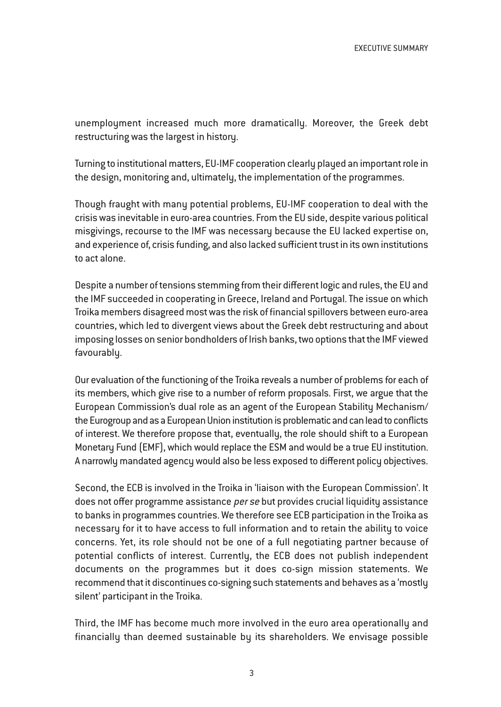unemployment increased much more dramatically. Moreover, the Greek debt restructuring was the largest in history.

Turning to institutional matters, EU-IMF cooperation clearly played an important role in the design, monitoring and, ultimately, the implementation of the programmes.

Though fraught with many potential problems, EU-IMF cooperation to deal with the crisis was inevitable in euro-area countries. From the EU side, despite various political misgivings, recourse to the IMF was necessary because the EU lacked expertise on, and experience of, crisis funding, and also lacked sufficient trust in its own institutions to act alone.

Despite a number of tensions stemming from their different logic and rules, the EU and the IMF succeeded in cooperating in Greece, Ireland and Portugal. The issue on which Troika members disagreed most was the risk of financial spillovers between euro-area countries, which led to divergent views about the Greek debt restructuring and about imposing losses on senior bondholders of Irish banks, two options that the IMF viewed favourably.

Our evaluation of the functioning of the Troika reveals a number of problems for each of its members, which give rise to a number of reform proposals. First, we argue that the European Commission's dual role as an agent of the European Stability Mechanism/ the Eurogroup and as a European Union institution is problematic and can lead to conflicts of interest. We therefore propose that, eventually, the role should shift to a European Monetary Fund (EMF), which would replace the ESM and would be a true EU institution. A narrowly mandated agency would also be less exposed to different policy objectives.

Second, the ECB is involved in the Troika in 'liaison with the European Commission'. It does not offer programme assistance per se but provides crucial liquidity assistance to banks in programmes countries. We therefore see ECB participation in the Troika as necessary for it to have access to full information and to retain the ability to voice concerns. Yet, its role should not be one of a full negotiating partner because of potential conflicts of interest. Currently, the ECB does not publish independent documents on the programmes but it does co-sign mission statements. We recommend that it discontinues co-signing such statements and behaves as a 'mostly silent' participant in the Troika.

Third, the IMF has become much more involved in the euro area operationally and financially than deemed sustainable by its shareholders. We envisage possible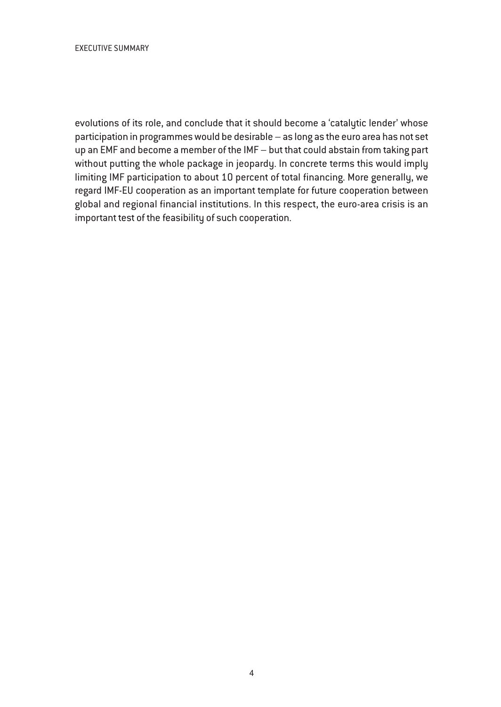evolutions of its role, and conclude that it should become a 'catalytic lender' whose participation in programmes would be desirable – as long as the euro area has not set up an EMF and become a member of the IMF – but that could abstain from taking part without putting the whole package in jeopardy. In concrete terms this would imply limiting IMF participation to about 10 percent of total financing. More generally, we regard IMF-EU cooperation as an important template for future cooperation between global and regional financial institutions. In this respect, the euro-area crisis is an important test of the feasibility of such cooperation.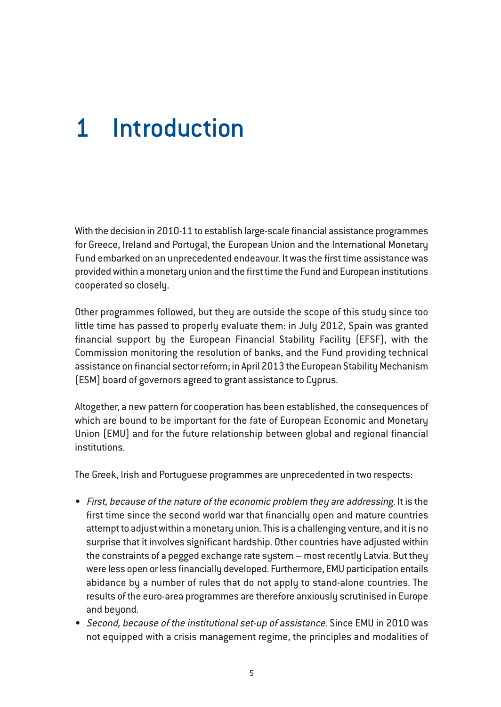# 1 Introduction

With the decision in 2010-11 to establish large-scale financial assistance programmes for Greece, Ireland and Portugal, the European Union and the International Monetary Fund embarked on an unprecedented endeavour. It was the first time assistance was provided within a monetary union and the first time the Fund and European institutions cooperated so closely.

Other programmes followed, but they are outside the scope of this study since too little time has passed to properly evaluate them: in July 2012, Spain was granted financial support by the European Financial Stability Facility (EFSF), with the Commission monitoring the resolution of banks, and the Fund providing technical assistance on financial sector reform; in April 2013 the European Stability Mechanism (ESM) board of governors agreed to grant assistance to Cyprus.

Altogether, a new pattern for cooperation has been established, the consequences of which are bound to be important for the fate of European Economic and Monetary Union (EMU) and for the future relationship between global and regional financial institutions.

The Greek, Irish and Portuguese programmes are unprecedented in two respects:

- First, because of the nature of the economic problem they are addressing. It is the first time since the second world war that financially open and mature countries attempt to adjust within a monetary union. This is a challenging venture, and it is no surprise that it involves significant hardship. Other countries have adjusted within the constraints of a pegged exchange rate system – most recently Latvia. But they were less open or less financially developed. Furthermore, EMU participation entails abidance by a number of rules that do not apply to stand-alone countries. The results of the euro-area programmes are therefore anxiously scrutinised in Europe and beyond.
- Second, because of the institutional set-up of assistance. Since EMU in 2010 was not equipped with a crisis management regime, the principles and modalities of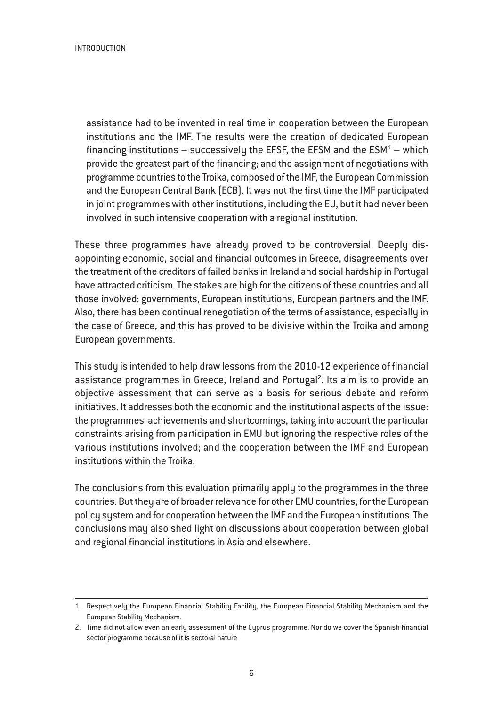**INTRODUCTION** 

assistance had to be invented in real time in cooperation between the European institutions and the IMF. The results were the creation of dedicated European financing institutions – successively the EFSF, the EFSM and the  $ESM^1$  – which provide the greatest part of the financing; and the assignment of negotiations with programme countries to the Troika, composed of the IMF, the European Commission and the European Central Bank (ECB). It was not the first time the IMF participated in joint programmes with other institutions, including the EU, but it had never been involved in such intensive cooperation with a regional institution.

These three programmes have already proved to be controversial. Deeply disappointing economic, social and financial outcomes in Greece, disagreements over the treatment of the creditors of failed banks in Ireland and social hardship in Portugal have attracted criticism. The stakes are high for the citizens of these countries and all those involved: governments, European institutions, European partners and the IMF. Also, there has been continual renegotiation of the terms of assistance, especially in the case of Greece, and this has proved to be divisive within the Troika and among European governments.

This study is intended to help draw lessons from the 2010-12 experience of financial assistance programmes in Greece, Ireland and Portugal<sup>2</sup>. Its aim is to provide an objective assessment that can serve as a basis for serious debate and reform initiatives. It addresses both the economic and the institutional aspects of the issue: the programmes' achievements and shortcomings, taking into account the particular constraints arising from participation in EMU but ignoring the respective roles of the various institutions involved; and the cooperation between the IMF and European institutions within the Troika.

The conclusions from this evaluation primarily apply to the programmes in the three countries. But they are of broader relevance for other EMU countries, for the European policy system and for cooperation between the IMF and the European institutions. The conclusions may also shed light on discussions about cooperation between global and regional financial institutions in Asia and elsewhere.

<sup>1.</sup> Respectively the European Financial Stability Facility, the European Financial Stability Mechanism and the European Stability Mechanism.

<sup>2.</sup> Time did not allow even an early assessment of the Cyprus programme. Nor do we cover the Spanish financial sector programme because of it is sectoral nature.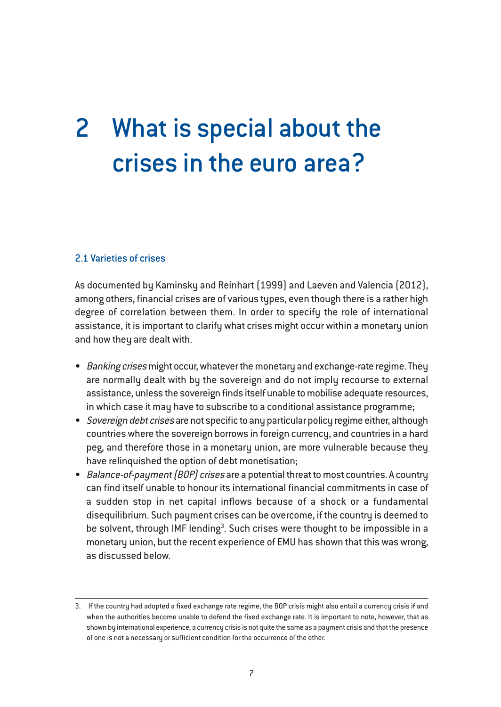# 2 What is special about the crises in the euro area?

#### 2.1 Varieties of crises

As documented by Kaminsky and Reinhart (1999) and Laeven and Valencia (2012), among others, financial crises are of various types, even though there is a rather high degree of correlation between them. In order to specify the role of international assistance, it is important to clarify what crises might occur within a monetary union and how they are dealt with.

- Banking crises might occur, whatever the monetary and exchange-rate regime. They are normally dealt with by the sovereign and do not imply recourse to external assistance, unless the sovereign finds itself unable to mobilise adequate resources, in which case it may have to subscribe to a conditional assistance programme;
- Sovereign debt crises are not specific to any particular policy regime either, although countries where the sovereign borrows in foreign currency, and countries in a hard peg, and therefore those in a monetary union, are more vulnerable because they have relinquished the option of debt monetisation;
- Balance-of-payment (BOP) crises are a potential threat to most countries. A country can find itself unable to honour its international financial commitments in case of a sudden stop in net capital inflows because of a shock or a fundamental disequilibrium. Such payment crises can be overcome, if the country is deemed to be solvent, through IMF lending<sup>3</sup>. Such crises were thought to be impossible in a monetary union, but the recent experience of EMU has shown that this was wrong, as discussed below.

<sup>3.</sup> If the country had adopted a fixed exchange rate regime, the BOP crisis might also entail a currency crisis if and when the authorities become unable to defend the fixed exchange rate. It is important to note, however, that as shown by international experience, a currency crisis is not quite the same as a payment crisis and that the presence of one is not a necessary or sufficient condition for the occurrence of the other.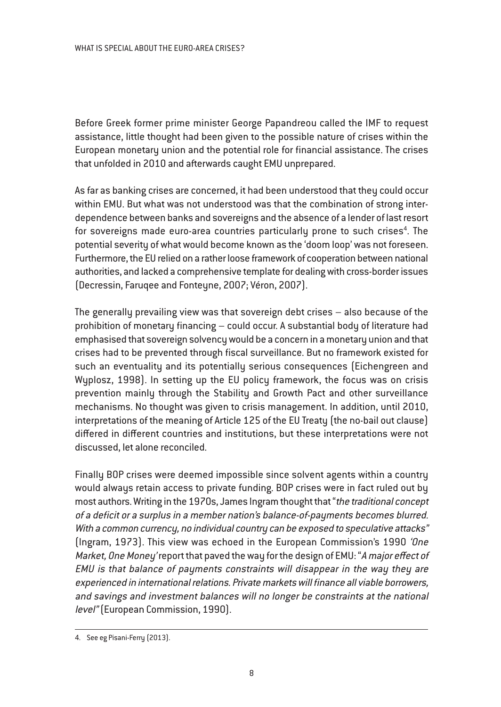Before Greek former prime minister George Papandreou called the IMF to request assistance, little thought had been given to the possible nature of crises within the European monetary union and the potential role for financial assistance. The crises that unfolded in 2010 and afterwards caught EMU unprepared.

As far as banking crises are concerned, it had been understood that they could occur within EMU. But what was not understood was that the combination of strong interdependence between banks and sovereigns and the absence of a lender of last resort for sovereigns made euro-area countries particularly prone to such crises $^4$ . The potential severity of what would become known as the 'doom loop' was not foreseen. Furthermore, the EU relied on a rather loose framework of cooperation between national authorities, and lacked a comprehensive template for dealing with cross-border issues (Decressin, Faruqee and Fonteyne, 2007; Véron, 2007).

The generally prevailing view was that sovereign debt crises – also because of the prohibition of monetary financing – could occur. A substantial body of literature had emphasised that sovereign solvency would be a concern in a monetary union and that crises had to be prevented through fiscal surveillance. But no framework existed for such an eventuality and its potentially serious consequences (Eichengreen and Wyplosz, 1998). In setting up the EU policy framework, the focus was on crisis prevention mainly through the Stability and Growth Pact and other surveillance mechanisms. No thought was given to crisis management. In addition, until 2010, interpretations of the meaning of Article 125 of the EU Treaty (the no-bail out clause) differed in different countries and institutions, but these interpretations were not discussed, let alone reconciled.

Finally BOP crises were deemed impossible since solvent agents within a country would always retain access to private funding. BOP crises were in fact ruled out by most authors. Writing in the 1970s, James Ingram thought that "the traditional concept of <sup>a</sup> deficit or <sup>a</sup> surplus in <sup>a</sup> member nation's balance-of-payments becomes blurred. With a common currency, no individual country can be exposed to speculative attacks" (Ingram, 1973). This view was echoed in the European Commission's 1990 'One Market, One Money' report that paved the way for the design of EMU: "A major effect of EMU is that balance of payments constraints will disappear in the way they are experienced in international relations. Private markets will finance all viable borrowers, and savings and investment balances will no longer be constraints at the national level" (European Commission, 1990).

<sup>4.</sup> See eg Pisani-Ferry (2013).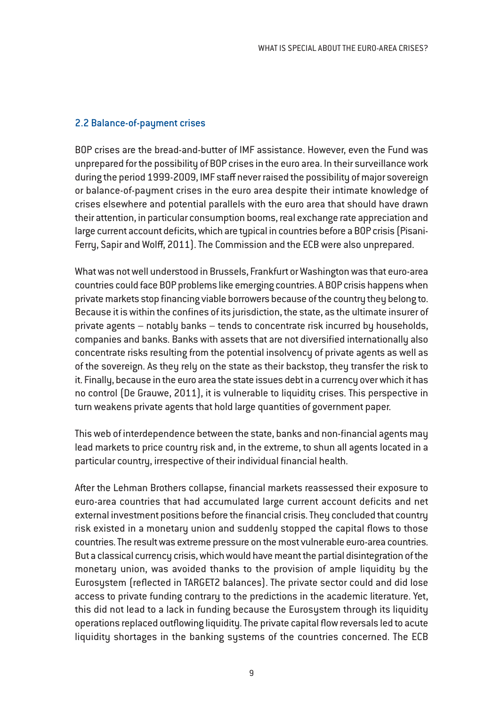#### 2.2 Balance-of-payment crises

BOP crises are the bread-and-butter of IMF assistance. However, even the Fund was unprepared for the possibility of BOP crises in the euro area. In their surveillance work during the period 1999-2009, IMF staff never raised the possibility of major sovereign or balance-of-payment crises in the euro area despite their intimate knowledge of crises elsewhere and potential parallels with the euro area that should have drawn their attention, in particular consumption booms, real exchange rate appreciation and large current account deficits, which are typical in countries before a BOP crisis (Pisani-Ferry, Sapir and Wolff, 2011). The Commission and the ECB were also unprepared.

What was not well understood in Brussels, Frankfurt or Washington was that euro-area countries could face BOP problems like emerging countries. A BOP crisis happens when private markets stop financing viable borrowers because of the country they belong to. Because it is within the confines of its jurisdiction, the state, as the ultimate insurer of private agents – notably banks – tends to concentrate risk incurred by households, companies and banks. Banks with assets that are not diversified internationally also concentrate risks resulting from the potential insolvency of private agents as well as of the sovereign. As they rely on the state as their backstop, they transfer the risk to it. Finally, because in the euro area the state issues debt in a currency over which it has no control (De Grauwe, 2011), it is vulnerable to liquidity crises. This perspective in turn weakens private agents that hold large quantities of government paper.

This web of interdependence between the state, banks and non-financial agents may lead markets to price country risk and, in the extreme, to shun all agents located in a particular country, irrespective of their individual financial health.

After the Lehman Brothers collapse, financial markets reassessed their exposure to euro-area countries that had accumulated large current account deficits and net external investment positions before the financial crisis. They concluded that country risk existed in a monetary union and suddenly stopped the capital flows to those countries. The result was extreme pressure on the most vulnerable euro-area countries. But a classical currency crisis, which would have meant the partial disintegration of the monetary union, was avoided thanks to the provision of ample liquidity by the Eurosystem (reflected in TARGET2 balances). The private sector could and did lose access to private funding contrary to the predictions in the academic literature. Yet, this did not lead to a lack in funding because the Eurosystem through its liquidity operations replaced outflowing liquidity. The private capital flow reversals led to acute liquidity shortages in the banking systems of the countries concerned. The ECB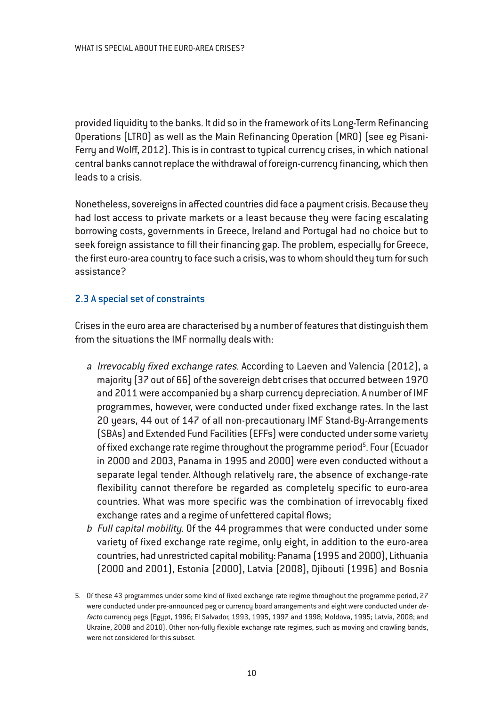provided liquidity to the banks. It did so in the framework of its Long-Term Refinancing Operations (LTRO) as well as the Main Refinancing Operation (MRO) (see eg Pisani-Ferry and Wolff, 2012). This is in contrast to typical currency crises, in which national central banks cannot replace the withdrawal of foreign-currency financing, which then leads to a crisis.

Nonetheless, sovereigns in affected countries did face a payment crisis. Because they had lost access to private markets or a least because they were facing escalating borrowing costs, governments in Greece, Ireland and Portugal had no choice but to seek foreign assistance to fill their financing gap. The problem, especially for Greece, the first euro-area country to face such a crisis, was to whom should they turn for such assistance?

#### 2.3 A special set of constraints

Crises in the euro area are characterised by a number of features that distinguish them from the situations the IMF normally deals with:

- <sup>a</sup> Irrevocably fixed exchange rates. According to Laeven and Valencia (2012), a majority (37 out of 66) of the sovereign debt crises that occurred between 1970 and 2011 were accompanied by a sharp currency depreciation. A number of IMF programmes, however, were conducted under fixed exchange rates. In the last 20 years, 44 out of 147 of all non-precautionary IMF Stand-By-Arrangements (SBAs) and Extended Fund Facilities (EFFs) were conducted under some variety of fixed exchange rate regime throughout the programme period<sup>5</sup>. Four (Ecuador in 2000 and 2003, Panama in 1995 and 2000) were even conducted without a separate legal tender. Although relatively rare, the absence of exchange-rate flexibility cannot therefore be regarded as completely specific to euro-area countries. What was more specific was the combination of irrevocably fixed exchange rates and a regime of unfettered capital flows;
- <sup>b</sup> Full capital mobility. Of the 44 programmes that were conducted under some variety of fixed exchange rate regime, only eight, in addition to the euro-area countries, had unrestricted capital mobility: Panama (1995 and 2000), Lithuania (2000 and 2001), Estonia (2000), Latvia (2008), Djibouti (1996) and Bosnia

<sup>5.</sup> Of these 43 programmes under some kind of fixed exchange rate regime throughout the programme period, 27 were conducted under pre-announced peg or currency board arrangements and eight were conducted under defacto currency pegs (Egypt, 1996; El Salvador, 1993, 1995, 1997 and 1998; Moldova, 1995; Latvia, 2008; and Ukraine, 2008 and 2010). Other non-fully flexible exchange rate regimes, such as moving and crawling bands, were not considered for this subset.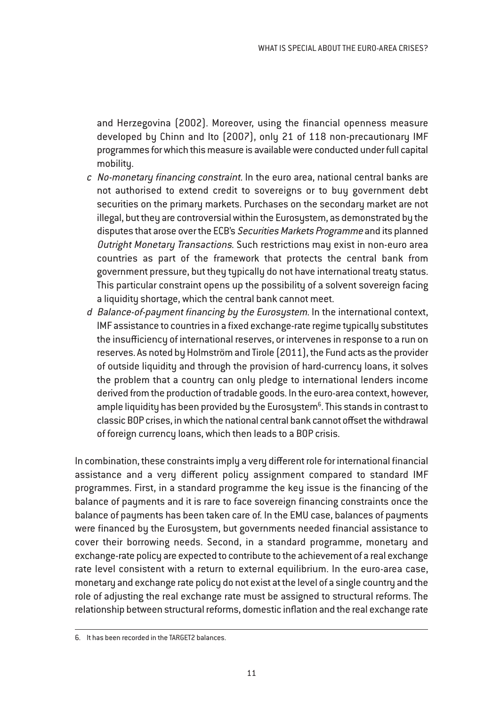and Herzegovina (2002). Moreover, using the financial openness measure developed by Chinn and Ito (2007), only 21 of 118 non-precautionary IMF programmes for which this measure is available were conducted under full capital mobility.

- <sup>c</sup> No-monetary financing constraint. In the euro area, national central banks are not authorised to extend credit to sovereigns or to buy government debt securities on the primary markets. Purchases on the secondary market are not illegal, but they are controversial within the Eurosystem, as demonstrated by the disputes that arose over the ECB's Securities Markets Programme and its planned Outright Monetary Transactions. Such restrictions may exist in non-euro area countries as part of the framework that protects the central bank from government pressure, but they typically do not have international treaty status. This particular constraint opens up the possibility of a solvent sovereign facing a liquidity shortage, which the central bank cannot meet.
- <sup>d</sup> Balance-of-payment financing by the Eurosystem. In the international context, IMF assistance to countries in a fixed exchange-rate regime typically substitutes the insufficiency of international reserves, or intervenes in response to a run on reserves. As noted by Holmström and Tirole (2011), the Fund acts as the provider of outside liquidity and through the provision of hard-currency loans, it solves the problem that a country can only pledge to international lenders income derived from the production of tradable goods. In the euro-area context, however, ample liquidity has been provided by the Eurosystem $^6$ . This stands in contrast to classic BOP crises, in which the national central bank cannot offset the withdrawal of foreign currency loans, which then leads to a BOP crisis.

In combination, these constraints imply a very different role for international financial assistance and a very different policy assignment compared to standard IMF programmes. First, in a standard programme the key issue is the financing of the balance of payments and it is rare to face sovereign financing constraints once the balance of payments has been taken care of. In the EMU case, balances of payments were financed by the Eurosystem, but governments needed financial assistance to cover their borrowing needs. Second, in a standard programme, monetary and exchange-rate policy are expected to contribute to the achievement of a real exchange rate level consistent with a return to external equilibrium. In the euro-area case, monetary and exchange rate policy do not exist at the level of a single country and the role of adjusting the real exchange rate must be assigned to structural reforms. The relationship between structural reforms, domestic inflation and the real exchange rate

<sup>6.</sup> It has been recorded in the TARGET2 balances.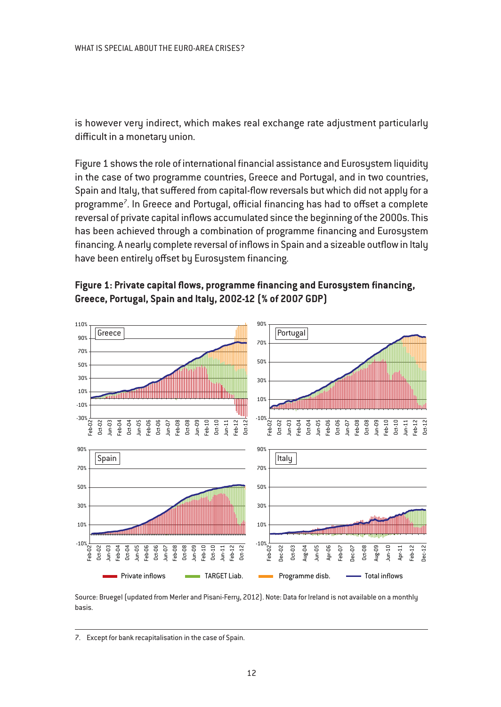is however very indirect, which makes real exchange rate adjustment particularly difficult in a monetary union.

Figure 1 shows the role of international financial assistance and Eurosystem liquidity in the case of two programme countries, Greece and Portugal, and in two countries, Spain and Italy, that suffered from capital-flow reversals but which did not apply for a programme<sup>7</sup>. In Greece and Portugal, official financing has had to offset a complete reversal of private capital inflows accumulated since the beginning of the 2000s. This has been achieved through a combination of programme financing and Eurosystem financing. A nearly complete reversal of inflows in Spain and a sizeable outflow in Italy have been entirely offset by Eurosystem financing.





Source: Bruegel (updated from Merler and Pisani-Ferry, 2012). Note: Data for Ireland is not available on a monthly basis.

<sup>7.</sup> Except for bank recapitalisation in the case of Spain.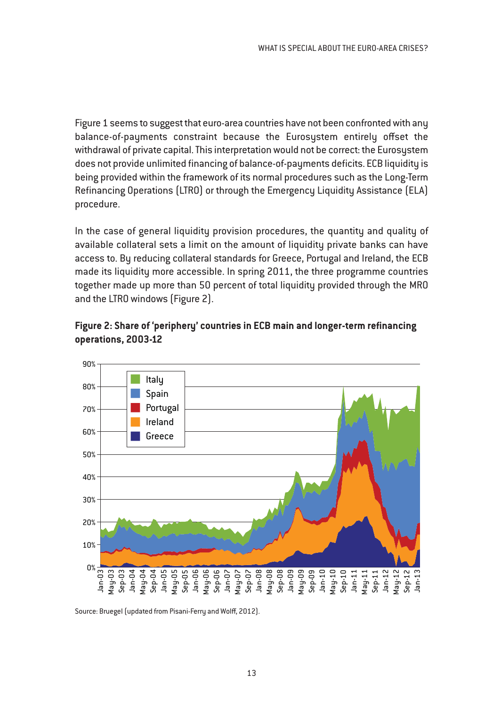Figure 1 seems to suggest that euro-area countries have not been confronted with any balance-of-payments constraint because the Eurosystem entirely offset the withdrawal of private capital. This interpretation would not be correct: the Eurosystem does not provide unlimited financing of balance-of-payments deficits. ECB liquidity is being provided within the framework of its normal procedures such as the Long-Term Refinancing Operations (LTRO) or through the Emergency Liquidity Assistance (ELA) procedure.

In the case of general liquidity provision procedures, the quantity and quality of available collateral sets a limit on the amount of liquidity private banks can have access to. By reducing collateral standards for Greece, Portugal and Ireland, the ECB made its liquidity more accessible. In spring 2011, the three programme countries together made up more than 50 percent of total liquidity provided through the MRO and the LTRO windows (Figure 2).



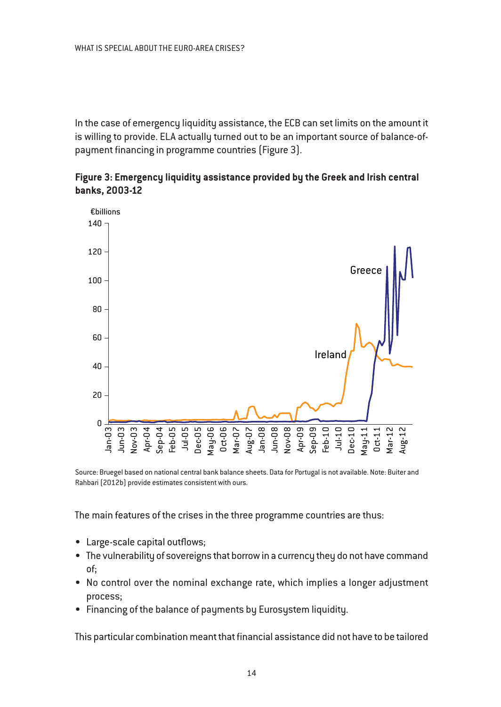In the case of emergency liquidity assistance, the ECB can set limits on the amount it is willing to provide. ELA actually turned out to be an important source of balance-ofpayment financing in programme countries (Figure 3).





Source: Bruegel based on national central bank balance sheets. Data for Portugal is not available. Note: Buiter and Rahbari (2012b) provide estimates consistent with ours.

The main features of the crises in the three programme countries are thus:

- Large-scale capital outflows;
- The vulnerability of sovereigns that borrow in a currency they do not have command of;
- No control over the nominal exchange rate, which implies a longer adjustment process;
- Financing of the balance of payments by Eurosystem liquidity.

This particular combination meant that financial assistance did not have to be tailored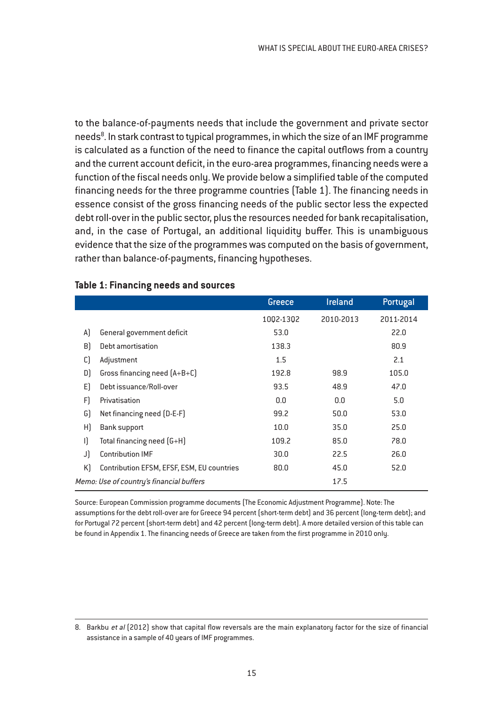to the balance-of-payments needs that include the government and private sector needs<sup>8</sup>. In stark contrast to typical programmes, in which the size of an IMF programme is calculated as a function of the need to finance the capital outflows from a country and the current account deficit, in the euro-area programmes, financing needs were a function of the fiscal needs only. We provide below a simplified table of the computed financing needs for the three programme countries (Table 1). The financing needs in essence consist of the gross financing needs of the public sector less the expected debt roll-over in the public sector, plus the resources needed for bank recapitalisation, and, in the case of Portugal, an additional liquidity buffer. This is unambiguous evidence that the size of the programmes was computed on the basis of government, rather than balance-of-payments, financing hypotheses.

|              |                                            | Greece    | <b>Ireland</b> | Portugal  |
|--------------|--------------------------------------------|-----------|----------------|-----------|
|              |                                            | 1002-1302 | 2010-2013      | 2011-2014 |
| A)           | General government deficit                 | 53.0      |                | 22.0      |
| B)           | Debt amortisation                          | 138.3     |                | 80.9      |
| $\mathsf{C}$ | Adjustment                                 | 1.5       |                | 2.1       |
| D)           | Gross financing need $[A+B+C]$             | 192.8     | 98.9           | 105.0     |
| E)           | Debt issuance/Roll-over                    | 93.5      | 48.9           | 47.0      |
| F)           | Privatisation                              | 0.0       | 0.0            | 5.0       |
| G)           | Net financing need (D-E-F)                 | 99.2      | 50.0           | 53.0      |
| H)           | <b>Bank support</b>                        | 10.0      | 35.0           | 25.0      |
| $\mathsf{I}$ | Total financing need (G+H)                 | 109.2     | 85.0           | 78.0      |
| J)           | <b>Contribution IMF</b>                    | 30.0      | 22.5           | 26.0      |
| K)           | Contribution EFSM, EFSF, ESM, EU countries | 80.0      | 45.0           | 52.0      |
|              | Memo: Use of country's financial buffers   |           | 17.5           |           |

#### **Table 1: Financing needs and sources**

Source: European Commission programme documents (The Economic Adjustment Programme). Note: The assumptions for the debt roll-over are for Greece 94 percent (short-term debt) and 36 percent (long-term debt); and for Portugal 72 percent (short-term debt) and 42 percent (long-term debt). A more detailed version of this table can be found in Appendix 1. The financing needs of Greece are taken from the first programme in 2010 only.

<sup>8.</sup> Barkbu et al (2012) show that capital flow reversals are the main explanatory factor for the size of financial assistance in a sample of 40 years of IMF programmes.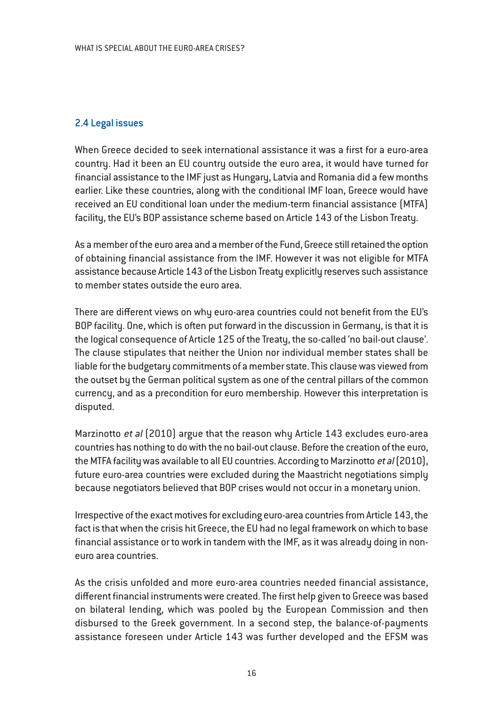#### 2.4 Legal issues

When Greece decided to seek international assistance it was a first for a euro-area country. Had it been an EU country outside the euro area, it would have turned for financial assistance to the IMF just as Hungary, Latvia and Romania did a few months earlier. Like these countries, along with the conditional IMF loan, Greece would have received an EU conditional loan under the medium-term financial assistance (MTFA) facility, the EU's BOP assistance scheme based on Article 143 of the Lisbon Treaty.

As a member of the euro area and a member of the Fund, Greece still retained the option of obtaining financial assistance from the IMF. However it was not eligible for MTFA assistance because Article 143 of the Lisbon Treaty explicitly reserves such assistance to member states outside the euro area.

There are different views on why euro-area countries could not benefit from the EU's BOP facility. One, which is often put forward in the discussion in Germany, is that it is the logical consequence of Article 125 of the Treaty, the so-called 'no bail-out clause'. The clause stipulates that neither the Union nor individual member states shall be liable for the budgetary commitments of a member state. This clause was viewed from the outset by the German political system as one of the central pillars of the common currency, and as a precondition for euro membership. However this interpretation is disputed.

Marzinotto et al (2010) argue that the reason why Article 143 excludes euro-area countries has nothing to do with the no bail-out clause. Before the creation of the euro, the MTFA facility was available to all EU countries. According to Marzinotto et al  $(2010)$ , future euro-area countries were excluded during the Maastricht negotiations simply because negotiators believed that BOP crises would not occur in a monetary union.

Irrespective of the exact motives for excluding euro-area countries from Article 143, the fact is that when the crisis hit Greece, the EU had no legal framework on which to base financial assistance or to work in tandem with the IMF, as it was already doing in noneuro area countries.

As the crisis unfolded and more euro-area countries needed financial assistance, different financial instruments were created. The first help given to Greece was based on bilateral lending, which was pooled by the European Commission and then disbursed to the Greek government. In a second step, the balance-of-payments assistance foreseen under Article 143 was further developed and the EFSM was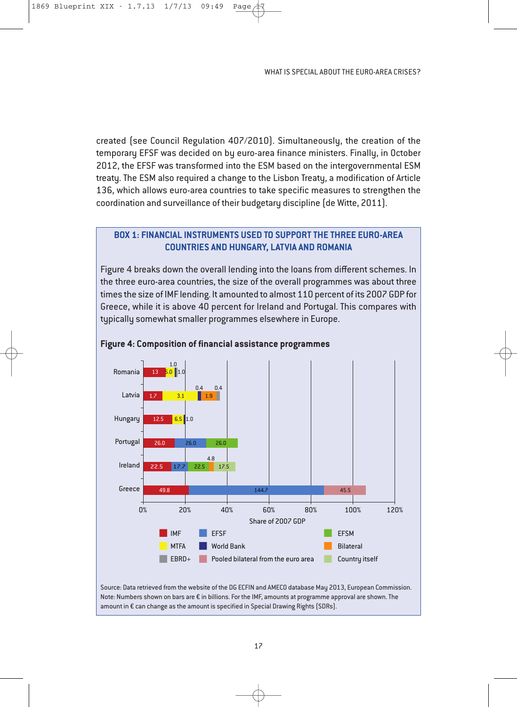created (see Council Regulation 407/2010). Simultaneously, the creation of the temporary EFSF was decided on by euro-area finance ministers. Finally, in October 2012, the EFSF was transformed into the ESM based on the intergovernmental ESM treaty. The ESM also required a change to the Lisbon Treaty, a modification of Article 136, which allows euro-area countries to take specific measures to strengthen the coordination and surveillance of their budgetary discipline (de Witte, 2011).

#### **Box 1: FinanCial instruments used to suPPort the three euro-area Countries and hunGary, latvia and romania**

Figure 4 breaks down the overall lending into the loans from different schemes. In the three euro-area countries, the size of the overall programmes was about three times the size of IMF lending. It amounted to almost 110 percent of its 2007 GDP for Greece, while it is above 40 percent for Ireland and Portugal. This compares with typically somewhat smaller programmes elsewhere in Europe.



#### **Figure 4: Composition of financial assistance programmes**

Source: Data retrieved from the website of the DG ECFIN and AMECO database May 2013, European Commission. Note: Numbers shown on bars are € in billions. For the IMF, amounts at programme approval are shown. The amount in € can change as the amount is specified in Special Drawing Rights (SDRs).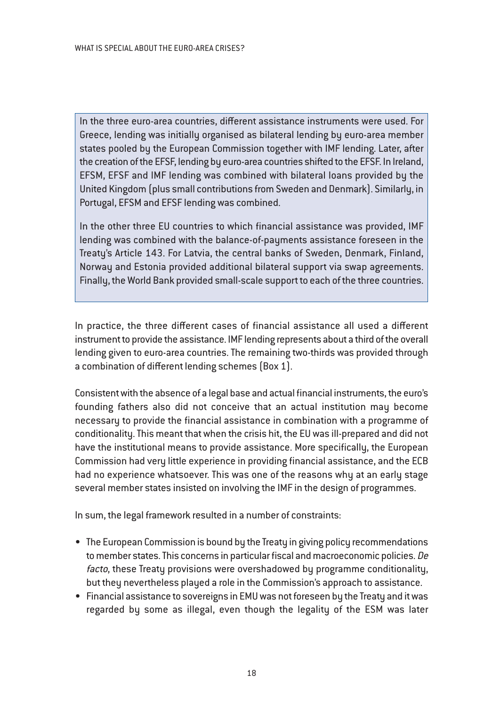In the three euro-area countries, different assistance instruments were used. For Greece, lending was initially organised as bilateral lending by euro-area member states pooled by the European Commission together with IMF lending. Later, after the creation of the EFSF, lending by euro-area countries shifted to the EFSF. In Ireland, EFSM, EFSF and IMF lending was combined with bilateral loans provided by the United Kingdom (plus small contributions from Sweden and Denmark). Similarly, in Portugal, EFSM and EFSF lending was combined.

In the other three EU countries to which financial assistance was provided, IMF lending was combined with the balance-of-payments assistance foreseen in the Treaty's Article 143. For Latvia, the central banks of Sweden, Denmark, Finland, Norway and Estonia provided additional bilateral support via swap agreements. Finally, the World Bank provided small-scale support to each of the three countries.

In practice, the three different cases of financial assistance all used a different instrument to provide the assistance. IMF lending represents about a third of the overall lending given to euro-area countries. The remaining two-thirds was provided through a combination of different lending schemes (Box 1).

Consistent with the absence of a legal base and actual financial instruments, the euro's founding fathers also did not conceive that an actual institution may become necessary to provide the financial assistance in combination with a programme of conditionality. This meant that when the crisis hit, the EU was ill-prepared and did not have the institutional means to provide assistance. More specifically, the European Commission had very little experience in providing financial assistance, and the ECB had no experience whatsoever. This was one of the reasons why at an early stage several member states insisted on involving the IMF in the design of programmes.

In sum, the legal framework resulted in a number of constraints:

- The European Commission is bound by the Treaty in giving policy recommendations to member states. This concerns in particular fiscal and macroeconomic policies. De facto, these Treaty provisions were overshadowed by programme conditionality, but they nevertheless played a role in the Commission's approach to assistance.
- Financial assistance to sovereigns in EMU was not foreseen by the Treaty and it was regarded by some as illegal, even though the legality of the ESM was later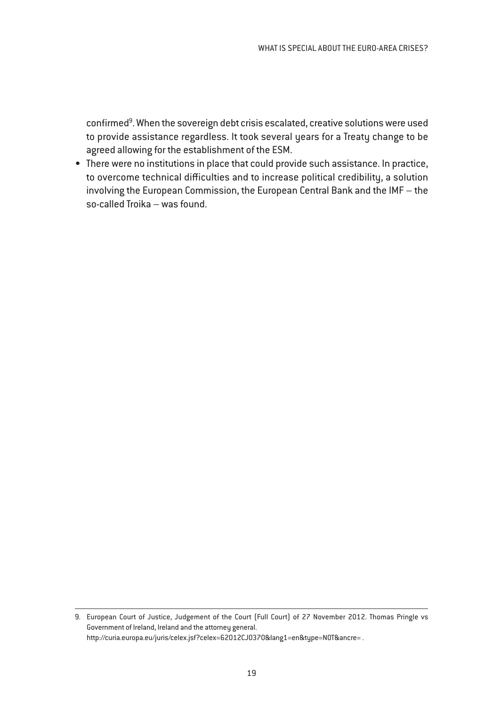confirmed<sup>9</sup>. When the sovereign debt crisis escalated, creative solutions were used to provide assistance regardless. It took several years for a Treaty change to be agreed allowing for the establishment of the ESM.

• There were no institutions in place that could provide such assistance. In practice, to overcome technical difficulties and to increase political credibility, a solution involving the European Commission, the European Central Bank and the IMF – the so-called Troika – was found.

<sup>9.</sup> European Court of Justice, Judgement of the Court (Full Court) of 27 November 2012. Thomas Pringle vs Government of Ireland, Ireland and the attorney general. http://curia.europa.eu/juris/celex.jsf?celex=62012CJ0370&lang1=en&type=NOT&ancre= .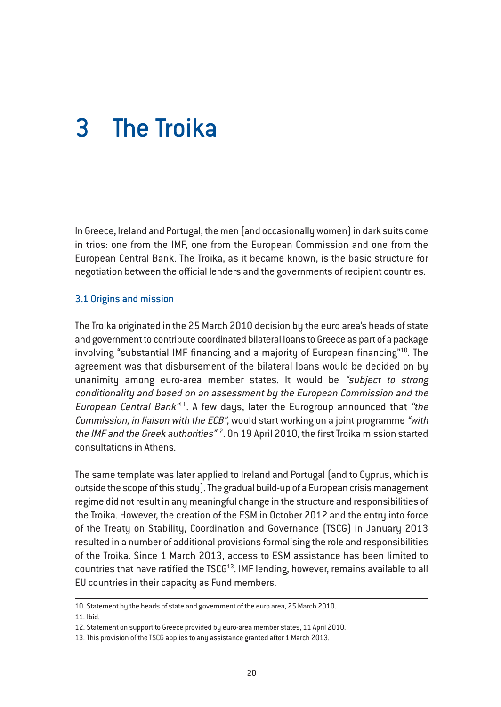# 3 The Troika

In Greece, Ireland and Portugal, the men (and occasionally women) in dark suits come in trios: one from the IMF, one from the European Commission and one from the European Central Bank. The Troika, as it became known, is the basic structure for negotiation between the official lenders and the governments of recipient countries.

#### 3.1 Origins and mission

The Troika originated in the 25 March 2010 decision by the euro area's heads of state and government to contribute coordinated bilateral loans to Greece as part of a package involving "substantial IMF financing and a majority of European financing"10. The agreement was that disbursement of the bilateral loans would be decided on by unanimity among euro-area member states. It would be "subject to strong conditionality and based on an assessment by the European Commission and the European Central Bank<sup> $n/1$ </sup>. A few days, later the Eurogroup announced that "the Commission, in liaison with the ECB", would start working on a joint programme "with the IMF and the Greek authorities<sup>"12</sup>. On 19 April 2010, the first Troika mission started consultations in Athens.

The same template was later applied to Ireland and Portugal (and to Cyprus, which is outside the scope of this study). The gradual build-up of a European crisis management regime did not result in any meaningful change in the structure and responsibilities of the Troika. However, the creation of the ESM in October 2012 and the entry into force of the Treaty on Stability, Coordination and Governance (TSCG) in January 2013 resulted in a number of additional provisions formalising the role and responsibilities of the Troika. Since 1 March 2013, access to ESM assistance has been limited to countries that have ratified the  $TSCG<sup>13</sup>$ . IMF lending, however, remains available to all EU countries in their capacity as Fund members.

<sup>10.</sup> Statement by the heads of state and government of the euro area, 25 March 2010.

<sup>11.</sup> Ibid.

<sup>12.</sup> Statement on support to Greece provided by euro-area member states, 11 April 2010.

<sup>13.</sup> This provision of the TSCG applies to any assistance granted after 1 March 2013.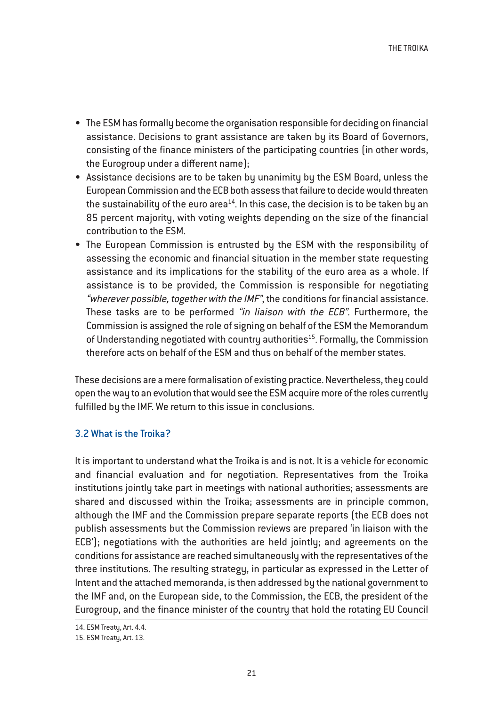- The ESM has formally become the organisation responsible for deciding on financial assistance. Decisions to grant assistance are taken by its Board of Governors, consisting of the finance ministers of the participating countries (in other words, the Eurogroup under a different name);
- Assistance decisions are to be taken by unanimity by the ESM Board, unless the European Commission and the ECB both assess that failure to decide would threaten the sustainability of the euro area<sup>14</sup>. In this case, the decision is to be taken by an 85 percent majority, with voting weights depending on the size of the financial contribution to the ESM.
- The European Commission is entrusted by the ESM with the responsibility of assessing the economic and financial situation in the member state requesting assistance and its implications for the stability of the euro area as a whole. If assistance is to be provided, the Commission is responsible for negotiating "wherever possible, together with the IMF", the conditions for financial assistance. These tasks are to be performed "in liaison with the ECB". Furthermore, the Commission is assigned the role of signing on behalf of the ESM the Memorandum of Understanding negotiated with country authorities<sup>15</sup>. Formally, the Commission therefore acts on behalf of the ESM and thus on behalf of the member states.

These decisions are a mere formalisation of existing practice. Nevertheless, they could open the way to an evolution that would see the ESM acquire more of the roles currently fulfilled by the IMF. We return to this issue in conclusions.

#### 3.2 What is the Troika?

It is important to understand what the Troika is and is not. It is a vehicle for economic and financial evaluation and for negotiation. Representatives from the Troika institutions jointly take part in meetings with national authorities; assessments are shared and discussed within the Troika; assessments are in principle common, although the IMF and the Commission prepare separate reports (the ECB does not publish assessments but the Commission reviews are prepared 'in liaison with the ECB'); negotiations with the authorities are held jointly; and agreements on the conditions for assistance are reached simultaneously with the representatives of the three institutions. The resulting strategy, in particular as expressed in the Letter of Intent and the attached memoranda, is then addressed by the national government to the IMF and, on the European side, to the Commission, the ECB, the president of the Eurogroup, and the finance minister of the country that hold the rotating EU Council

<sup>14.</sup> ESM Treaty, Art. 4.4.

<sup>15.</sup> ESM Treaty, Art. 13.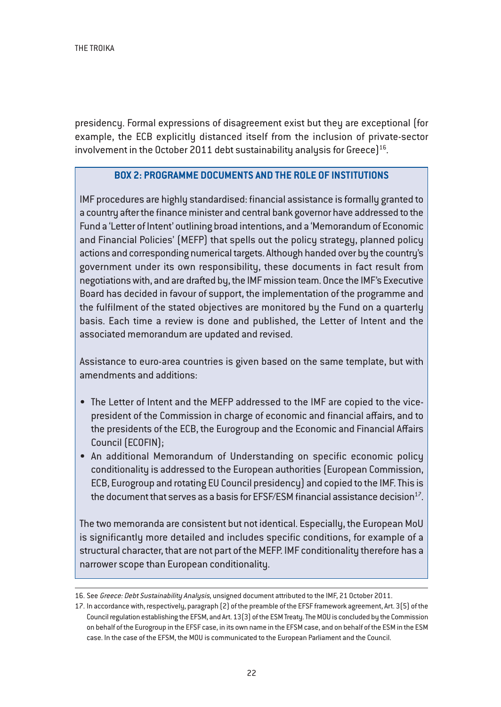presidency. Formal expressions of disagreement exist but they are exceptional (for example, the ECB explicitly distanced itself from the inclusion of private-sector involvement in the October 2011 debt sustainability analysis for Greece $]^{16}$ .

#### **BOX 2: PROGRAMME DOCUMENTS AND THE ROLE OF INSTITUTIONS**

IMF procedures are highly standardised: financial assistance is formally granted to a country after the finance minister and central bank governor have addressed to the Fund a 'Letter of Intent' outlining broad intentions, and a 'Memorandum of Economic and Financial Policies' (MEFP) that spells out the policy strategy, planned policy actions and corresponding numerical targets. Although handed over by the country's government under its own responsibility, these documents in fact result from negotiations with, and are drafted by, the IMF mission team. Once the IMF's Executive Board has decided in favour of support, the implementation of the programme and the fulfilment of the stated objectives are monitored by the Fund on a quarterly basis. Each time a review is done and published, the Letter of Intent and the associated memorandum are updated and revised.

Assistance to euro-area countries is given based on the same template, but with amendments and additions:

- The Letter of Intent and the MEFP addressed to the IMF are copied to the vicepresident of the Commission in charge of economic and financial affairs, and to the presidents of the ECB, the Eurogroup and the Economic and Financial Affairs Council (ECOFIN);
- An additional Memorandum of Understanding on specific economic policy conditionality is addressed to the European authorities (European Commission, ECB, Eurogroup and rotating EU Council presidency) and copied to the IMF. This is the document that serves as a basis for EFSF/ESM financial assistance decision $^{17}$ .

The two memoranda are consistent but not identical. Especially, the European MoU is significantly more detailed and includes specific conditions, for example of a structural character, that are not part of the MEFP. IMF conditionality therefore has a narrower scope than European conditionality.

<sup>16.</sup> See Greece: Debt Sustainability Analysis, unsigned document attributed to the IMF, 21 October 2011.

<sup>17.</sup> In accordance with, respectively, paragraph (2) of the preamble of the EFSF framework agreement, Art. 3(5) of the Council regulation establishing the EFSM, and Art. 13(3) of the ESM Treaty. The MOU is concluded by the Commission on behalf of the Eurogroup in the EFSF case, in its own name in the EFSM case, and on behalf of the ESM in the ESM case. In the case of the EFSM, the MOU is communicated to the European Parliament and the Council.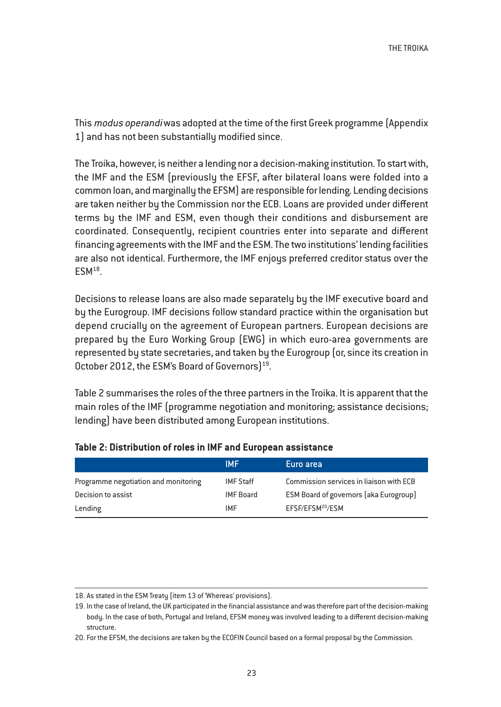This modus operandi was adopted at the time of the first Greek programme (Appendix 1) and has not been substantially modified since.

The Troika, however, is neither a lending nor a decision-making institution. To start with, the IMF and the ESM (previously the EFSF, after bilateral loans were folded into a common loan, and marginally the EFSM) are responsible for lending. Lending decisions are taken neither by the Commission nor the ECB. Loans are provided under different terms by the IMF and ESM, even though their conditions and disbursement are coordinated. Consequently, recipient countries enter into separate and different financing agreements with the IMF and the ESM. The two institutions' lending facilities are also not identical. Furthermore, the IMF enjoys preferred creditor status over the  $ESM<sup>18</sup>$ .

Decisions to release loans are also made separately by the IMF executive board and by the Eurogroup. IMF decisions follow standard practice within the organisation but depend crucially on the agreement of European partners. European decisions are prepared by the Euro Working Group (EWG) in which euro-area governments are represented by state secretaries, and taken by the Eurogroup (or, since its creation in October 2012, the ESM's Board of Governors)<sup>19</sup>.

Table 2 summarises the roles of the three partners in the Troika. It is apparent that the main roles of the IMF (programme negotiation and monitoring; assistance decisions; lending) have been distributed among European institutions.

|                                      | <b>IMF</b>       | Euro area                                     |
|--------------------------------------|------------------|-----------------------------------------------|
| Programme negotiation and monitoring | <b>IMF</b> Staff | Commission services in liaison with ECB       |
| Decision to assist                   | IMF Board        | <b>ESM Board of governors (aka Eurogroup)</b> |
| Lending                              | <b>IMF</b>       | EFSF/EFSM <sup>20</sup> /ESM                  |

#### **Table 2: Distribution of roles in IMF and European assistance**

<sup>18.</sup> As stated in the ESM Treaty (item 13 of 'Whereas' provisions).

<sup>19.</sup> In the case of Ireland, the UK participated in the financial assistance and was therefore part of the decision-making body. In the case of both, Portugal and Ireland, EFSM money was involved leading to a different decision-making structure.

<sup>20.</sup> For the EFSM, the decisions are taken by the ECOFIN Council based on a formal proposal by the Commission.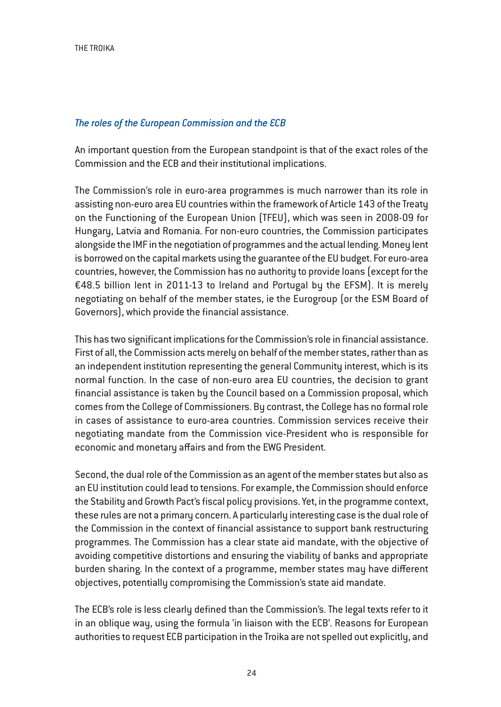#### *The roles of the European Commission and the ECB*

An important question from the European standpoint is that of the exact roles of the Commission and the ECB and their institutional implications.

The Commission's role in euro-area programmes is much narrower than its role in assisting non-euro area EU countries within the framework of Article 143 of the Treaty on the Functioning of the European Union (TFEU), which was seen in 2008-09 for Hungary, Latvia and Romania. For non-euro countries, the Commission participates alongside the IMF in the negotiation of programmes and the actual lending. Money lent is borrowed on the capital markets using the guarantee of the EU budget. For euro-area countries, however, the Commission has no authority to provide loans (except for the €48.5 billion lent in 2011-13 to Ireland and Portugal by the EFSM). It is merely negotiating on behalf of the member states, ie the Eurogroup (or the ESM Board of Governors), which provide the financial assistance.

This has two significant implications for the Commission's role in financial assistance. First of all, the Commission acts merely on behalf of the member states, rather than as an independent institution representing the general Community interest, which is its normal function. In the case of non-euro area EU countries, the decision to grant financial assistance is taken by the Council based on a Commission proposal, which comes from the College of Commissioners. By contrast, the College has no formal role in cases of assistance to euro-area countries. Commission services receive their negotiating mandate from the Commission vice-President who is responsible for economic and monetary affairs and from the EWG President.

Second, the dual role of the Commission as an agent of the member states but also as an EU institution could lead to tensions. For example, the Commission should enforce the Stability and Growth Pact's fiscal policy provisions. Yet, in the programme context, these rules are not a primary concern. A particularly interesting case is the dual role of the Commission in the context of financial assistance to support bank restructuring programmes. The Commission has a clear state aid mandate, with the objective of avoiding competitive distortions and ensuring the viability of banks and appropriate burden sharing. In the context of a programme, member states may have different objectives, potentially compromising the Commission's state aid mandate.

The ECB's role is less clearly defined than the Commission's. The legal texts refer to it in an oblique way, using the formula 'in liaison with the ECB'. Reasons for European authorities to request ECB participation in the Troika are not spelled out explicitly, and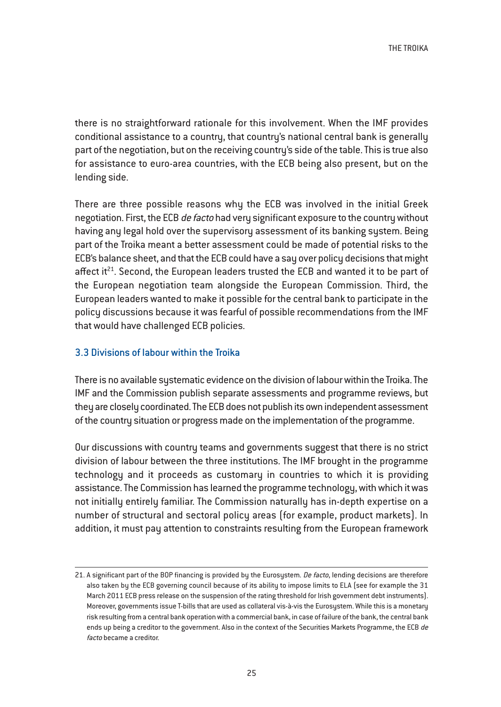there is no straightforward rationale for this involvement. When the IMF provides conditional assistance to a country, that country's national central bank is generally part of the negotiation, but on the receiving country's side of the table. This is true also for assistance to euro-area countries, with the ECB being also present, but on the lending side.

There are three possible reasons why the ECB was involved in the initial Greek negotiation. First, the ECB de facto had very significant exposure to the country without having any legal hold over the supervisory assessment of its banking system. Being part of the Troika meant a better assessment could be made of potential risks to the ECB's balance sheet, and that the ECB could have a say over policy decisions that might affect it<sup>21</sup>. Second, the European leaders trusted the ECB and wanted it to be part of the European negotiation team alongside the European Commission. Third, the European leaders wanted to make it possible for the central bank to participate in the policy discussions because it was fearful of possible recommendations from the IMF that would have challenged ECB policies.

#### 3.3 Divisions of labour within the Troika

There is no available systematic evidence on the division of labour within the Troika. The IMF and the Commission publish separate assessments and programme reviews, but they are closely coordinated. The ECB does not publish its own independent assessment of the country situation or progress made on the implementation of the programme.

Our discussions with country teams and governments suggest that there is no strict division of labour between the three institutions. The IMF brought in the programme technology and it proceeds as customary in countries to which it is providing assistance. The Commission has learned the programme technology, with which it was not initially entirely familiar. The Commission naturally has in-depth expertise on a number of structural and sectoral policy areas (for example, product markets). In addition, it must pay attention to constraints resulting from the European framework

<sup>21.</sup> A significant part of the BOP financing is provided by the Eurosystem. De facto, lending decisions are therefore also taken by the ECB governing council because of its ability to impose limits to ELA (see for example the 31 March 2011 ECB press release on the suspension of the rating threshold for Irish government debt instruments). Moreover, governments issue T-bills that are used as collateral vis-à-vis the Eurosystem. While this is a monetary risk resulting from a central bank operation with a commercial bank, in case of failure of the bank, the central bank ends up being a creditor to the government. Also in the context of the Securities Markets Programme, the ECB de facto became a creditor.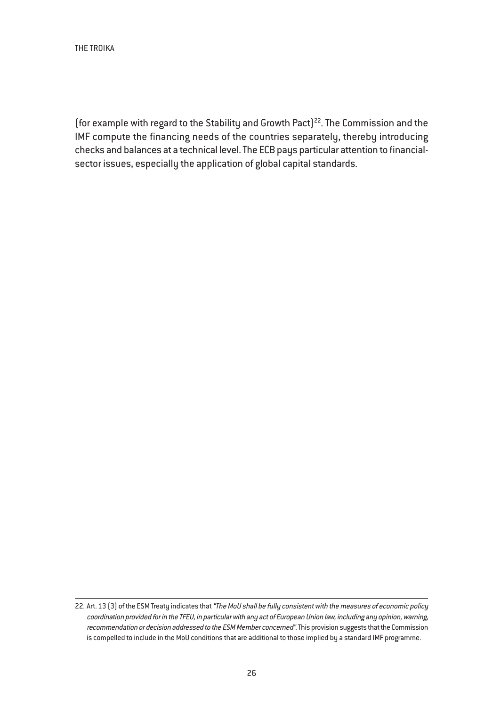(for example with regard to the Stability and Growth Pact)<sup>22</sup>. The Commission and the IMF compute the financing needs of the countries separately, thereby introducing checks and balances at a technical level. The ECB pays particular attention to financialsector issues, especially the application of global capital standards.

<sup>22.</sup> Art. 13 [3] of the ESM Treaty indicates that "The MoU shall be fully consistent with the measures of economic policy coordination provided for in the TFEU, in particular with any act of European Union law, including any opinion, warning, recommendation or decision addressed to the ESM Member concerned". This provision suggests that the Commission is compelled to include in the MoU conditions that are additional to those implied by a standard IMF programme.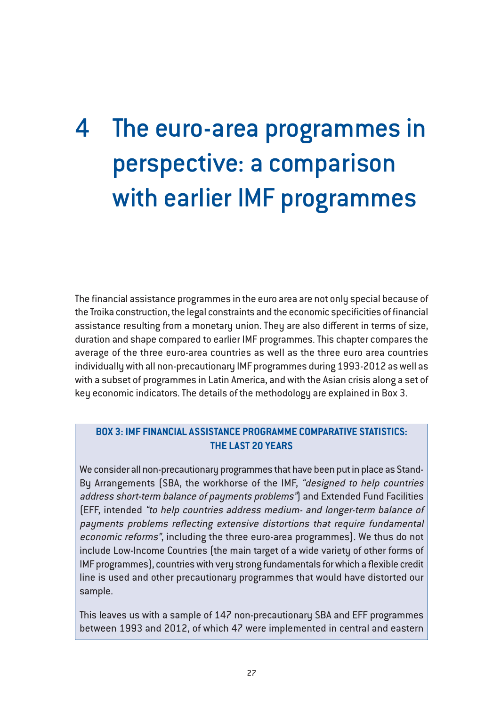# 4 The euro-area programmes in perspective: a comparison with earlier IMF programmes

The financial assistance programmes in the euro area are not only special because of the Troika construction, the legal constraints and the economic specificities of financial assistance resulting from a monetary union. They are also different in terms of size, duration and shape compared to earlier IMF programmes. This chapter compares the average of the three euro-area countries as well as the three euro area countries individually with all non-precautionary IMF programmes during 1993-2012 as well as with a subset of programmes in Latin America, and with the Asian crisis along a set of key economic indicators. The details of the methodology are explained in Box 3.

#### **BOX 3: IMF FINANCIAL ASSISTANCE PROGRAMME COMPARATIVE STATISTICS: THE LAST 20 YEARS**

We consider all non-precautionary programmes that have been put in place as Stand-By Arrangements (SBA, the workhorse of the IMF, "designed to help countries address short-term balance of payments problems") and Extended Fund Facilities (EFF, intended "to help countries address medium- and longer-term balance of payments problems reflecting extensive distortions that require fundamental economic reforms", including the three euro-area programmes). We thus do not include Low-Income Countries (the main target of a wide variety of other forms of IMF programmes), countries with very strong fundamentals for which a flexible credit line is used and other precautionary programmes that would have distorted our sample.

This leaves us with a sample of 147 non-precautionary SBA and EFF programmes between 1993 and 2012, of which 47 were implemented in central and eastern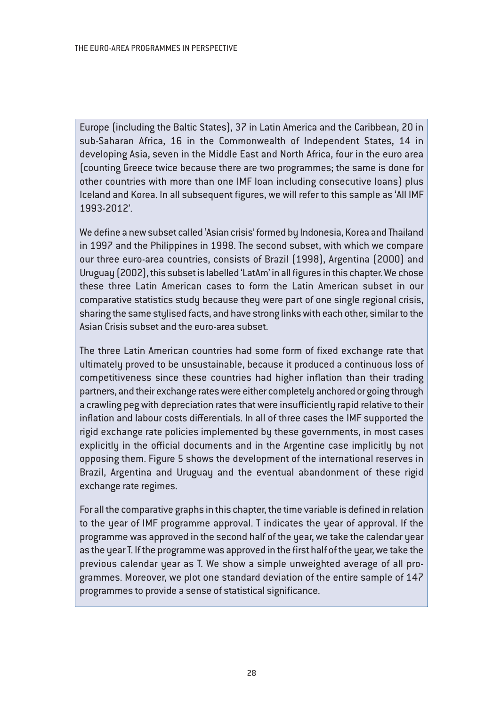Europe (including the Baltic States), 37 in Latin America and the Caribbean, 20 in sub-Saharan Africa, 16 in the Commonwealth of Independent States, 14 in developing Asia, seven in the Middle East and North Africa, four in the euro area (counting Greece twice because there are two programmes; the same is done for other countries with more than one IMF loan including consecutive loans) plus Iceland and Korea. In all subsequent figures, we will refer to this sample as 'All IMF 1993-2012'.

We define a new subset called 'Asian crisis' formed by Indonesia, Korea and Thailand in 1997 and the Philippines in 1998. The second subset, with which we compare our three euro-area countries, consists of Brazil (1998), Argentina (2000) and Uruguay (2002), this subset is labelled 'LatAm' in all figures in this chapter. We chose these three Latin American cases to form the Latin American subset in our comparative statistics study because they were part of one single regional crisis, sharing the same stylised facts, and have strong links with each other, similar to the Asian Crisis subset and the euro-area subset.

The three Latin American countries had some form of fixed exchange rate that ultimately proved to be unsustainable, because it produced a continuous loss of competitiveness since these countries had higher inflation than their trading partners, and their exchange rates were either completely anchored or going through a crawling peg with depreciation rates that were insufficiently rapid relative to their inflation and labour costs differentials. In all of three cases the IMF supported the rigid exchange rate policies implemented by these governments, in most cases explicitly in the official documents and in the Argentine case implicitly by not opposing them. Figure 5 shows the development of the international reserves in Brazil, Argentina and Uruguay and the eventual abandonment of these rigid exchange rate regimes.

For all the comparative graphs in this chapter, the time variable is defined in relation to the year of IMF programme approval. T indicates the year of approval. If the programme was approved in the second half of the year, we take the calendar year as the year T. If the programme was approved in the first half of the year, we take the previous calendar year as T. We show a simple unweighted average of all programmes. Moreover, we plot one standard deviation of the entire sample of 147 programmes to provide a sense of statistical significance.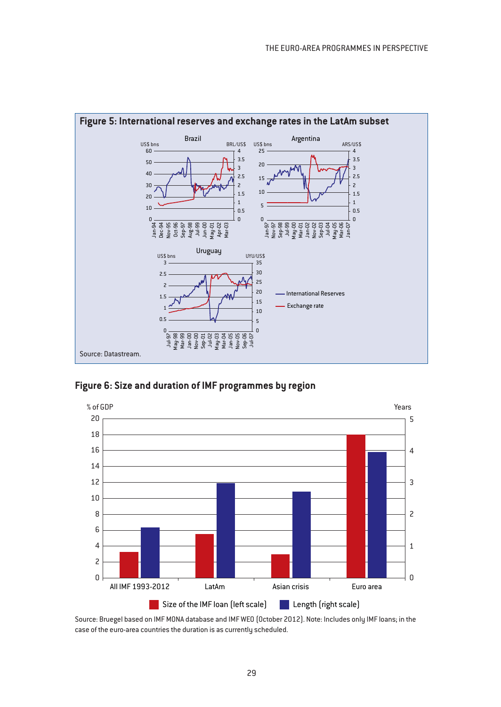

**Figure 6: Size and duration of IMF programmes by region**



Source: Bruegel based on IMF MONA database and IMF WEO (October 2012). Note: Includes only IMF loans; in the case of the euro-area countries the duration is as currently scheduled.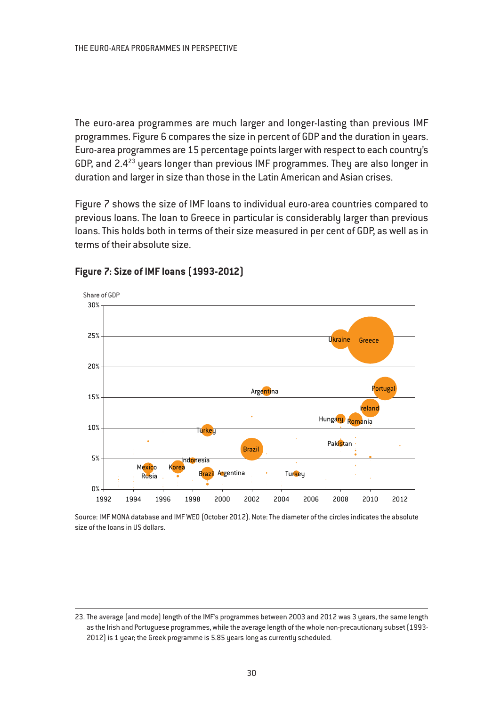The euro-area programmes are much larger and longer-lasting than previous IMF programmes. Figure 6 compares the size in percent of GDP and the duration in years. Euro-area programmes are 15 percentage points larger with respect to each country's GDP, and  $2.4^{23}$  years longer than previous IMF programmes. They are also longer in duration and larger in size than those in the Latin American and Asian crises.

Figure 7 shows the size of IMF loans to individual euro-area countries compared to previous loans. The loan to Greece in particular is considerably larger than previous loans. This holds both in terms of their size measured in per cent of GDP, as well as in terms of their absolute size.



# **Figure 7: Size of IMF loans (1993-2012)**

Source: IMF MONA database and IMF WEO (October 2012). Note: The diameter of the circles indicates the absolute size of the loans in US dollars.

<sup>23.</sup> The average (and mode) length of the IMF's programmes between 2003 and 2012 was 3 years, the same length as the Irish and Portuguese programmes, while the average length of the whole non-precautionary subset (1993- 2012) is 1 year; the Greek programme is 5.85 years long as currently scheduled.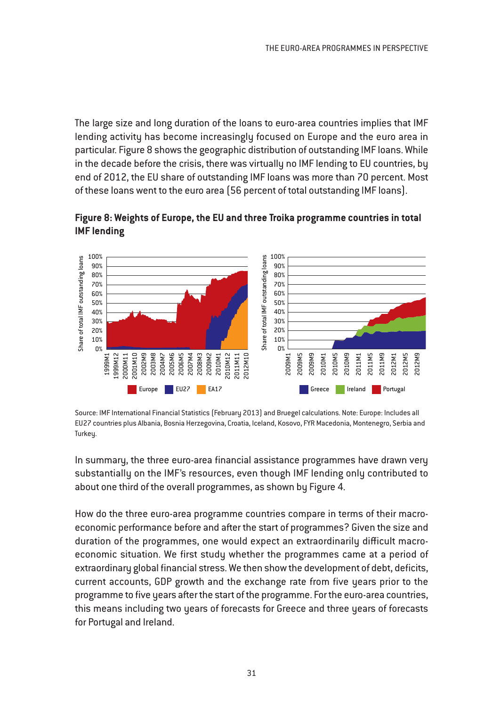The large size and long duration of the loans to euro-area countries implies that IMF lending activity has become increasingly focused on Europe and the euro area in particular. Figure 8 shows the geographic distribution of outstanding IMF loans. While in the decade before the crisis, there was virtually no IMF lending to EU countries, by end of 2012, the EU share of outstanding IMF loans was more than 70 percent. Most of these loans went to the euro area (56 percent of total outstanding IMF loans).

**Figure 8: Weights of Europe, the EU and three Troika programme countries in total IMF lending**



Source: IMF International Financial Statistics (February 2013) and Bruegel calculations. Note: Europe: Includes all EU27 countries plus Albania, Bosnia Herzegovina, Croatia, Iceland, Kosovo, FYR Macedonia, Montenegro, Serbia and Turkeu.

In summary, the three euro-area financial assistance programmes have drawn very substantially on the IMF's resources, even though IMF lending only contributed to about one third of the overall programmes, as shown by Figure 4.

How do the three euro-area programme countries compare in terms of their macroeconomic performance before and after the start of programmes? Given the size and duration of the programmes, one would expect an extraordinarily difficult macroeconomic situation. We first study whether the programmes came at a period of extraordinary global financial stress. We then show the development of debt, deficits, current accounts, GDP growth and the exchange rate from five years prior to the programme to five years after the start of the programme. For the euro-area countries, this means including two years of forecasts for Greece and three years of forecasts for Portugal and Ireland.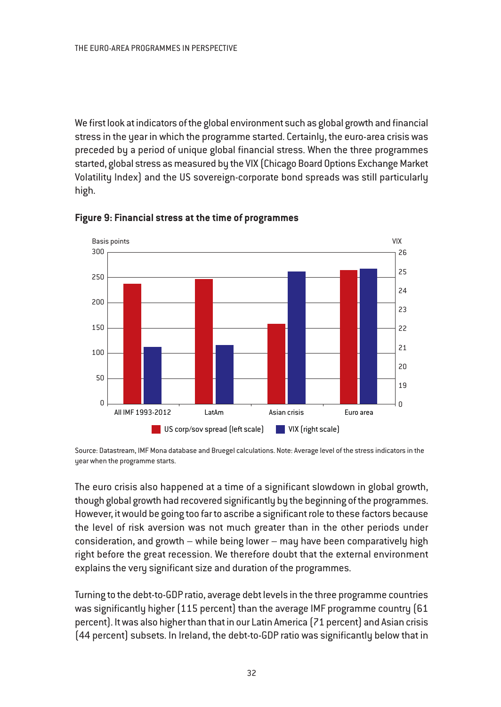We first look at indicators of the global environment such as global growth and financial stress in the year in which the programme started. Certainly, the euro-area crisis was preceded by a period of unique global financial stress. When the three programmes started, global stress as measured by the VIX (Chicago Board Options Exchange Market Volatility Index) and the US sovereign-corporate bond spreads was still particularly high.





Source: Datastream, IMF Mona database and Bruegel calculations. Note: Average level of the stress indicators in the year when the programme starts.

The euro crisis also happened at a time of a significant slowdown in global growth, though global growth had recovered significantly by the beginning of the programmes. However, it would be going too far to ascribe a significant role to these factors because the level of risk aversion was not much greater than in the other periods under consideration, and growth – while being lower – may have been comparatively high right before the great recession. We therefore doubt that the external environment explains the very significant size and duration of the programmes.

Turning to the debt-to-GDP ratio, average debt levels in the three programme countries was significantly higher (115 percent) than the average IMF programme country (61 percent). It was also higher than that in our Latin America (71 percent) and Asian crisis (44 percent) subsets. In Ireland, the debt-to-GDP ratio was significantly below that in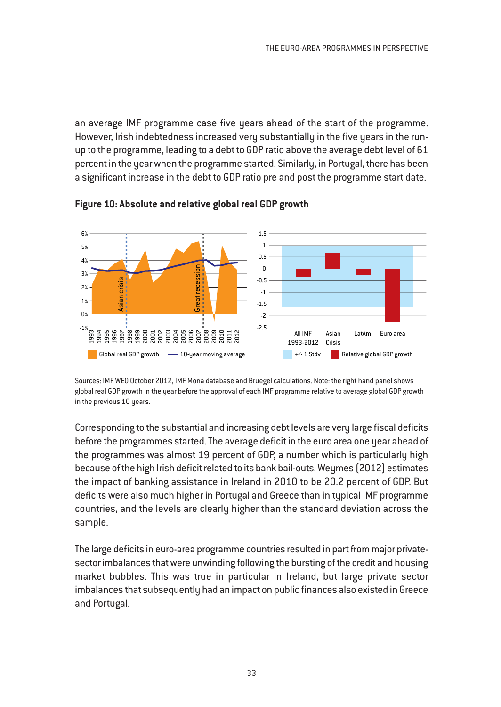an average IMF programme case five years ahead of the start of the programme. However, Irish indebtedness increased very substantially in the five years in the runup to the programme, leading to a debt to GDP ratio above the average debt level of 61 percent in the year when the programme started. Similarly, in Portugal, there has been a significant increase in the debt to GDP ratio pre and post the programme start date.



**Figure 10: Absolute and relative global real GDP growth**

Sources: IMF WEO October 2012, IMF Mona database and Bruegel calculations. Note: the right hand panel shows global real GDP growth in the year before the approval of each IMF programme relative to average global GDP growth in the previous 10 years.

Corresponding to the substantial and increasing debt levels are very large fiscal deficits before the programmes started. The average deficit in the euro area one year ahead of the programmes was almost 19 percent of GDP, a number which is particularly high because of the high Irish deficit related to its bank bail-outs. Weymes (2012) estimates the impact of banking assistance in Ireland in 2010 to be 20.2 percent of GDP. But deficits were also much higher in Portugal and Greece than in typical IMF programme countries, and the levels are clearly higher than the standard deviation across the sample.

The large deficits in euro-area programme countries resulted in part from major privatesector imbalances that were unwinding following the bursting of the credit and housing market bubbles. This was true in particular in Ireland, but large private sector imbalances that subsequently had an impact on public finances also existed in Greece and Portugal.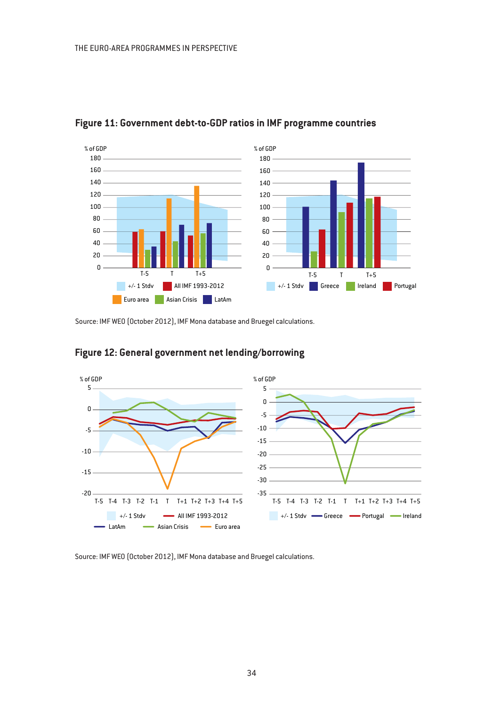

# **Figure 11: Government debt-to-GDP ratios in IMF programme countries**

Source: IMF WEO (October 2012), IMF Mona database and Bruegel calculations.



# **Figure 12: General government net lending/borrowing**

Source: IMF WEO (October 2012), IMF Mona database and Bruegel calculations.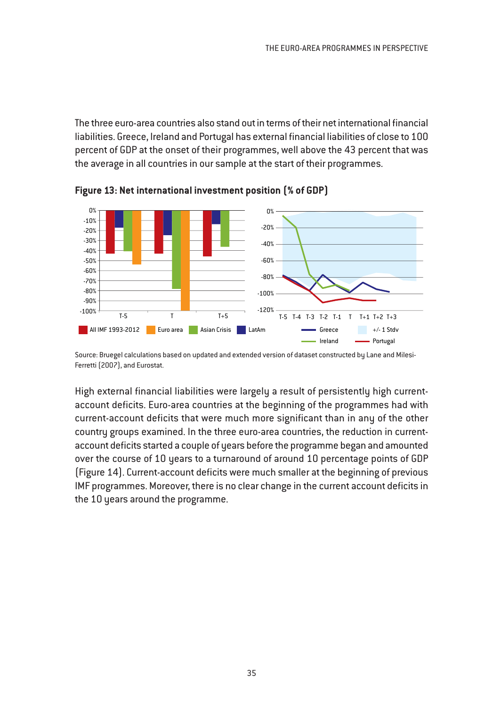The three euro-area countries also stand out in terms of their net international financial liabilities. Greece, Ireland and Portugal has external financial liabilities of close to 100 percent of GDP at the onset of their programmes, well above the 43 percent that was the average in all countries in our sample at the start of their programmes.



**Figure 13: Net international investment position (% of GDP)**

Source: Bruegel calculations based on updated and extended version of dataset constructed by Lane and Milesi-Ferretti (2007), and Eurostat.

High external financial liabilities were largely a result of persistently high currentaccount deficits. Euro-area countries at the beginning of the programmes had with current-account deficits that were much more significant than in any of the other country groups examined. In the three euro-area countries, the reduction in currentaccount deficits started a couple of years before the programme began and amounted over the course of 10 years to a turnaround of around 10 percentage points of GDP (Figure 14). Current-account deficits were much smaller at the beginning of previous IMF programmes. Moreover, there is no clear change in the current account deficits in the 10 years around the programme.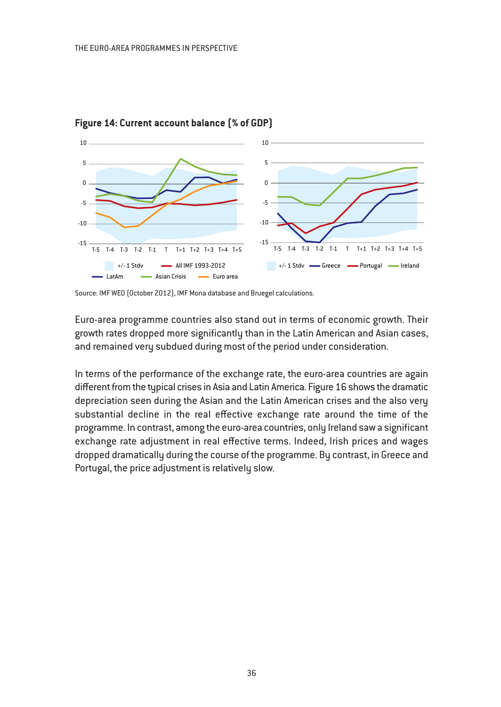

**Figure 14: Current account balance (% of GDP)**

Euro-area programme countries also stand out in terms of economic growth. Their growth rates dropped more significantly than in the Latin American and Asian cases, and remained very subdued during most of the period under consideration.

In terms of the performance of the exchange rate, the euro-area countries are again different from the typical crises in Asia and Latin America. Figure 16 shows the dramatic depreciation seen during the Asian and the Latin American crises and the also very substantial decline in the real effective exchange rate around the time of the programme. In contrast, among the euro-area countries, only Ireland saw a significant exchange rate adjustment in real effective terms. Indeed, Irish prices and wages dropped dramatically during the course of the programme. By contrast, in Greece and Portugal, the price adjustment is relatively slow.

Source: IMF WEO (October 2012), IMF Mona database and Bruegel calculations.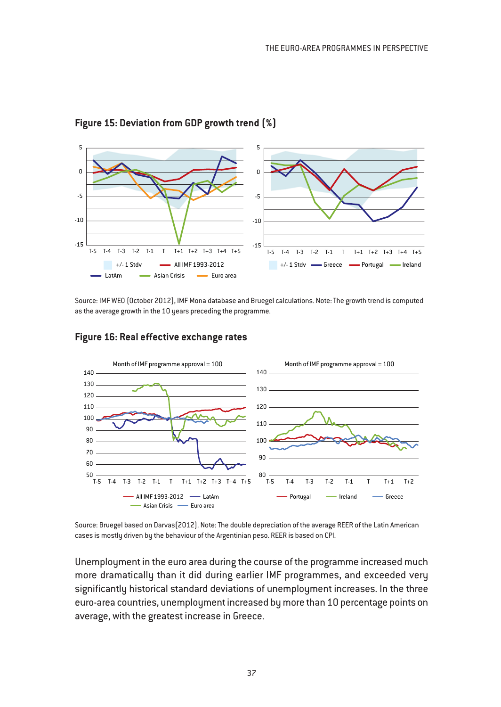

## **Figure 15: Deviation from GDP growth trend (%)**

Source: IMF WEO (October 2012), IMF Mona database and Bruegel calculations. Note: The growth trend is computed as the average growth in the 10 years preceding the programme.



#### **Figure 16: Real effective exchange rates**

Source: Bruegel based on Darvas(2012). Note: The double depreciation of the average REER of the Latin American cases is mostly driven by the behaviour of the Argentinian peso. REER is based on CPI.

Unemployment in the euro area during the course of the programme increased much more dramatically than it did during earlier IMF programmes, and exceeded very significantly historical standard deviations of unemployment increases. In the three euro-area countries, unemployment increased by more than 10 percentage points on average, with the greatest increase in Greece.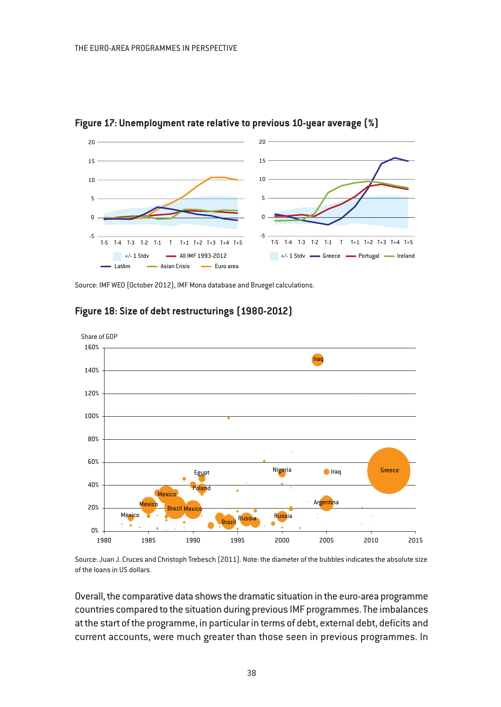

**Figure 17: Unemployment rate relative to previous 10-year average (%)**

Source: IMF WEO (October 2012), IMF Mona database and Bruegel calculations.



# **Figure 18: Size of debt restructurings (1980-2012)**

Source: Juan J. Cruces and Christoph Trebesch (2011). Note: the diameter of the bubbles indicates the absolute size of the loans in US dollars.

Overall, the comparative data shows the dramatic situation in the euro-area programme countries compared to the situation during previous IMF programmes. The imbalances at the start of the programme, in particular in terms of debt, external debt, deficits and current accounts, were much greater than those seen in previous programmes. In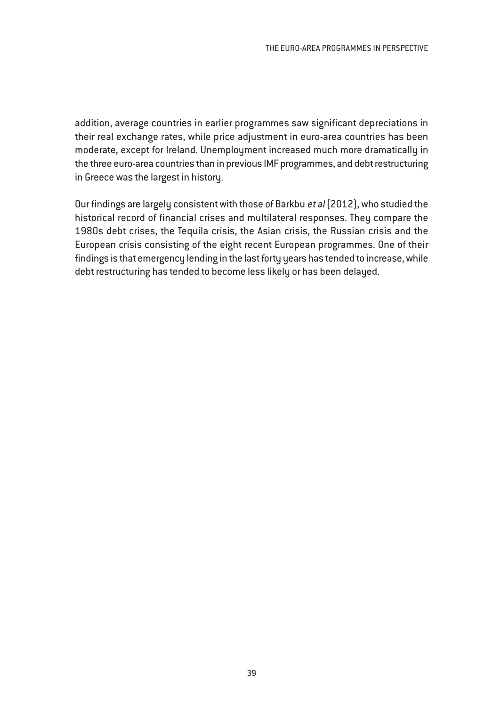addition, average countries in earlier programmes saw significant depreciations in their real exchange rates, while price adjustment in euro-area countries has been moderate, except for Ireland. Unemployment increased much more dramatically in the three euro-area countries than in previous IMF programmes, and debt restructuring in Greece was the largest in history.

Our findings are largely consistent with those of Barkbu et al (2012), who studied the historical record of financial crises and multilateral responses. They compare the 1980s debt crises, the Tequila crisis, the Asian crisis, the Russian crisis and the European crisis consisting of the eight recent European programmes. One of their findings is that emergency lending in the last forty years has tended to increase, while debt restructuring has tended to become less likely or has been delayed.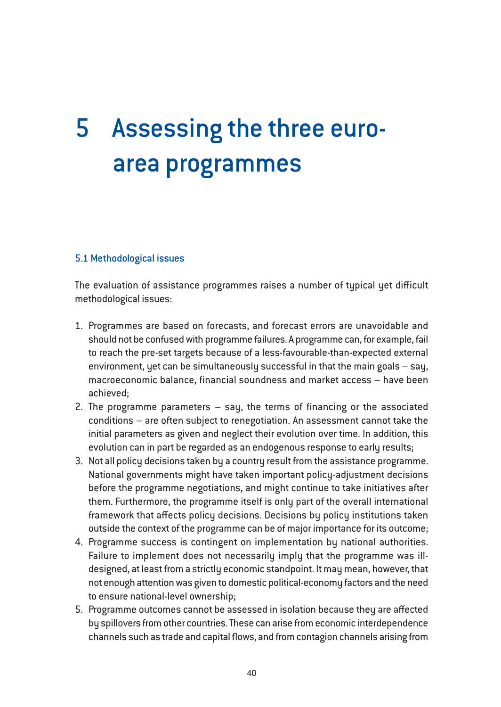# 5 Assessing the three euroarea programmes

# 5.1 Methodological issues

The evaluation of assistance programmes raises a number of typical yet difficult methodological issues:

- 1. Programmes are based on forecasts, and forecast errors are unavoidable and should not be confused with programme failures. A programme can, for example, fail to reach the pre-set targets because of a less-favourable-than-expected external environment, yet can be simultaneously successful in that the main goals – say, macroeconomic balance, financial soundness and market access – have been achieved;
- 2. The programme parameters say, the terms of financing or the associated conditions – are often subject to renegotiation. An assessment cannot take the initial parameters as given and neglect their evolution over time. In addition, this evolution can in part be regarded as an endogenous response to early results;
- 3. Not all policy decisions taken by a country result from the assistance programme. National governments might have taken important policy-adjustment decisions before the programme negotiations, and might continue to take initiatives after them. Furthermore, the programme itself is only part of the overall international framework that affects policy decisions. Decisions by policy institutions taken outside the context of the programme can be of major importance for its outcome;
- 4. Programme success is contingent on implementation by national authorities. Failure to implement does not necessarily imply that the programme was illdesigned, at least from a strictly economic standpoint. It may mean, however, that not enough attention was given to domestic political-economy factors and the need to ensure national-level ownership;
- 5. Programme outcomes cannot be assessed in isolation because they are affected by spillovers from other countries. These can arise from economic interdependence channels such as trade and capital flows, and from contagion channels arising from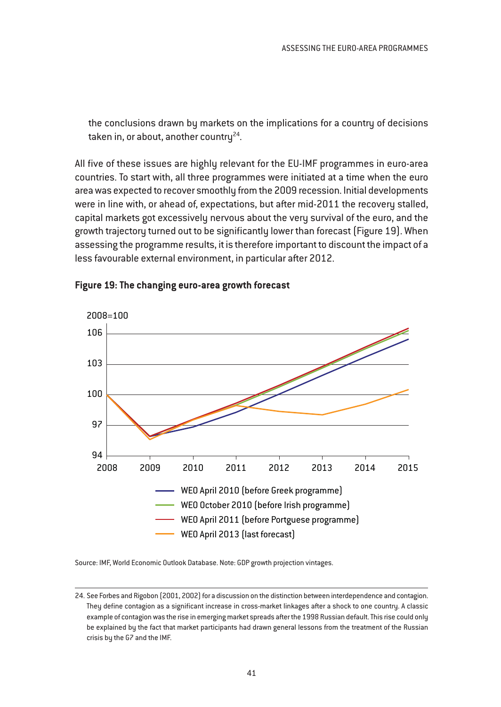the conclusions drawn by markets on the implications for a country of decisions taken in, or about, another country $^{24}$ .

All five of these issues are highly relevant for the EU-IMF programmes in euro-area countries. To start with, all three programmes were initiated at a time when the euro area was expected to recover smoothly from the 2009 recession. Initial developments were in line with, or ahead of, expectations, but after mid-2011 the recovery stalled, capital markets got excessively nervous about the very survival of the euro, and the growth trajectory turned out to be significantly lower than forecast (Figure 19). When assessing the programme results, it is therefore important to discount the impact of a less favourable external environment, in particular after 2012.



#### **Figure 19: The changing euro-area growth forecast**

Source: IMF, World Economic Outlook Database. Note: GDP growth projection vintages.

<sup>24.</sup> See Forbes and Rigobon (2001, 2002) for a discussion on the distinction between interdependence and contagion. They define contagion as a significant increase in cross-market linkages after a shock to one country. A classic example of contagion was the rise in emerging market spreads after the 1998 Russian default. This rise could only be explained by the fact that market participants had drawn general lessons from the treatment of the Russian crisis by the G7 and the IMF.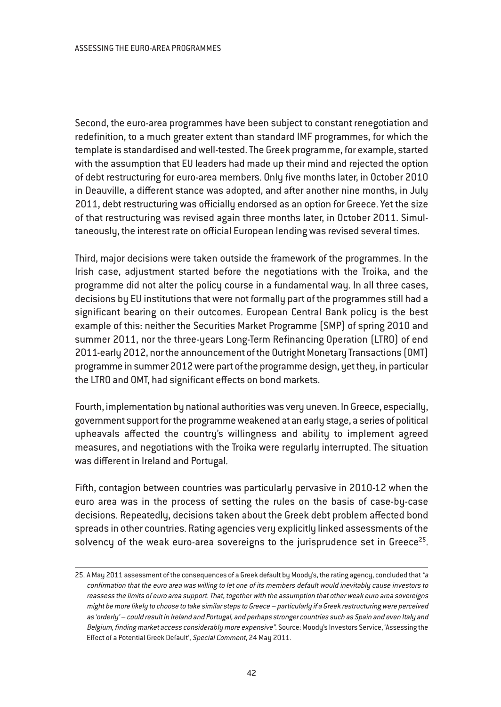Second, the euro-area programmes have been subject to constant renegotiation and redefinition, to a much greater extent than standard IMF programmes, for which the template is standardised and well-tested. The Greek programme, for example, started with the assumption that EU leaders had made up their mind and rejected the option of debt restructuring for euro-area members. Only five months later, in October 2010 in Deauville, a different stance was adopted, and after another nine months, in July 2011, debt restructuring was officially endorsed as an option for Greece. Yet the size of that restructuring was revised again three months later, in October 2011. Simultaneously, the interest rate on official European lending was revised several times.

Third, major decisions were taken outside the framework of the programmes. In the Irish case, adjustment started before the negotiations with the Troika, and the programme did not alter the policy course in a fundamental way. In all three cases, decisions by EU institutions that were not formally part of the programmes still had a significant bearing on their outcomes. European Central Bank policy is the best example of this: neither the Securities Market Programme (SMP) of spring 2010 and summer 2011, nor the three-years Long-Term Refinancing Operation (LTRO) of end 2011-early 2012, nor the announcement of the Outright Monetary Transactions (OMT) programme in summer 2012 were part of the programme design, yet they, in particular the LTRO and OMT, had significant effects on bond markets.

Fourth, implementation by national authorities was very uneven. In Greece, especially, government support for the programme weakened at an early stage, a series of political upheavals affected the country's willingness and ability to implement agreed measures, and negotiations with the Troika were regularly interrupted. The situation was different in Ireland and Portugal.

Fifth, contagion between countries was particularly pervasive in 2010-12 when the euro area was in the process of setting the rules on the basis of case-by-case decisions. Repeatedly, decisions taken about the Greek debt problem affected bond spreads in other countries. Rating agencies very explicitly linked assessments of the solvency of the weak euro-area sovereigns to the jurisprudence set in Greece<sup>25</sup>.

<sup>25.</sup> A May 2011 assessment of the consequences of a Greek default by Moody's, the rating agency, concluded that "a confirmation that the euro area was willing to let one of its members default would inevitably cause investors to reassess the limits of euro area support. That, together with the assumption that other weak euro area sovereigns might be more likely to choose to take similar steps to Greece – particularly if <sup>a</sup> Greek restructuring were perceived as 'orderly' – could result in Ireland and Portugal, and perhaps stronger countries such as Spain and even Italy and Belgium, finding market access considerably more expensive". Source: Moody's Investors Service, 'Assessing the Effect of a Potential Greek Default', Special Comment, 24 May 2011.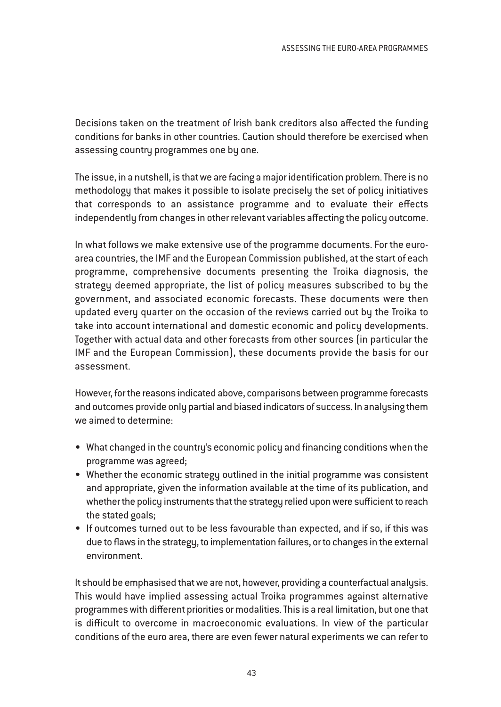Decisions taken on the treatment of Irish bank creditors also affected the funding conditions for banks in other countries. Caution should therefore be exercised when assessing country programmes one by one.

The issue, in a nutshell, is that we are facing a major identification problem. There is no methodology that makes it possible to isolate precisely the set of policy initiatives that corresponds to an assistance programme and to evaluate their effects independently from changes in other relevant variables affecting the policy outcome.

In what follows we make extensive use of the programme documents. For the euroarea countries, the IMF and the European Commission published, at the start of each programme, comprehensive documents presenting the Troika diagnosis, the strategy deemed appropriate, the list of policy measures subscribed to by the government, and associated economic forecasts. These documents were then updated every quarter on the occasion of the reviews carried out by the Troika to take into account international and domestic economic and policy developments. Together with actual data and other forecasts from other sources (in particular the IMF and the European Commission), these documents provide the basis for our assessment.

However, for the reasons indicated above, comparisons between programme forecasts and outcomes provide only partial and biased indicators of success. In analysing them we aimed to determine:

- What changed in the country's economic policy and financing conditions when the programme was agreed;
- Whether the economic strategy outlined in the initial programme was consistent and appropriate, given the information available at the time of its publication, and whether the policy instruments that the strategy relied upon were sufficient to reach the stated goals;
- If outcomes turned out to be less favourable than expected, and if so, if this was due to flaws in the strategy, to implementation failures, or to changes in the external environment.

It should be emphasised that we are not, however, providing a counterfactual analysis. This would have implied assessing actual Troika programmes against alternative programmes with different priorities or modalities. This is a real limitation, but one that is difficult to overcome in macroeconomic evaluations. In view of the particular conditions of the euro area, there are even fewer natural experiments we can refer to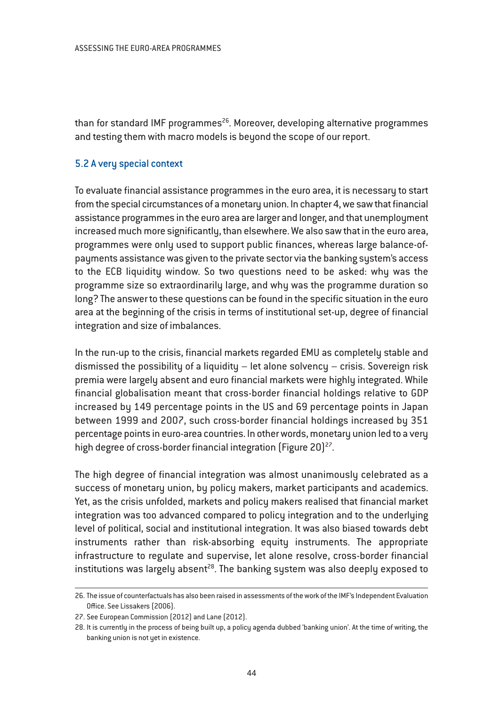than for standard IMF programmes $^{26}$ . Moreover, developing alternative programmes and testing them with macro models is beyond the scope of our report.

# 5.2 A very special context

To evaluate financial assistance programmes in the euro area, it is necessary to start from the special circumstances of a monetary union. In chapter 4, we saw that financial assistance programmes in the euro area are larger and longer, and that unemployment increased much more significantly, than elsewhere. We also saw that in the euro area, programmes were only used to support public finances, whereas large balance-ofpayments assistance was given to the private sector via the banking system's access to the ECB liquidity window. So two questions need to be asked: why was the programme size so extraordinarily large, and why was the programme duration so long? The answer to these questions can be found in the specific situation in the euro area at the beginning of the crisis in terms of institutional set-up, degree of financial integration and size of imbalances.

In the run-up to the crisis, financial markets regarded EMU as completely stable and dismissed the possibility of a liquidity – let alone solvency – crisis. Sovereign risk premia were largely absent and euro financial markets were highly integrated. While financial globalisation meant that cross-border financial holdings relative to GDP increased by 149 percentage points in the US and 69 percentage points in Japan between 1999 and 2007, such cross-border financial holdings increased by 351 percentage points in euro-area countries. In other words, monetary union led to a very high degree of cross-border financial integration (Figure 20)<sup>27</sup>.

The high degree of financial integration was almost unanimously celebrated as a success of monetary union, by policy makers, market participants and academics. Yet, as the crisis unfolded, markets and policy makers realised that financial market integration was too advanced compared to policy integration and to the underlying level of political, social and institutional integration. It was also biased towards debt instruments rather than risk-absorbing equity instruments. The appropriate infrastructure to regulate and supervise, let alone resolve, cross-border financial institutions was largely absent<sup>28</sup>. The banking system was also deeply exposed to

<sup>26.</sup> The issue of counterfactuals has also been raised in assessments of the work of the IMF's Independent Evaluation Office. See Lissakers (2006).

<sup>27.</sup> See European Commission (2012) and Lane (2012).

<sup>28.</sup> It is currently in the process of being built up, a policy agenda dubbed 'banking union'. At the time of writing, the banking union is not yet in existence.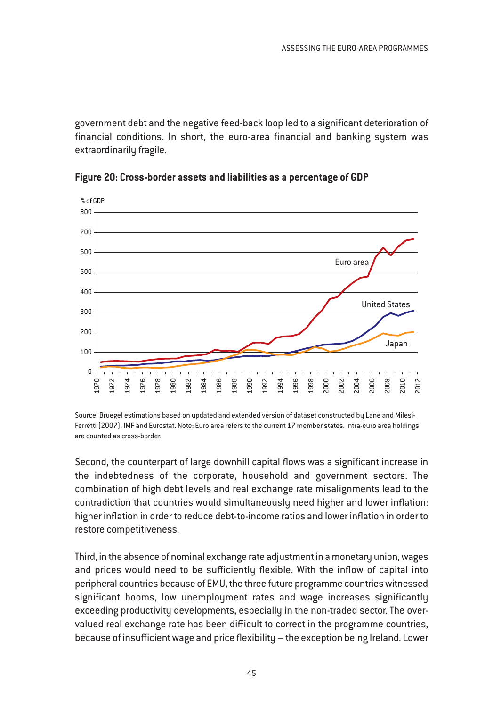government debt and the negative feed-back loop led to a significant deterioration of financial conditions. In short, the euro-area financial and banking system was extraordinarily fragile.





Source: Bruegel estimations based on updated and extended version of dataset constructed by Lane and Milesi-Ferretti (2007), IMF and Eurostat. Note: Euro area refers to the current 17 member states. Intra-euro area holdings are counted as cross-border.

Second, the counterpart of large downhill capital flows was a significant increase in the indebtedness of the corporate, household and government sectors. The combination of high debt levels and real exchange rate misalignments lead to the contradiction that countries would simultaneously need higher and lower inflation: higher inflation in order to reduce debt-to-income ratios and lower inflation in order to restore competitiveness.

Third, in the absence of nominal exchange rate adjustment in a monetary union, wages and prices would need to be sufficiently flexible. With the inflow of capital into peripheral countries because of EMU, the three future programme countries witnessed significant booms, low unemployment rates and wage increases significantly exceeding productivity developments, especially in the non-traded sector. The overvalued real exchange rate has been difficult to correct in the programme countries, because of insufficient wage and price flexibility – the exception being Ireland. Lower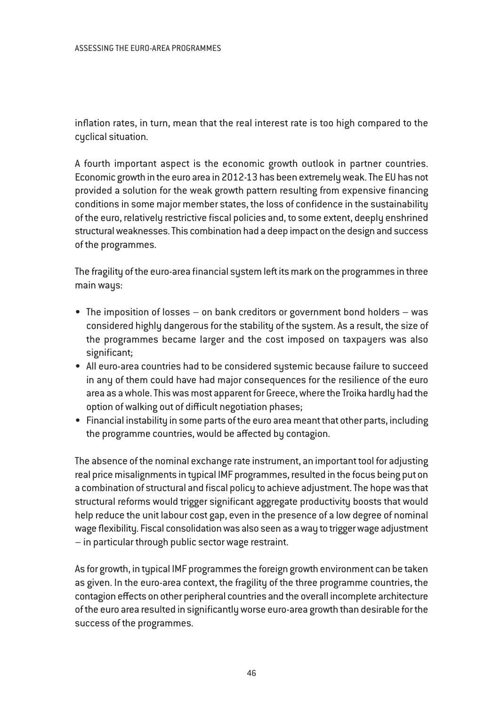inflation rates, in turn, mean that the real interest rate is too high compared to the cyclical situation.

A fourth important aspect is the economic growth outlook in partner countries. Economic growth in the euro area in 2012-13 has been extremely weak. The EU has not provided a solution for the weak growth pattern resulting from expensive financing conditions in some major member states, the loss of confidence in the sustainability of the euro, relatively restrictive fiscal policies and, to some extent, deeply enshrined structural weaknesses. This combination had a deep impact on the design and success of the programmes.

The fragility of the euro-area financial system left its mark on the programmes in three main ways:

- The imposition of losses on bank creditors or government bond holders was considered highly dangerous for the stability of the system. As a result, the size of the programmes became larger and the cost imposed on taxpayers was also significant;
- All euro-area countries had to be considered systemic because failure to succeed in any of them could have had major consequences for the resilience of the euro area as a whole. This was most apparent for Greece, where the Troika hardly had the option of walking out of difficult negotiation phases;
- Financial instability in some parts of the euro area meant that other parts, including the programme countries, would be affected by contagion.

The absence of the nominal exchange rate instrument, an important tool for adjusting real price misalignments in typical IMF programmes, resulted in the focus being put on a combination of structural and fiscal policy to achieve adjustment. The hope was that structural reforms would trigger significant aggregate productivity boosts that would help reduce the unit labour cost gap, even in the presence of a low degree of nominal wage flexibility. Fiscal consolidation was also seen as a way to trigger wage adjustment – in particular through public sector wage restraint.

As for growth, in typical IMF programmes the foreign growth environment can be taken as given. In the euro-area context, the fragility of the three programme countries, the contagion effects on other peripheral countries and the overall incomplete architecture of the euro area resulted in significantly worse euro-area growth than desirable for the success of the programmes.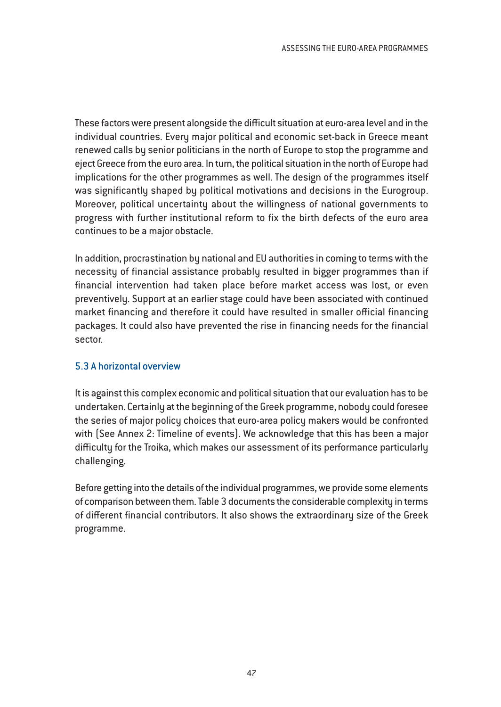These factors were present alongside the difficult situation at euro-area level and in the individual countries. Every major political and economic set-back in Greece meant renewed calls by senior politicians in the north of Europe to stop the programme and eject Greece from the euro area. In turn, the political situation in the north of Europe had implications for the other programmes as well. The design of the programmes itself was significantly shaped by political motivations and decisions in the Eurogroup. Moreover, political uncertainty about the willingness of national governments to progress with further institutional reform to fix the birth defects of the euro area continues to be a major obstacle.

In addition, procrastination by national and EU authorities in coming to terms with the necessity of financial assistance probably resulted in bigger programmes than if financial intervention had taken place before market access was lost, or even preventively. Support at an earlier stage could have been associated with continued market financing and therefore it could have resulted in smaller official financing packages. It could also have prevented the rise in financing needs for the financial sector.

# 5.3 A horizontal overview

It is against this complex economic and political situation that our evaluation has to be undertaken. Certainly at the beginning of the Greek programme, nobody could foresee the series of major policy choices that euro-area policy makers would be confronted with (See Annex 2: Timeline of events). We acknowledge that this has been a major difficulty for the Troika, which makes our assessment of its performance particularly challenging.

Before getting into the details of the individual programmes, we provide some elements of comparison between them. Table 3 documents the considerable complexity in terms of different financial contributors. It also shows the extraordinary size of the Greek programme.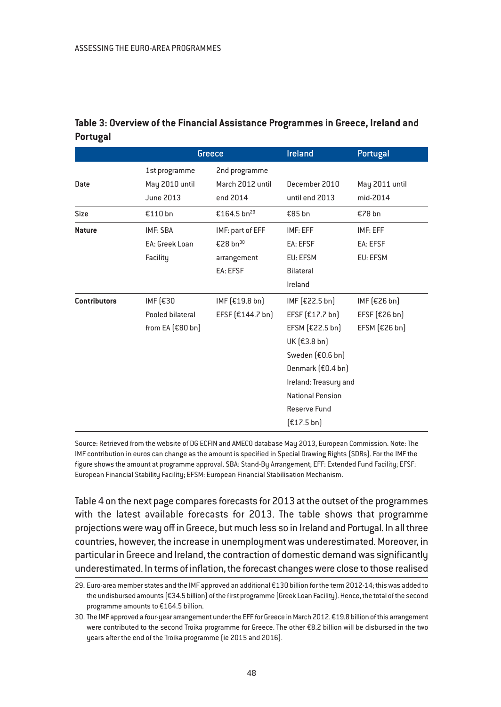|                     | Greece                                             |                                                                     | <b>Ireland</b>                                                                                                                                                                                   | Portugal                                             |
|---------------------|----------------------------------------------------|---------------------------------------------------------------------|--------------------------------------------------------------------------------------------------------------------------------------------------------------------------------------------------|------------------------------------------------------|
| Date                | 1st programme<br>May 2010 until<br>June 2013       | 2nd programme<br>March 2012 until<br>end 2014                       | December 2010<br>until end 2013                                                                                                                                                                  | May 2011 until<br>mid-2014                           |
| <b>Size</b>         | €110 bn                                            | €164.5 bn <sup>29</sup>                                             | €85 bn                                                                                                                                                                                           | €78 bn                                               |
| <b>Nature</b>       | IMF: SBA<br>EA: Greek Loan<br>Facility             | IMF: part of EFF<br>€28 bn <sup>30</sup><br>arrangement<br>EA: EFSF | IMF: EFF<br>EA: EFSF<br>EU: EFSM<br>Bilateral<br>Ireland                                                                                                                                         | IMF: EFF<br>EA: EFSF<br>EU: EFSM                     |
| <b>Contributors</b> | IMF (€30<br>Pooled bilateral<br>from EA $[£80$ bn] | IMF $[£19.8 bn]$<br>EFSF $[£144.7 bn]$                              | IMF $[£22.5 bn]$<br>EFSF $[£17.7 bn]$<br>EFSM $[£22.5 bn]$<br>UK [€3.8 bn]<br>Sweden $[£0.6 bn]$<br>Denmark (€0.4 bn)<br>Ireland: Treasury and<br>National Pension<br>Reserve Fund<br>[£17.5 bn] | IMF $[£26 bn]$<br>EFSF $[£26 bn]$<br>EFSM $[£26 bn]$ |

# **Table 3: Overview of the Financial Assistance Programmes in Greece, Ireland and Portugal**

Source: Retrieved from the website of DG ECFIN and AMECO database May 2013, European Commission. Note: The IMF contribution in euros can change as the amount is specified in Special Drawing Rights (SDRs). For the IMF the figure shows the amount at programme approval. SBA: Stand-By Arrangement; EFF: Extended Fund Facility; EFSF: European Financial Stability Facility; EFSM: European Financial Stabilisation Mechanism.

Table 4 on the next page compares forecasts for 2013 at the outset of the programmes with the latest available forecasts for 2013. The table shows that programme projections were way off in Greece, but much less so in Ireland and Portugal. In all three countries, however, the increase in unemployment was underestimated. Moreover, in particular in Greece and Ireland, the contraction of domestic demand was significantly underestimated. In terms of inflation, the forecast changes were close to those realised

<sup>29.</sup> Euro-area member states and the IMF approved an additional €130 billion for the term 2012-14; this was added to the undisbursed amounts (€34.5 billion) of the first programme (Greek Loan Facility). Hence, the total of the second programme amounts to €164.5 billion.

<sup>30.</sup> The IMF approved a four-year arrangement under the EFF for Greece in March 2012. €19.8 billion of this arrangement were contributed to the second Troika programme for Greece. The other €8.2 billion will be disbursed in the two years after the end of the Troika programme (ie 2015 and 2016).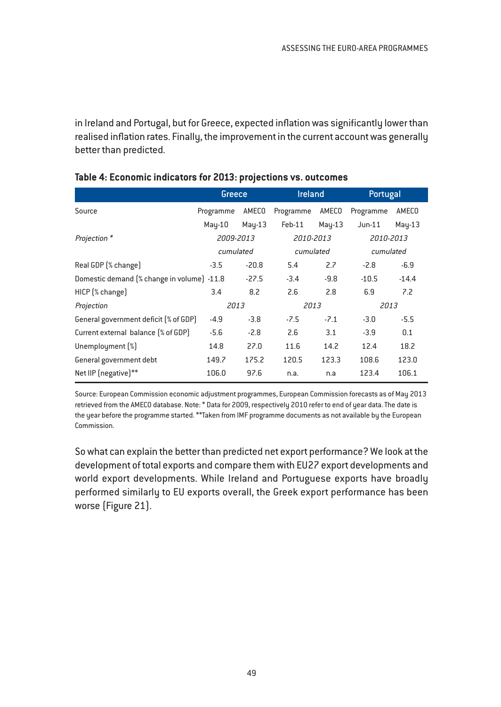in Ireland and Portugal, but for Greece, expected inflation was significantly lower than realised inflation rates. Finally, the improvement in the current account was generally better than predicted.

|                                            | Greece                 |         | <b>Ireland</b> |           | Portugal  |          |
|--------------------------------------------|------------------------|---------|----------------|-----------|-----------|----------|
| Source                                     | Programme              | AMECO   | Programme      | AMECO     | Programme | AMECO    |
|                                            | May-10                 | May-13  | Feb-11         | $May-13$  | $Jun-11$  | $May-13$ |
| Projection*                                | 2009-2013              |         | 2010-2013      |           | 2010-2013 |          |
|                                            | cumulated<br>cumulated |         |                | cumulated |           |          |
| Real GDP (% change)                        | $-3.5$                 | $-20.8$ | 5.4            | 2.7       | $-2.8$    | $-6.9$   |
| Domestic demand (% change in volume) -11.8 |                        | $-27.5$ | $-3.4$         | $-9.8$    | $-10.5$   | $-14.4$  |
| HICP [% change]                            | 3.4                    | 8.2     | 2.6            | 2.8       | 6.9       | 7.2      |
| Projection                                 | 2013                   |         | 2013           |           | 2013      |          |
| General government deficit [% of GDP]      | $-4.9$                 | $-3.8$  | $-7.5$         | $-7.1$    | $-3.0$    | $-5.5$   |
| Current external balance (% of GDP)        | $-5.6$                 | $-2.8$  | 2.6            | 3.1       | $-3.9$    | 0.1      |
| Unemployment [%]                           | 14.8                   | 27.0    | 11.6           | 14.2      | 12.4      | 18.2     |
| General government debt                    | 149.7                  | 175.2   | 120.5          | 123.3     | 108.6     | 123.0    |
| Net IIP (negative)**                       | 106.0                  | 97.6    | n.a.           | n.a       | 123.4     | 106.1    |

## **Table 4: Economic indicators for 2013: projections vs. outcomes**

Source: European Commission economic adjustment programmes, European Commission forecasts as of May 2013 retrieved from the AMECO database. Note: \* Data for 2009, respectively 2010 refer to end of year data. The date is the year before the programme started. \*\*Taken from IMF programme documents as not available by the European Commission.

So what can explain the better than predicted net export performance? We look at the development of total exports and compare them with EU27 export developments and world export developments. While Ireland and Portuguese exports have broadly performed similarly to EU exports overall, the Greek export performance has been worse (Figure 21).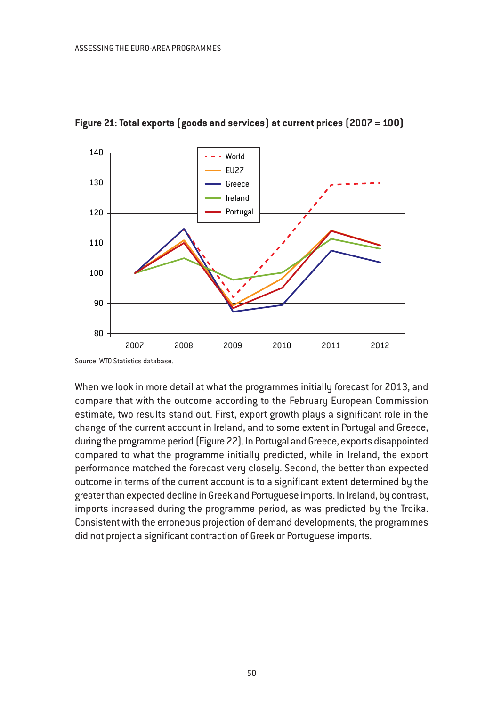

## **Figure 21: Total exports (goods and services) at current prices (2007 = 100)**

Source: WTO Statistics database.

When we look in more detail at what the programmes initially forecast for 2013, and compare that with the outcome according to the February European Commission estimate, two results stand out. First, export growth plays a significant role in the change of the current account in Ireland, and to some extent in Portugal and Greece, during the programme period (Figure 22). In Portugal and Greece, exports disappointed compared to what the programme initially predicted, while in Ireland, the export performance matched the forecast very closely. Second, the better than expected outcome in terms of the current account is to a significant extent determined by the greater than expected decline in Greek and Portuguese imports. In Ireland, by contrast, imports increased during the programme period, as was predicted by the Troika. Consistent with the erroneous projection of demand developments, the programmes did not project a significant contraction of Greek or Portuguese imports.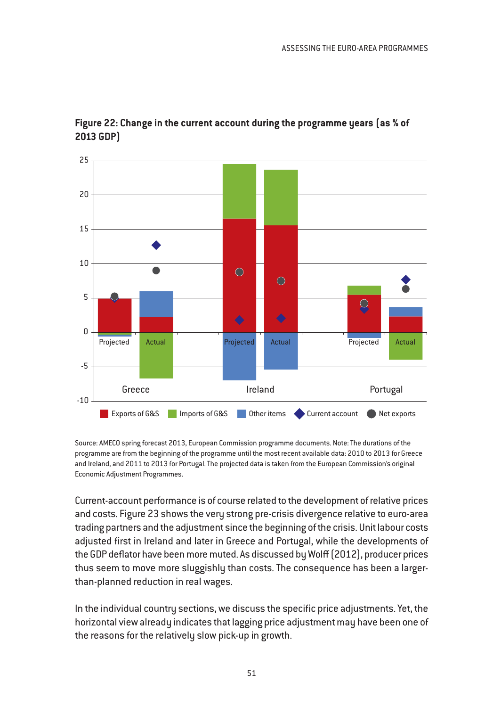

# **Figure 22: Change in the current account during the programme years (as % of 2013 GDP)**

Source: AMECO spring forecast 2013, European Commission programme documents. Note: The durations of the programme are from the beginning of the programme until the most recent available data: 2010 to 2013 for Greece and Ireland, and 2011 to 2013 for Portugal. The projected data is taken from the European Commission's original Economic Adjustment Programmes.

Current-account performance is of course related to the development of relative prices and costs. Figure 23 shows the very strong pre-crisis divergence relative to euro-area trading partners and the adjustment since the beginning of the crisis. Unit labour costs adjusted first in Ireland and later in Greece and Portugal, while the developments of the GDP deflator have been more muted. As discussed by Wolff (2012), producer prices thus seem to move more sluggishly than costs. The consequence has been a largerthan-planned reduction in real wages.

In the individual country sections, we discuss the specific price adjustments. Yet, the horizontal view already indicates that lagging price adjustment may have been one of the reasons for the relatively slow pick-up in growth.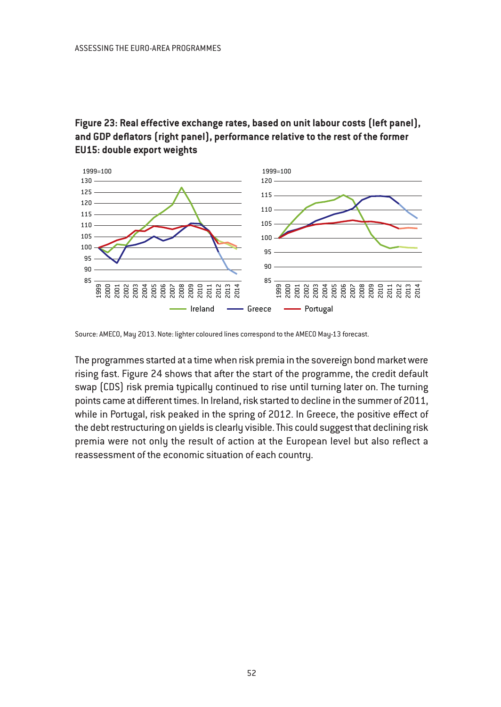# **Figure 23: Real effective exchange rates, based on unit labour costs (left panel), and GDP deflators (right panel), performance relative to the rest of the former EU15: double export weights**



Source: AMECO, May 2013. Note: lighter coloured lines correspond to the AMECO May-13 forecast.

The programmes started at a time when risk premia in the sovereign bond market were rising fast. Figure 24 shows that after the start of the programme, the credit default swap (CDS) risk premia typically continued to rise until turning later on. The turning points came at different times. In Ireland, risk started to decline in the summer of 2011, while in Portugal, risk peaked in the spring of 2012. In Greece, the positive effect of the debt restructuring on yields is clearly visible. This could suggest that declining risk premia were not only the result of action at the European level but also reflect a reassessment of the economic situation of each country.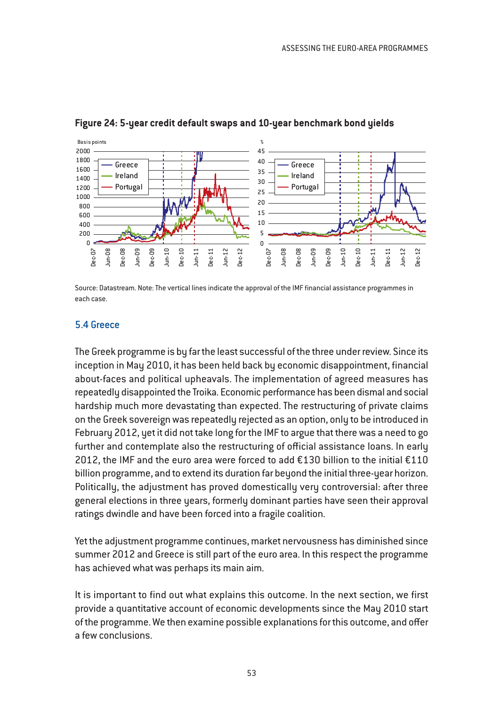

#### **Figure 24: 5-year credit default swaps and 10-year benchmark bond yields**

Source: Datastream. Note: The vertical lines indicate the approval of the IMF financial assistance programmes in each case.

#### 5.4 Greece

The Greek programme is by far the least successful of the three under review. Since its inception in May 2010, it has been held back by economic disappointment, financial about-faces and political upheavals. The implementation of agreed measures has repeatedly disappointed the Troika. Economic performance has been dismal and social hardship much more devastating than expected. The restructuring of private claims on the Greek sovereign was repeatedly rejected as an option, only to be introduced in February 2012, yet it did not take long for the IMF to argue that there was a need to go further and contemplate also the restructuring of official assistance loans. In early 2012, the IMF and the euro area were forced to add  $£130$  billion to the initial  $£110$ billion programme, and to extend its duration far beyond the initial three-year horizon. Politically, the adjustment has proved domestically very controversial: after three general elections in three years, formerly dominant parties have seen their approval ratings dwindle and have been forced into a fragile coalition.

Yet the adjustment programme continues, market nervousness has diminished since summer 2012 and Greece is still part of the euro area. In this respect the programme has achieved what was perhaps its main aim.

It is important to find out what explains this outcome. In the next section, we first provide a quantitative account of economic developments since the May 2010 start of the programme. We then examine possible explanations for this outcome, and offer a few conclusions.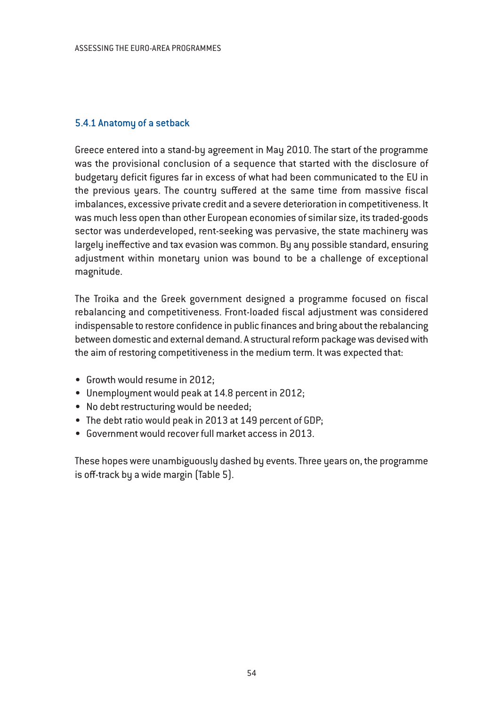# 5.4.1 Anatomy of a setback

Greece entered into a stand-by agreement in May 2010. The start of the programme was the provisional conclusion of a sequence that started with the disclosure of budgetary deficit figures far in excess of what had been communicated to the EU in the previous years. The country suffered at the same time from massive fiscal imbalances, excessive private credit and a severe deterioration in competitiveness. It was much less open than other European economies of similar size, its traded-goods sector was underdeveloped, rent-seeking was pervasive, the state machinery was largely ineffective and tax evasion was common. By any possible standard, ensuring adjustment within monetary union was bound to be a challenge of exceptional magnitude.

The Troika and the Greek government designed a programme focused on fiscal rebalancing and competitiveness. Front-loaded fiscal adjustment was considered indispensable to restore confidence in public finances and bring about the rebalancing between domestic and external demand. A structural reform package was devised with the aim of restoring competitiveness in the medium term. It was expected that:

- Growth would resume in 2012;
- Unemployment would peak at 14.8 percent in 2012;
- No debt restructuring would be needed;
- The debt ratio would peak in 2013 at 149 percent of GDP;
- Government would recover full market access in 2013.

These hopes were unambiguously dashed by events. Three years on, the programme is off-track by a wide margin (Table 5).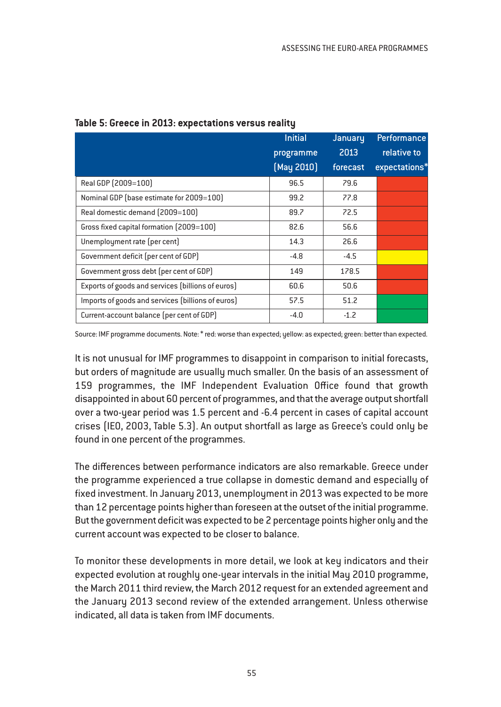|                                                   | <b>Initial</b> | January  | <b>Performance</b> |
|---------------------------------------------------|----------------|----------|--------------------|
|                                                   | programme      | 2013     | relative to        |
|                                                   | [May 2010]     | forecast | expectations*      |
| Real GDP (2009=100)                               | 96.5           | 79.6     |                    |
| Nominal GDP (base estimate for 2009=100)          | 99.2           | 77.8     |                    |
| Real domestic demand [2009=100]                   | 89.7           | 72.5     |                    |
| Gross fixed capital formation (2009=100)          | 82.6           | 56.6     |                    |
| Unemployment rate (per cent)                      | 14.3           | 26.6     |                    |
| Government deficit (per cent of GDP)              | $-4.8$         | $-4.5$   |                    |
| Government gross debt (per cent of GDP)           | 149            | 178.5    |                    |
| Exports of goods and services (billions of euros) | 60.6           | 50.6     |                    |
| Imports of goods and services (billions of euros) | 57.5           | 51.2     |                    |
| Current-account balance (per cent of GDP)         | $-4.0$         | $-1.2$   |                    |

#### **Table 5: Greece in 2013: expectations versus reality**

Source: IMF programme documents. Note: \* red: worse than expected; yellow: as expected; green: better than expected.

It is not unusual for IMF programmes to disappoint in comparison to initial forecasts, but orders of magnitude are usually much smaller. On the basis of an assessment of 159 programmes, the IMF Independent Evaluation Office found that growth disappointed in about 60 percent of programmes, and that the average output shortfall over a two-year period was 1.5 percent and -6.4 percent in cases of capital account crises (IEO, 2003, Table 5.3). An output shortfall as large as Greece's could only be found in one percent of the programmes.

The differences between performance indicators are also remarkable. Greece under the programme experienced a true collapse in domestic demand and especially of fixed investment. In January 2013, unemployment in 2013 was expected to be more than 12 percentage points higher than foreseen at the outset of the initial programme. But the government deficit was expected to be 2 percentage points higher only and the current account was expected to be closer to balance.

To monitor these developments in more detail, we look at key indicators and their expected evolution at roughly one-year intervals in the initial May 2010 programme, the March 2011 third review, the March 2012 request for an extended agreement and the January 2013 second review of the extended arrangement. Unless otherwise indicated, all data is taken from IMF documents.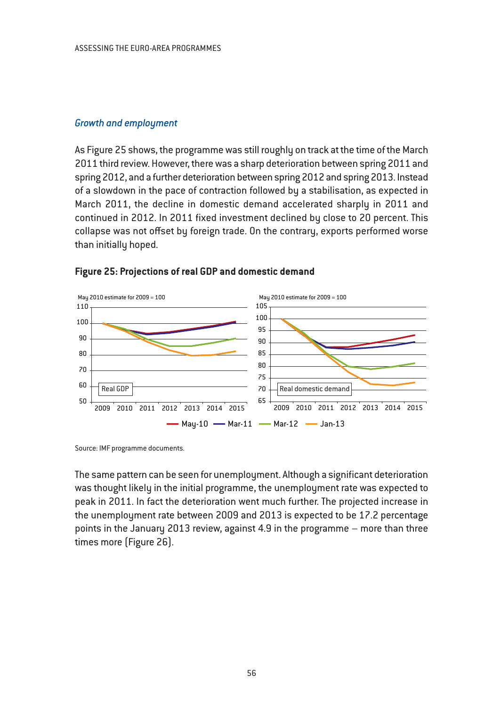## *Growth and employment*

As Figure 25 shows, the programme was still roughly on track at the time of the March 2011 third review. However, there was a sharp deterioration between spring 2011 and spring 2012, and a further deterioration between spring 2012 and spring 2013. Instead of a slowdown in the pace of contraction followed by a stabilisation, as expected in March 2011, the decline in domestic demand accelerated sharply in 2011 and continued in 2012. In 2011 fixed investment declined by close to 20 percent. This collapse was not offset by foreign trade. On the contrary, exports performed worse than initially hoped.



#### **Figure 25: Projections of real GDP and domestic demand**

Source: IMF programme documents.

The same pattern can be seen for unemployment. Although a significant deterioration was thought likely in the initial programme, the unemployment rate was expected to peak in 2011. In fact the deterioration went much further. The projected increase in the unemployment rate between 2009 and 2013 is expected to be 17.2 percentage points in the January 2013 review, against 4.9 in the programme – more than three times more (Figure 26).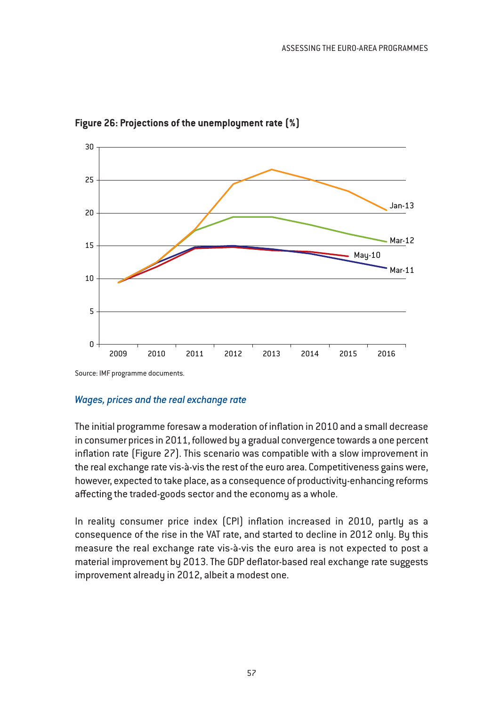

**Figure 26: Projections of the unemployment rate (%)**

Source: IMF programme documents.

# *Wages, prices and the real exchange rate*

The initial programme foresaw a moderation of inflation in 2010 and a small decrease in consumer prices in 2011, followed by a gradual convergence towards a one percent inflation rate (Figure 27). This scenario was compatible with a slow improvement in the real exchange rate vis-à-vis the rest of the euro area. Competitiveness gains were, however, expected to take place, as a consequence of productivity-enhancing reforms affecting the traded-goods sector and the economy as a whole.

In reality consumer price index (CPI) inflation increased in 2010, partly as a consequence of the rise in the VAT rate, and started to decline in 2012 only. By this measure the real exchange rate vis-à-vis the euro area is not expected to post a material improvement by 2013. The GDP deflator-based real exchange rate suggests improvement already in 2012, albeit a modest one.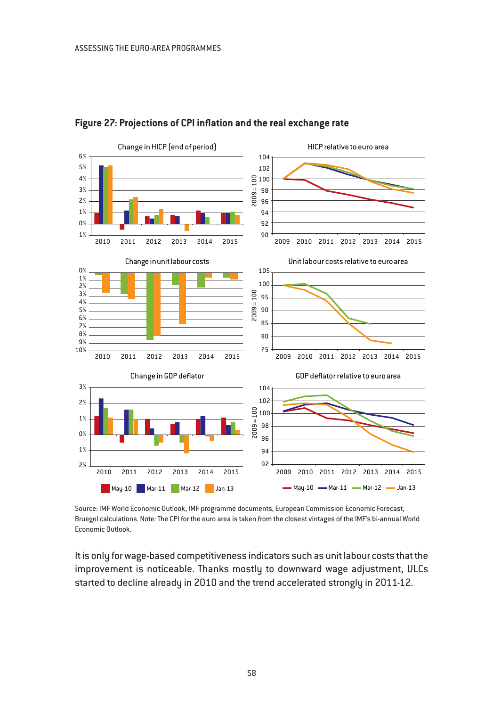

# **Figure 27: Projections of CPI inflation and the real exchange rate**

Source: IMF World Economic Outlook, IMF programme documents, European Commission Economic Forecast, Bruegel calculations. Note: The CPI for the euro area is taken from the closest vintages of the IMF's bi-annual World Economic Outlook.

It is only for wage-based competitiveness indicators such as unit labour costs that the improvement is noticeable. Thanks mostly to downward wage adjustment, ULCs started to decline already in 2010 and the trend accelerated strongly in 2011-12.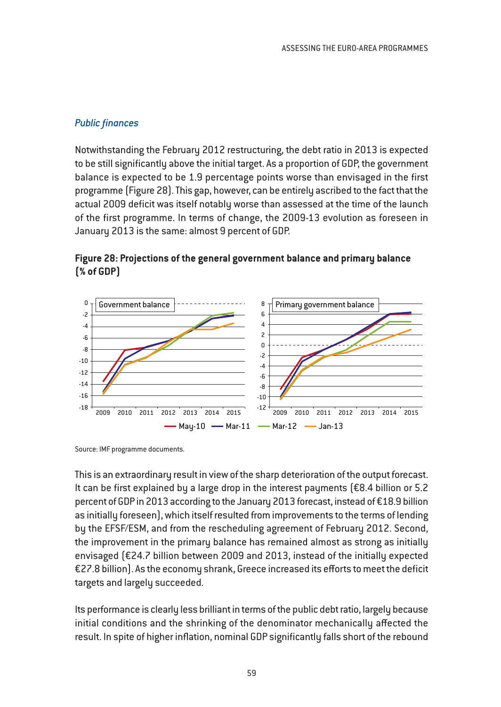# *Public finances*

Notwithstanding the February 2012 restructuring, the debt ratio in 2013 is expected to be still significantly above the initial target. As a proportion of GDP, the government balance is expected to be 1.9 percentage points worse than envisaged in the first programme (Figure 28). This gap, however, can be entirely ascribed to the fact that the actual 2009 deficit was itself notably worse than assessed at the time of the launch of the first programme. In terms of change, the 2009-13 evolution as foreseen in January 2013 is the same: almost 9 percent of GDP.

# **Figure 28: Projections of the general government balance and primary balance (% of GDP)**



Source: IMF programme documents.

This is an extraordinary result in view of the sharp deterioration of the output forecast. It can be first explained by a large drop in the interest payments (€8.4 billion or 5.2 percent of GDP in 2013 according to the January 2013 forecast, instead of €18.9 billion as initially foreseen), which itself resulted from improvements to the terms of lending by the EFSF/ESM, and from the rescheduling agreement of February 2012. Second, the improvement in the primary balance has remained almost as strong as initially envisaged (€24.7 billion between 2009 and 2013, instead of the initially expected €27.8 billion). As the economy shrank, Greece increased its efforts to meet the deficit targets and largely succeeded.

Its performance is clearly less brilliant in terms of the public debt ratio, largely because initial conditions and the shrinking of the denominator mechanically affected the result. In spite of higher inflation, nominal GDP significantly falls short of the rebound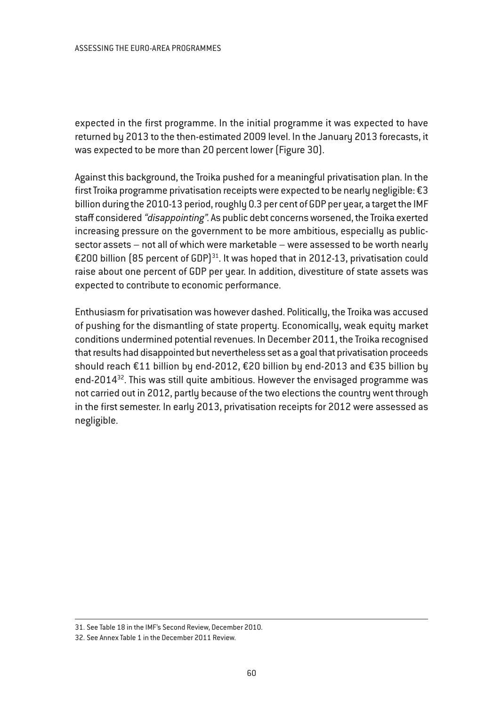expected in the first programme. In the initial programme it was expected to have returned by 2013 to the then-estimated 2009 level. In the January 2013 forecasts, it was expected to be more than 20 percent lower (Figure 30).

Against this background, the Troika pushed for a meaningful privatisation plan. In the first Troika programme privatisation receipts were expected to be nearly negligible: €3 billion during the 2010-13 period, roughly 0.3 per cent of GDP per year, a target the IMF staff considered "disappointing". As public debt concerns worsened, the Troika exerted increasing pressure on the government to be more ambitious, especially as publicsector assets – not all of which were marketable – were assessed to be worth nearly €200 billion (85 percent of GDP)<sup>31</sup>. It was hoped that in 2012-13, privatisation could raise about one percent of GDP per year. In addition, divestiture of state assets was expected to contribute to economic performance.

Enthusiasm for privatisation was however dashed. Politically, the Troika was accused of pushing for the dismantling of state property. Economically, weak equity market conditions undermined potential revenues. In December 2011, the Troika recognised that results had disappointed but nevertheless set as a goal that privatisation proceeds should reach €11 billion by end-2012, €20 billion by end-2013 and €35 billion by end-2014<sup>32</sup>. This was still quite ambitious. However the envisaged programme was not carried out in 2012, partly because of the two elections the country went through in the first semester. In early 2013, privatisation receipts for 2012 were assessed as negligible.

<sup>31.</sup> See Table 18 in the IMF's Second Review, December 2010.

<sup>32.</sup> See Annex Table 1 in the December 2011 Review.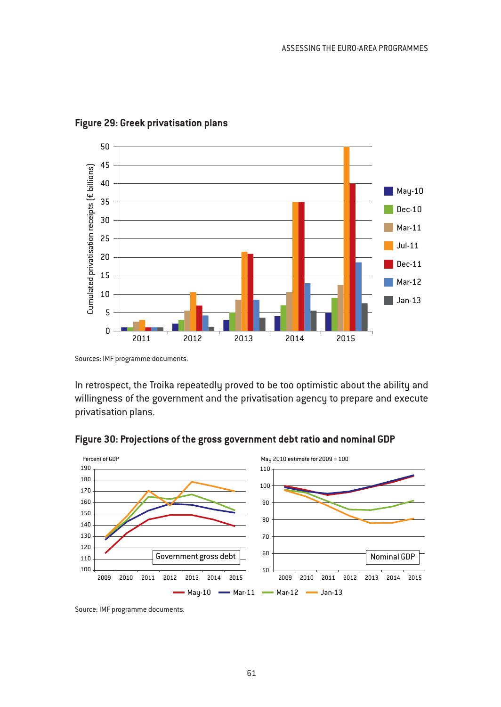

#### **Figure 29: Greek privatisation plans**

In retrospect, the Troika repeatedly proved to be too optimistic about the ability and willingness of the government and the privatisation agency to prepare and execute privatisation plans.



#### **Figure 30: Projections of the gross government debt ratio and nominal GDP**

Source: IMF programme documents.

Sources: IMF programme documents.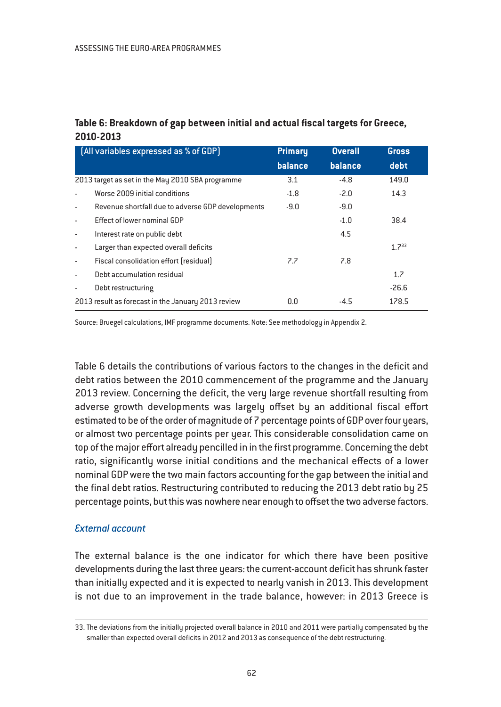# **Table 6: Breakdown of gap between initial and actual fiscal targets for Greece, 2010-2013**

|                                                    | [All variables expressed as % of GDP]             | <b>Primary</b> | <b>Overall</b> | Gross      |
|----------------------------------------------------|---------------------------------------------------|----------------|----------------|------------|
|                                                    |                                                   | balance        | balance        | debt       |
| 2013 target as set in the May 2010 SBA programme   |                                                   | 3.1            | $-4.8$         | 149.0      |
|                                                    | Worse 2009 initial conditions                     | $-1.8$         | $-2.0$         | 14.3       |
| ٠                                                  | Revenue shortfall due to adverse GDP developments | $-9.0$         | $-9.0$         |            |
| ٠                                                  | Effect of lower nominal GDP                       |                | $-1.0$         | 38.4       |
| $\blacksquare$                                     | Interest rate on public debt                      |                | 4.5            |            |
| ٠                                                  | Larger than expected overall deficits             |                |                | $1.7^{33}$ |
| $\overline{\phantom{a}}$                           | Fiscal consolidation effort (residual)            | 7.7            | 7.8            |            |
| ٠                                                  | Debt accumulation residual                        |                |                | 1.7        |
|                                                    | Debt restructuring                                |                |                | $-26.6$    |
| 2013 result as forecast in the January 2013 review |                                                   | 0.0            | $-4.5$         | 178.5      |

Source: Bruegel calculations, IMF programme documents. Note: See methodology in Appendix 2.

Table 6 details the contributions of various factors to the changes in the deficit and debt ratios between the 2010 commencement of the programme and the January 2013 review. Concerning the deficit, the very large revenue shortfall resulting from adverse growth developments was largely offset by an additional fiscal effort estimated to be of the order of magnitude of 7 percentage points of GDP over four years, or almost two percentage points per year. This considerable consolidation came on top of the major effort already pencilled in in the first programme. Concerning the debt ratio, significantly worse initial conditions and the mechanical effects of a lower nominal GDP were the two main factors accounting for the gap between the initial and the final debt ratios. Restructuring contributed to reducing the 2013 debt ratio by 25 percentage points, but this was nowhere near enough to offset the two adverse factors.

# *External account*

The external balance is the one indicator for which there have been positive developments during the last three years: the current-account deficit has shrunk faster than initially expected and it is expected to nearly vanish in 2013. This development is not due to an improvement in the trade balance, however: in 2013 Greece is

<sup>33.</sup> The deviations from the initially projected overall balance in 2010 and 2011 were partially compensated by the smaller than expected overall deficits in 2012 and 2013 as consequence of the debt restructuring.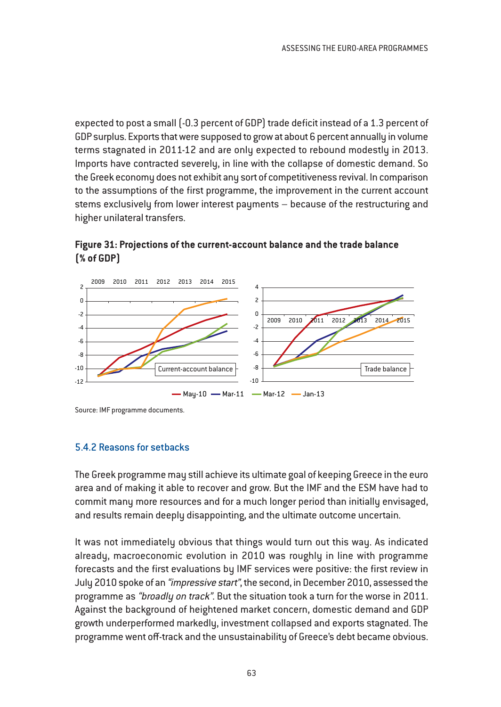expected to post a small (-0.3 percent of GDP) trade deficit instead of a 1.3 percent of GDP surplus. Exports that were supposed to grow at about 6 percent annually in volume terms stagnated in 2011-12 and are only expected to rebound modestly in 2013. Imports have contracted severely, in line with the collapse of domestic demand. So the Greek economy does not exhibit any sort of competitiveness revival. In comparison to the assumptions of the first programme, the improvement in the current account stems exclusively from lower interest payments – because of the restructuring and higher unilateral transfers.

**Figure 31: Projections of the current-account balance and the trade balance (% of GDP)**



Source: IMF programme documents.

# 5.4.2 Reasons for setbacks

The Greek programme may still achieve its ultimate goal of keeping Greece in the euro area and of making it able to recover and grow. But the IMF and the ESM have had to commit many more resources and for a much longer period than initially envisaged, and results remain deeply disappointing, and the ultimate outcome uncertain.

It was not immediately obvious that things would turn out this way. As indicated already, macroeconomic evolution in 2010 was roughly in line with programme forecasts and the first evaluations by IMF services were positive: the first review in July 2010 spoke of an "impressive start", the second, in December 2010, assessed the programme as "broadly on track". But the situation took a turn for the worse in 2011. Against the background of heightened market concern, domestic demand and GDP growth underperformed markedly, investment collapsed and exports stagnated. The programme went off-track and the unsustainability of Greece's debt became obvious.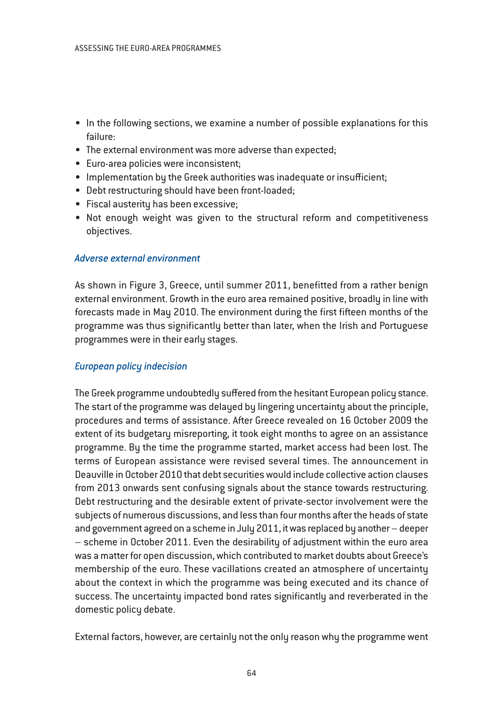- In the following sections, we examine a number of possible explanations for this failure:
- The external environment was more adverse than expected;
- Euro-area policies were inconsistent;
- Implementation by the Greek authorities was inadequate or insufficient;
- Debt restructuring should have been front-loaded;
- Fiscal austerity has been excessive;
- Not enough weight was given to the structural reform and competitiveness objectives.

#### *Adverse external environment*

As shown in Figure 3, Greece, until summer 2011, benefitted from a rather benign external environment. Growth in the euro area remained positive, broadly in line with forecasts made in May 2010. The environment during the first fifteen months of the programme was thus significantly better than later, when the Irish and Portuguese programmes were in their early stages.

#### *European policy indecision*

The Greek programme undoubtedly suffered from the hesitant European policy stance. The start of the programme was delayed by lingering uncertainty about the principle, procedures and terms of assistance. After Greece revealed on 16 October 2009 the extent of its budgetary misreporting, it took eight months to agree on an assistance programme. By the time the programme started, market access had been lost. The terms of European assistance were revised several times. The announcement in Deauville in October 2010 that debt securities would include collective action clauses from 2013 onwards sent confusing signals about the stance towards restructuring. Debt restructuring and the desirable extent of private-sector involvement were the subjects of numerous discussions, and less than four months after the heads of state and government agreed on a scheme in July 2011, it was replaced by another – deeper – scheme in October 2011. Even the desirability of adjustment within the euro area was a matter for open discussion, which contributed to market doubts about Greece's membership of the euro. These vacillations created an atmosphere of uncertainty about the context in which the programme was being executed and its chance of success. The uncertainty impacted bond rates significantly and reverberated in the domestic policy debate.

External factors, however, are certainly not the only reason why the programme went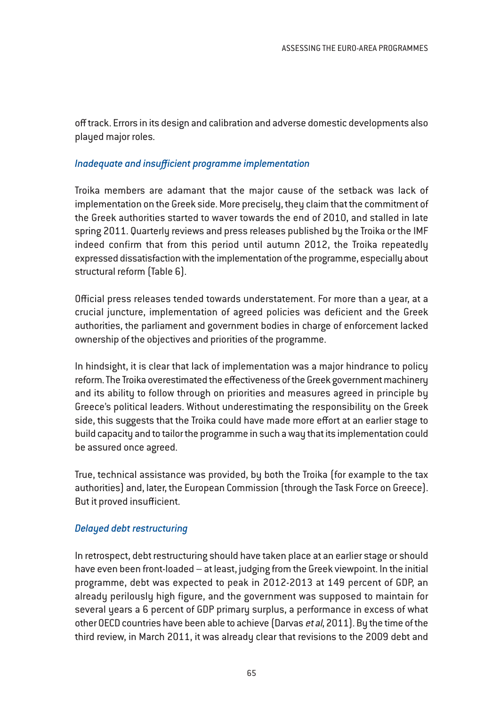off track. Errors in its design and calibration and adverse domestic developments also played major roles.

# *Inadequate and insufficient programme implementation*

Troika members are adamant that the major cause of the setback was lack of implementation on the Greek side. More precisely, they claim that the commitment of the Greek authorities started to waver towards the end of 2010, and stalled in late spring 2011. Quarterly reviews and press releases published by the Troika or the IMF indeed confirm that from this period until autumn 2012, the Troika repeatedly expressed dissatisfaction with the implementation of the programme, especially about structural reform (Table 6).

Official press releases tended towards understatement. For more than a year, at a crucial juncture, implementation of agreed policies was deficient and the Greek authorities, the parliament and government bodies in charge of enforcement lacked ownership of the objectives and priorities of the programme.

In hindsight, it is clear that lack of implementation was a major hindrance to policy reform. The Troika overestimated the effectiveness of the Greek government machinery and its ability to follow through on priorities and measures agreed in principle by Greece's political leaders. Without underestimating the responsibility on the Greek side, this suggests that the Troika could have made more effort at an earlier stage to build capacity and to tailor the programme in such a way that its implementation could be assured once agreed.

True, technical assistance was provided, by both the Troika (for example to the tax authorities) and, later, the European Commission (through the Task Force on Greece). But it proved insufficient.

# *Delayed debt restructuring*

In retrospect, debt restructuring should have taken place at an earlier stage or should have even been front-loaded – at least, judging from the Greek viewpoint. In the initial programme, debt was expected to peak in 2012-2013 at 149 percent of GDP, an already perilously high figure, and the government was supposed to maintain for several years a 6 percent of GDP primary surplus, a performance in excess of what other OECD countries have been able to achieve (Darvas et al, 2011). By the time of the third review, in March 2011, it was already clear that revisions to the 2009 debt and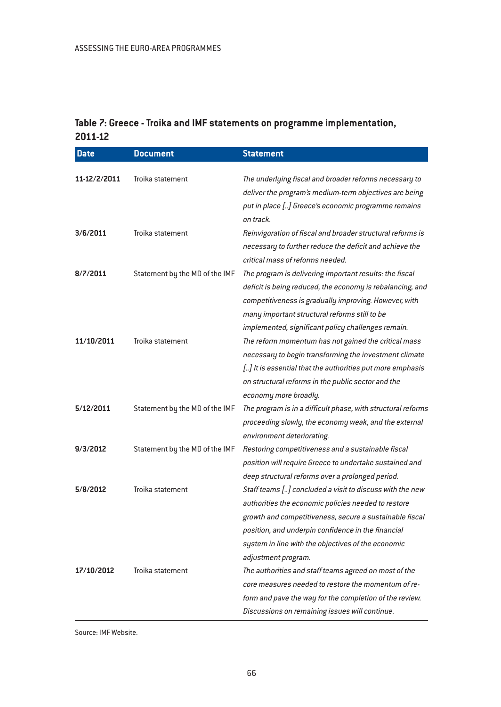# **Table 7: Greece - Troika and IMF statements on programme implementation, 2011-12**

| <b>Date</b>  | <b>Document</b>                | <b>Statement</b>                                                                                                                                                                                                                                                                                              |
|--------------|--------------------------------|---------------------------------------------------------------------------------------------------------------------------------------------------------------------------------------------------------------------------------------------------------------------------------------------------------------|
| 11-12/2/2011 | Troika statement               | The underlying fiscal and broader reforms necessary to<br>deliver the program's medium-term objectives are being<br>put in place [] Greece's economic programme remains<br>on track.                                                                                                                          |
| 3/6/2011     | Troika statement               | Reinvigoration of fiscal and broader structural reforms is<br>necessary to further reduce the deficit and achieve the<br>critical mass of reforms needed.                                                                                                                                                     |
| 8/7/2011     | Statement by the MD of the IMF | The program is delivering important results: the fiscal<br>deficit is being reduced, the economy is rebalancing, and<br>competitiveness is gradually improving. However, with<br>many important structural reforms still to be<br>implemented, significant policy challenges remain.                          |
| 11/10/2011   | Troika statement               | The reform momentum has not gained the critical mass<br>necessary to begin transforming the investment climate<br>[] It is essential that the authorities put more emphasis<br>on structural reforms in the public sector and the<br>economy more broadly.                                                    |
| 5/12/2011    | Statement by the MD of the IMF | The program is in a difficult phase, with structural reforms<br>proceeding slowly, the economy weak, and the external<br>environment deteriorating.                                                                                                                                                           |
| 9/3/2012     | Statement by the MD of the IMF | Restoring competitiveness and a sustainable fiscal<br>position will require Greece to undertake sustained and<br>deep structural reforms over a prolonged period.                                                                                                                                             |
| 5/8/2012     | Troika statement               | Staff teams [] concluded a visit to discuss with the new<br>authorities the economic policies needed to restore<br>growth and competitiveness, secure a sustainable fiscal<br>position, and underpin confidence in the financial<br>system in line with the objectives of the economic<br>adjustment program. |
| 17/10/2012   | Troika statement               | The authorities and staff teams agreed on most of the<br>core measures needed to restore the momentum of re-<br>form and pave the way for the completion of the review.<br>Discussions on remaining issues will continue.                                                                                     |

Source: IMF Website.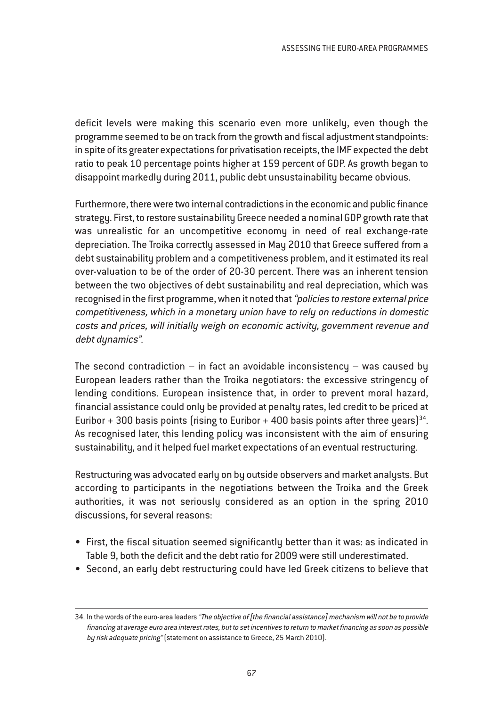deficit levels were making this scenario even more unlikely, even though the programme seemed to be on track from the growth and fiscal adjustment standpoints: in spite of its greater expectations for privatisation receipts, the IMF expected the debt ratio to peak 10 percentage points higher at 159 percent of GDP. As growth began to disappoint markedly during 2011, public debt unsustainability became obvious.

Furthermore, there were two internal contradictions in the economic and public finance strategy. First, to restore sustainability Greece needed a nominal GDP growth rate that was unrealistic for an uncompetitive economy in need of real exchange-rate depreciation. The Troika correctly assessed in May 2010 that Greece suffered from a debt sustainability problem and a competitiveness problem, and it estimated its real over-valuation to be of the order of 20-30 percent. There was an inherent tension between the two objectives of debt sustainability and real depreciation, which was recognised in the first programme, when it noted that "policies to restore external price competitiveness, which in <sup>a</sup> monetary union have to rely on reductions in domestic costs and prices, will initially weigh on economic activity, government revenue and debt dynamics".

The second contradiction  $-$  in fact an avoidable inconsistency  $-$  was caused by European leaders rather than the Troika negotiators: the excessive stringency of lending conditions. European insistence that, in order to prevent moral hazard, financial assistance could only be provided at penalty rates, led credit to be priced at Euribor + 300 basis points (rising to Euribor + 400 basis points after three years)<sup>34</sup>. As recognised later, this lending policy was inconsistent with the aim of ensuring sustainability, and it helped fuel market expectations of an eventual restructuring.

Restructuring was advocated early on by outside observers and market analysts. But according to participants in the negotiations between the Troika and the Greek authorities, it was not seriously considered as an option in the spring 2010 discussions, for several reasons:

- First, the fiscal situation seemed significantly better than it was: as indicated in Table 9, both the deficit and the debt ratio for 2009 were still underestimated.
- Second, an early debt restructuring could have led Greek citizens to believe that

<sup>34.</sup> In the words of the euro-area leaders "The objective of [the financial assistance] mechanism will not be to provide financing at average euro area interest rates, but to set incentives to return to market financing as soon as possible by risk adequate pricing" (statement on assistance to Greece, 25 March 2010).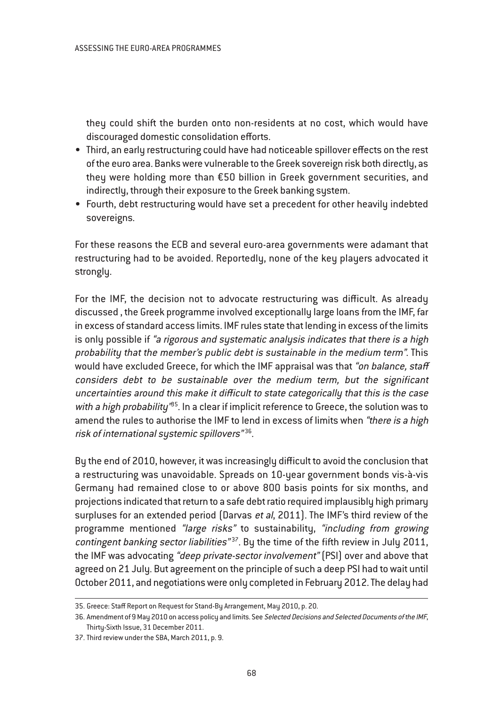they could shift the burden onto non-residents at no cost, which would have discouraged domestic consolidation efforts.

- Third, an early restructuring could have had noticeable spillover effects on the rest of the euro area. Banks were vulnerable to the Greek sovereign risk both directly, as they were holding more than €50 billion in Greek government securities, and indirectly, through their exposure to the Greek banking system.
- Fourth, debt restructuring would have set a precedent for other heavily indebted sovereigns.

For these reasons the ECB and several euro-area governments were adamant that restructuring had to be avoided. Reportedly, none of the key players advocated it strongly.

For the IMF, the decision not to advocate restructuring was difficult. As already discussed , the Greek programme involved exceptionally large loans from the IMF, far in excess of standard access limits. IMF rules state that lending in excess of the limits is only possible if "a rigorous and systematic analysis indicates that there is <sup>a</sup> high probability that the member's public debt is sustainable in the medium term". This would have excluded Greece, for which the IMF appraisal was that "on balance, staff considers debt to be sustainable over the medium term, but the significant uncertainties around this make it difficult to state categorically that this is the case with a high probability<sup>185</sup>. In a clear if implicit reference to Greece, the solution was to amend the rules to authorise the IMF to lend in excess of limits when "there is a high risk of international systemic spillovers"<sup>36</sup>.

By the end of 2010, however, it was increasingly difficult to avoid the conclusion that a restructuring was unavoidable. Spreads on 10-year government bonds vis-à-vis Germany had remained close to or above 800 basis points for six months, and projections indicated that return to a safe debt ratio required implausibly high primary surpluses for an extended period (Darvas et al, 2011). The IMF's third review of the programme mentioned "large risks" to sustainability, "including from growing contingent banking sector liabilities" $37$ . By the time of the fifth review in July 2011, the IMF was advocating "deep private-sector involvement" (PSI) over and above that agreed on 21 July. But agreement on the principle of such a deep PSI had to wait until October 2011, and negotiations were only completed in February 2012. The delay had

<sup>35.</sup> Greece: Staff Report on Request for Stand-By Arrangement, May 2010, p. 20.

<sup>36.</sup> Amendment of 9 May 2010 on access policy and limits. See Selected Decisions and Selected Documents of the IMF, Thirty-Sixth Issue, 31 December 2011.

<sup>37.</sup> Third review under the SBA, March 2011, p. 9.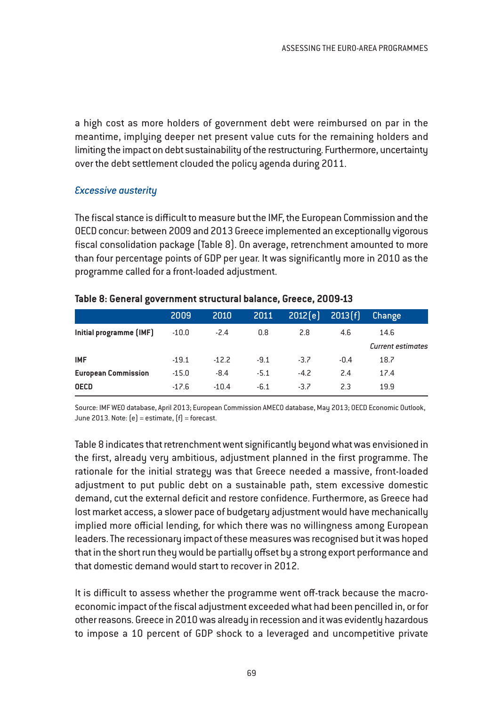a high cost as more holders of government debt were reimbursed on par in the meantime, implying deeper net present value cuts for the remaining holders and limiting the impact on debt sustainability of the restructuring. Furthermore, uncertainty over the debt settlement clouded the policy agenda during 2011.

### *Excessive austerity*

The fiscal stance is difficult to measure but the IMF, the European Commission and the OECD concur: between 2009 and 2013 Greece implemented an exceptionally vigorous fiscal consolidation package (Table 8). On average, retrenchment amounted to more than four percentage points of GDP per year. It was significantly more in 2010 as the programme called for a front-loaded adjustment.

|                            | 2009    | 2010    | 2011   | 2012[e] | 2013[f] | Change                   |
|----------------------------|---------|---------|--------|---------|---------|--------------------------|
| Initial programme (IMF)    | $-10.0$ | $-2.4$  | 0.8    | 2.8     | 4.6     | 14.6                     |
|                            |         |         |        |         |         | <b>Current estimates</b> |
| <b>IMF</b>                 | $-19.1$ | $-12.2$ | $-9.1$ | $-3.7$  | $-0.4$  | 18.7                     |
| <b>European Commission</b> | $-15.0$ | $-8.4$  | $-5.1$ | $-4.2$  | 2.4     | 17.4                     |
| <b>OECD</b>                | $-17.6$ | $-10.4$ | $-6.1$ | $-3.7$  | 2.3     | 19.9                     |

#### **Table 8: General government structural balance, Greece, 2009-13**

Source: IMF WEO database, April 2013; European Commission AMECO database, May 2013; OECD Economic Outlook, June 2013. Note:  $[e]$  = estimate,  $[f]$  = forecast.

Table 8 indicates that retrenchment went significantly beyond what was envisioned in the first, already very ambitious, adjustment planned in the first programme. The rationale for the initial strategy was that Greece needed a massive, front-loaded adjustment to put public debt on a sustainable path, stem excessive domestic demand, cut the external deficit and restore confidence. Furthermore, as Greece had lost market access, a slower pace of budgetary adjustment would have mechanically implied more official lending, for which there was no willingness among European leaders. The recessionary impact of these measures was recognised but it was hoped that in the short run they would be partially offset by a strong export performance and that domestic demand would start to recover in 2012.

It is difficult to assess whether the programme went off-track because the macroeconomic impact of the fiscal adjustment exceeded what had been pencilled in, or for other reasons. Greece in 2010 was already in recession and it was evidently hazardous to impose a 10 percent of GDP shock to a leveraged and uncompetitive private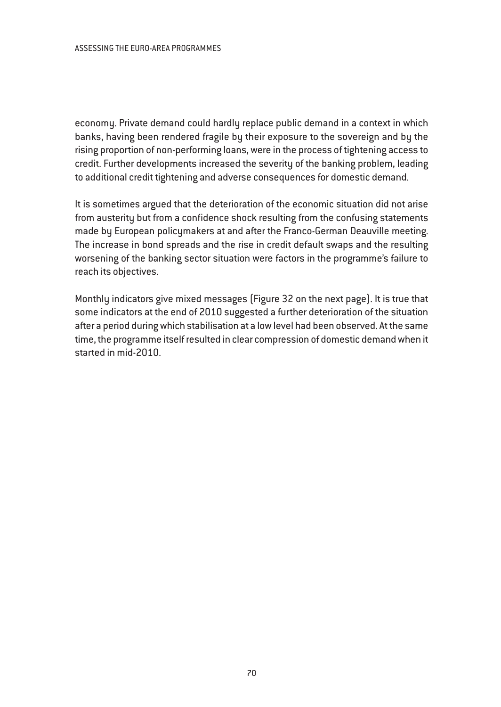economy. Private demand could hardly replace public demand in a context in which banks, having been rendered fragile by their exposure to the sovereign and by the rising proportion of non-performing loans, were in the process of tightening access to credit. Further developments increased the severity of the banking problem, leading to additional credit tightening and adverse consequences for domestic demand.

It is sometimes argued that the deterioration of the economic situation did not arise from austerity but from a confidence shock resulting from the confusing statements made by European policymakers at and after the Franco-German Deauville meeting. The increase in bond spreads and the rise in credit default swaps and the resulting worsening of the banking sector situation were factors in the programme's failure to reach its objectives.

Monthly indicators give mixed messages (Figure 32 on the next page). It is true that some indicators at the end of 2010 suggested a further deterioration of the situation after a period during which stabilisation at a low level had been observed. At the same time, the programme itself resulted in clear compression of domestic demand when it started in mid-2010.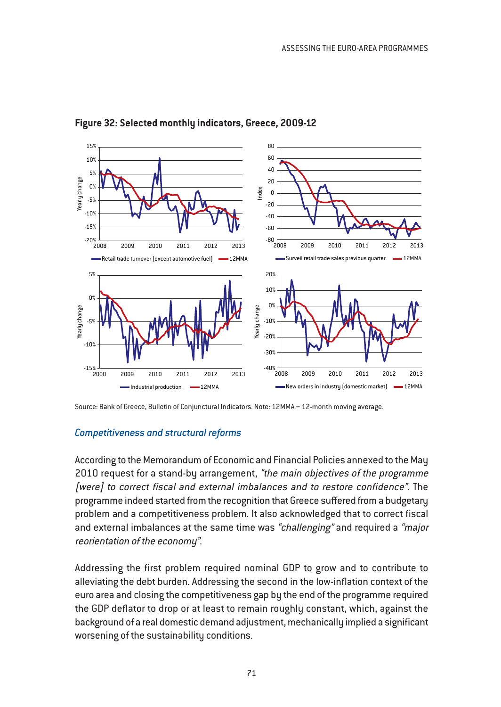

### **Figure 32: Selected monthly indicators, Greece, 2009-12**

### *Competitiveness and structural reforms*

According to the Memorandum of Economic and Financial Policies annexed to the May 2010 request for a stand-by arrangement, "the main objectives of the programme [were] to correct fiscal and external imbalances and to restore confidence". The programme indeed started from the recognition that Greece suffered from a budgetary problem and a competitiveness problem. It also acknowledged that to correct fiscal and external imbalances at the same time was "challenging" and required a "major reorientation of the economy".

Addressing the first problem required nominal GDP to grow and to contribute to alleviating the debt burden. Addressing the second in the low-inflation context of the euro area and closing the competitiveness gap by the end of the programme required the GDP deflator to drop or at least to remain roughly constant, which, against the background of a real domestic demand adjustment, mechanically implied a significant worsening of the sustainability conditions.

Source: Bank of Greece, Bulletin of Conjunctural Indicators. Note: 12MMA = 12-month moving average.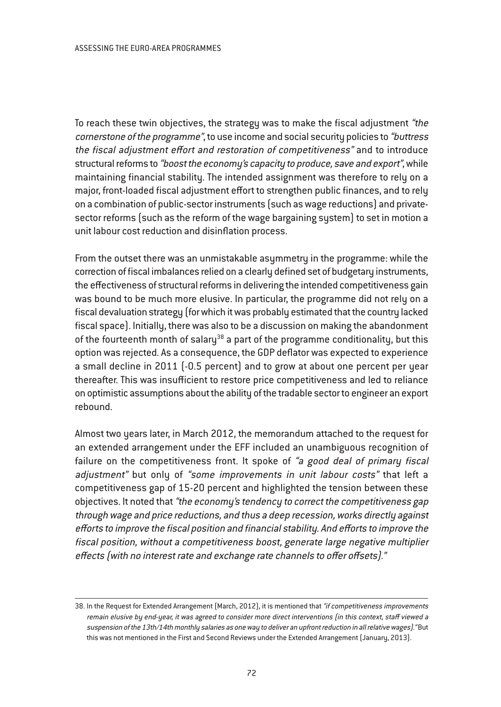To reach these twin objectives, the strategy was to make the fiscal adjustment "the cornerstone of the programme", to use income and social security policies to "buttress the fiscal adjustment effort and restoration of competitiveness" and to introduce structural reforms to "boost the economy's capacity to produce, save and export", while maintaining financial stability. The intended assignment was therefore to rely on a major, front-loaded fiscal adjustment effort to strengthen public finances, and to rely on a combination of public-sector instruments (such as wage reductions) and privatesector reforms (such as the reform of the wage bargaining system) to set in motion a unit labour cost reduction and disinflation process.

From the outset there was an unmistakable asymmetry in the programme: while the correction of fiscal imbalances relied on a clearly defined set of budgetary instruments, the effectiveness of structural reforms in delivering the intended competitiveness gain was bound to be much more elusive. In particular, the programme did not rely on a fiscal devaluation strategy (for which it was probably estimated that the country lacked fiscal space). Initially, there was also to be a discussion on making the abandonment of the fourteenth month of salary<sup>38</sup> a part of the programme conditionality, but this option was rejected. As a consequence, the GDP deflator was expected to experience a small decline in 2011 (-0.5 percent) and to grow at about one percent per year thereafter. This was insufficient to restore price competitiveness and led to reliance on optimistic assumptions about the ability of the tradable sector to engineer an export rebound.

Almost two years later, in March 2012, the memorandum attached to the request for an extended arrangement under the EFF included an unambiguous recognition of failure on the competitiveness front. It spoke of "a good deal of primary fiscal adjustment" but only of "some improvements in unit labour costs" that left a competitiveness gap of 15-20 percent and highlighted the tension between these objectives. It noted that "the economy's tendency to correct the competitiveness gap through wage and price reductions, and thus <sup>a</sup> deep recession, works directly against efforts to improve the fiscal position and financial stability. And efforts to improve the fiscal position, without <sup>a</sup> competitiveness boost, generate large negative multiplier effects (with no interest rate and exchange rate channels to offer offsets)."

<sup>38.</sup> In the Request for Extended Arrangement (March, 2012), it is mentioned that "if competitiveness improvements remain elusive by end-year, it was agree<sup>d</sup> to consider more direct interventions (in this context, staff viewed <sup>a</sup> suspension of the 13th/14th monthly salaries as one way to deliver an upfront reduction in all relative wages)." But this was not mentioned in the First and Second Reviews under the Extended Arrangement (January, 2013).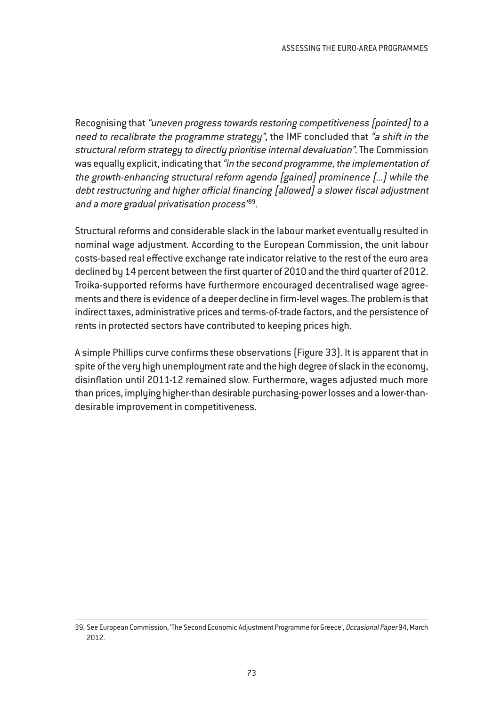Recognising that "uneven progress towards restoring competitiveness [pointed] to <sup>a</sup> need to recalibrate the programme strategy", the IMF concluded that "a shift in the structural reform strategy to directly prioritise internal devaluation". The Commission was equally explicit, indicating that "in the second programme, the implementation of the growth-enhancing structural reform agenda [gained] prominence [...] while the debt restructuring and higher official financing [allowed] <sup>a</sup> slower fiscal adjustment and a more gradual privatisation process<sup>'89</sup>.

Structural reforms and considerable slack in the labour market eventually resulted in nominal wage adjustment. According to the European Commission, the unit labour costs-based real effective exchange rate indicator relative to the rest of the euro area declined by 14 percent between the first quarter of 2010 and the third quarter of 2012. Troika-supported reforms have furthermore encouraged decentralised wage agreements and there is evidence of a deeper decline in firm-level wages. The problem is that indirect taxes, administrative prices and terms-of-trade factors, and the persistence of rents in protected sectors have contributed to keeping prices high.

A simple Phillips curve confirms these observations (Figure 33). It is apparent that in spite of the very high unemployment rate and the high degree of slack in the economy, disinflation until 2011-12 remained slow. Furthermore, wages adjusted much more than prices, implying higher-than desirable purchasing-power losses and a lower-thandesirable improvement in competitiveness.

<sup>39.</sup> See European Commission, 'The Second Economic Adjustment Programme for Greece', Occasional Paper 94, March 2012.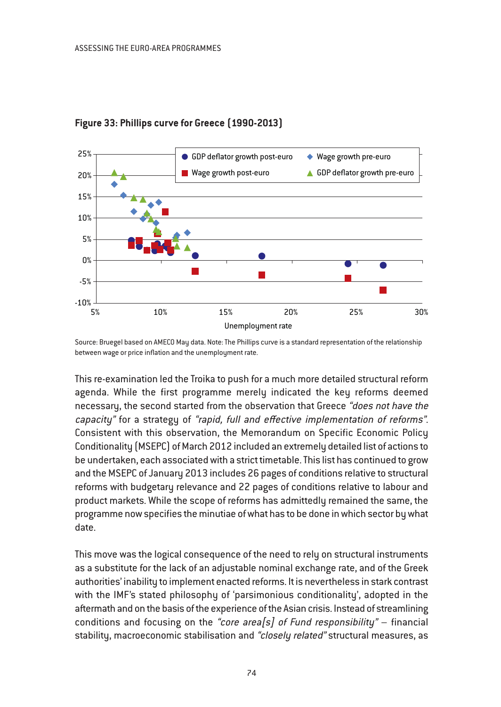

# **Figure 33: Phillips curve for Greece (1990-2013)**

Source: Bruegel based on AMECO May data. Note: The Phillips curve is a standard representation of the relationship between wage or price inflation and the unemployment rate.

This re-examination led the Troika to push for a much more detailed structural reform agenda. While the first programme merely indicated the key reforms deemed necessary, the second started from the observation that Greece "does not have the capacity" for a strategy of "rapid, full and effective implementation of reforms". Consistent with this observation, the Memorandum on Specific Economic Policy Conditionality (MSEPC) of March 2012 included an extremely detailed list of actions to be undertaken, each associated with a strict timetable. This list has continued to grow and the MSEPC of January 2013 includes 26 pages of conditions relative to structural reforms with budgetary relevance and 22 pages of conditions relative to labour and product markets. While the scope of reforms has admittedly remained the same, the programme now specifies the minutiae of what has to be done in which sector by what date.

This move was the logical consequence of the need to rely on structural instruments as a substitute for the lack of an adjustable nominal exchange rate, and of the Greek authorities' inability to implement enacted reforms. It is nevertheless in stark contrast with the IMF's stated philosophy of 'parsimonious conditionality', adopted in the aftermath and on the basis of the experience of the Asian crisis. Instead of streamlining conditions and focusing on the "core area<sup>[5]</sup> of Fund responsibility" – financial stability, macroeconomic stabilisation and "closely related" structural measures, as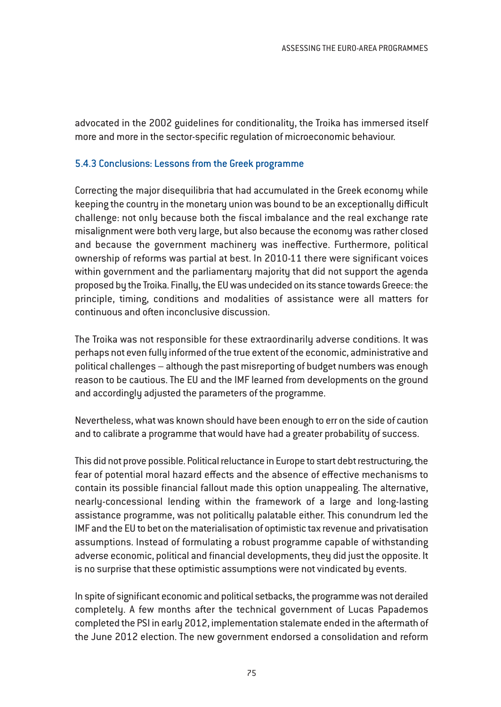advocated in the 2002 guidelines for conditionality, the Troika has immersed itself more and more in the sector-specific regulation of microeconomic behaviour.

### 5.4.3 Conclusions: Lessons from the Greek programme

Correcting the major disequilibria that had accumulated in the Greek economy while keeping the country in the monetary union was bound to be an exceptionally difficult challenge: not only because both the fiscal imbalance and the real exchange rate misalignment were both very large, but also because the economy was rather closed and because the government machinery was ineffective. Furthermore, political ownership of reforms was partial at best. In 2010-11 there were significant voices within government and the parliamentary majority that did not support the agenda proposed by the Troika. Finally, the EU was undecided on its stance towards Greece: the principle, timing, conditions and modalities of assistance were all matters for continuous and often inconclusive discussion.

The Troika was not responsible for these extraordinarily adverse conditions. It was perhaps not even fully informed of the true extent of the economic, administrative and political challenges – although the past misreporting of budget numbers was enough reason to be cautious. The EU and the IMF learned from developments on the ground and accordingly adjusted the parameters of the programme.

Nevertheless, what was known should have been enough to err on the side of caution and to calibrate a programme that would have had a greater probability of success.

This did not prove possible. Political reluctance in Europe to start debt restructuring, the fear of potential moral hazard effects and the absence of effective mechanisms to contain its possible financial fallout made this option unappealing. The alternative, nearly-concessional lending within the framework of a large and long-lasting assistance programme, was not politically palatable either. This conundrum led the IMF and the EU to bet on the materialisation of optimistic tax revenue and privatisation assumptions. Instead of formulating a robust programme capable of withstanding adverse economic, political and financial developments, they did just the opposite. It is no surprise that these optimistic assumptions were not vindicated by events.

In spite of significant economic and political setbacks, the programme was not derailed completely. A few months after the technical government of Lucas Papademos completed the PSI in early 2012, implementation stalemate ended in the aftermath of the June 2012 election. The new government endorsed a consolidation and reform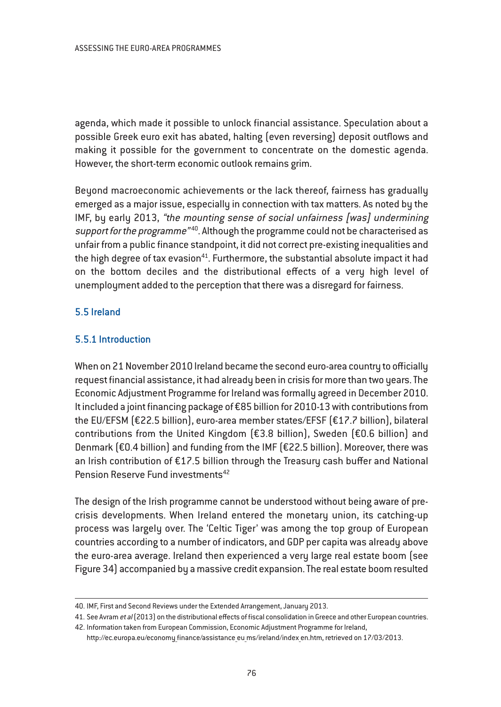agenda, which made it possible to unlock financial assistance. Speculation about a possible Greek euro exit has abated, halting (even reversing) deposit outflows and making it possible for the government to concentrate on the domestic agenda. However, the short-term economic outlook remains grim.

Beyond macroeconomic achievements or the lack thereof, fairness has gradually emerged as a major issue, especially in connection with tax matters. As noted by the IMF, by early 2013, "the mounting sense of social unfairness [was] undermining support for the programme"<sup>40</sup>. Although the programme could not be characterised as unfair from a public finance standpoint, it did not correct pre-existing inequalities and the high degree of tax evasion $41$ . Furthermore, the substantial absolute impact it had on the bottom deciles and the distributional effects of a very high level of unemployment added to the perception that there was a disregard for fairness.

# 5.5 Ireland

# 5.5.1 Introduction

When on 21 November 2010 Ireland became the second euro-area country to officially request financial assistance, it had already been in crisis for more than two years. The Economic Adjustment Programme for Ireland was formally agreed in December 2010. It included a joint financing package of €85 billion for 2010-13 with contributions from the EU/EFSM (€22.5 billion), euro-area member states/EFSF (€17.7 billion), bilateral contributions from the United Kingdom (€3.8 billion), Sweden (€0.6 billion) and Denmark (€0.4 billion) and funding from the IMF (€22.5 billion). Moreover, there was an Irish contribution of €17.5 billion through the Treasury cash buffer and National Pension Reserve Fund investments<sup>42</sup>

The design of the Irish programme cannot be understood without being aware of precrisis developments. When Ireland entered the monetary union, its catching-up process was largely over. The 'Celtic Tiger' was among the top group of European countries according to a number of indicators, and GDP per capita was already above the euro-area average. Ireland then experienced a very large real estate boom (see Figure 34) accompanied by a massive credit expansion. The real estate boom resulted

<sup>40.</sup> IMF, First and Second Reviews under the Extended Arrangement, January 2013.

<sup>41.</sup> See Avram et al(2013) on the distributional effects of fiscal consolidation in Greece and other European countries. 42. Information taken from European Commission, Economic Adjustment Programme for Ireland,

http://ec.europa.eu/economy\_finance/assistance\_eu\_ms/ireland/index\_en.htm, retrieved on 17/03/2013.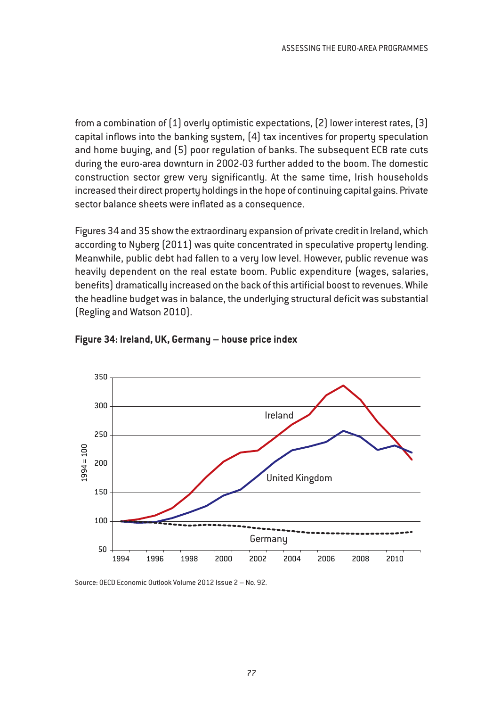from a combination of (1) overly optimistic expectations, (2) lower interest rates, (3) capital inflows into the banking system, (4) tax incentives for property speculation and home buying, and (5) poor regulation of banks. The subsequent ECB rate cuts during the euro-area downturn in 2002-03 further added to the boom. The domestic construction sector grew very significantly. At the same time, Irish households increased their direct property holdings in the hope of continuing capital gains. Private sector balance sheets were inflated as a consequence.

Figures 34 and 35 show the extraordinary expansion of private credit in Ireland, which according to Nyberg (2011) was quite concentrated in speculative property lending. Meanwhile, public debt had fallen to a very low level. However, public revenue was heavily dependent on the real estate boom. Public expenditure (wages, salaries, benefits) dramatically increased on the back of this artificial boost to revenues. While the headline budget was in balance, the underlying structural deficit was substantial (Regling and Watson 2010).



#### **Figure 34: Ireland, UK, Germany – house price index**

Source: OECD Economic Outlook Volume 2012 Issue 2 – No. 92.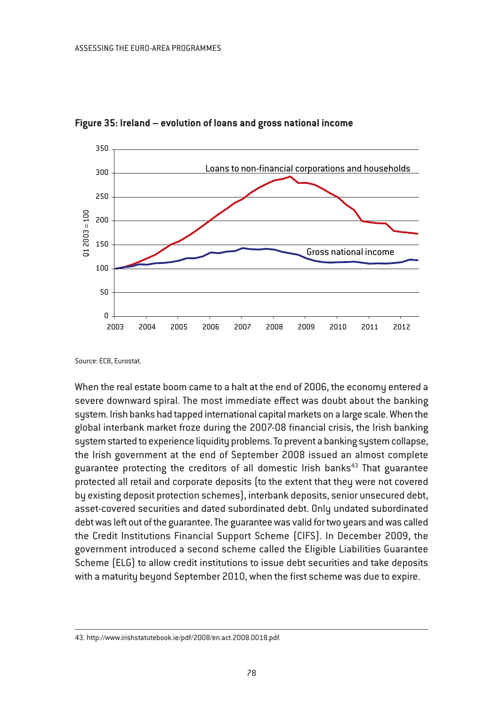

**Figure 35: Ireland – evolution of loans and gross national income**

Source: ECB, Eurostat.

When the real estate boom came to a halt at the end of 2006, the economy entered a severe downward spiral. The most immediate effect was doubt about the banking system. Irish banks had tapped international capital markets on a large scale. When the global interbank market froze during the 2007-08 financial crisis, the Irish banking system started to experience liquidity problems. To prevent a banking system collapse, the Irish government at the end of September 2008 issued an almost complete guarantee protecting the creditors of all domestic Irish banks $43$  That guarantee protected all retail and corporate deposits (to the extent that they were not covered by existing deposit protection schemes), interbank deposits, senior unsecured debt, asset-covered securities and dated subordinated debt. Only undated subordinated debt was left out of the guarantee. The guarantee was valid for two years and was called the Credit Institutions Financial Support Scheme (CIFS). In December 2009, the government introduced a second scheme called the Eligible Liabilities Guarantee Scheme (ELG) to allow credit institutions to issue debt securities and take deposits with a maturity beyond September 2010, when the first scheme was due to expire.

<sup>43.</sup> http://www.irishstatutebook.ie/pdf/2008/en.act.2008.0018.pdf.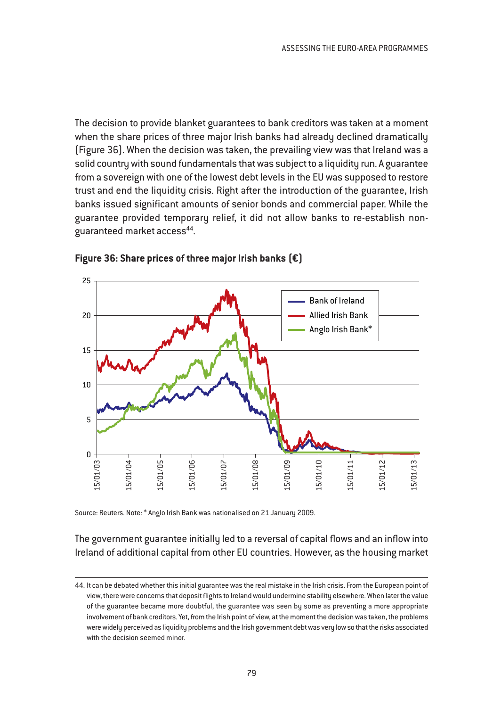The decision to provide blanket guarantees to bank creditors was taken at a moment when the share prices of three major Irish banks had already declined dramatically (Figure 36). When the decision was taken, the prevailing view was that Ireland was a solid country with sound fundamentals that was subject to a liquidity run. A guarantee from a sovereign with one of the lowest debt levels in the EU was supposed to restore trust and end the liquidity crisis. Right after the introduction of the guarantee, Irish banks issued significant amounts of senior bonds and commercial paper. While the guarantee provided temporary relief, it did not allow banks to re-establish nonguaranteed market access<sup>44</sup>.





Source: Reuters. Note: \* Anglo Irish Bank was nationalised on 21 January 2009.

The government guarantee initially led to a reversal of capital flows and an inflow into Ireland of additional capital from other EU countries. However, as the housing market

<sup>44.</sup> It can be debated whether this initial guarantee was the real mistake in the Irish crisis. From the European point of view, there were concerns that deposit flights to Ireland would undermine stability elsewhere. When later the value of the guarantee became more doubtful, the guarantee was seen by some as preventing a more appropriate involvement of bank creditors. Yet, from the Irish point of view, at the moment the decision was taken, the problems were widely perceived as liquidity problems and the Irish government debt was very low so that the risks associated with the decision seemed minor.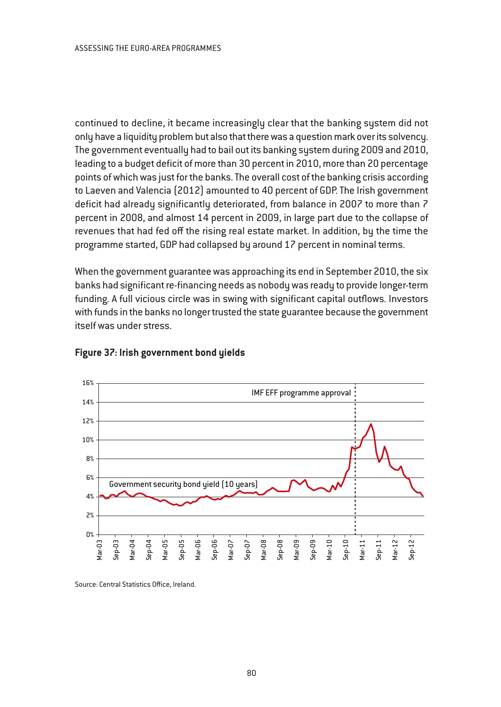continued to decline, it became increasingly clear that the banking system did not only have a liquidity problem but also that there was a question mark over its solvency. The government eventually had to bail out its banking system during 2009 and 2010, leading to a budget deficit of more than 30 percent in 2010, more than 20 percentage points of which was just for the banks. The overall cost of the banking crisis according to Laeven and Valencia (2012) amounted to 40 percent of GDP. The Irish government deficit had already significantly deteriorated, from balance in 2007 to more than 7 percent in 2008, and almost 14 percent in 2009, in large part due to the collapse of revenues that had fed off the rising real estate market. In addition, by the time the programme started, GDP had collapsed by around 17 percent in nominal terms.

When the government guarantee was approaching its end in September 2010, the six banks had significant re-financing needs as nobody was ready to provide longer-term funding. A full vicious circle was in swing with significant capital outflows. Investors with funds in the banks no longer trusted the state guarantee because the government itself was under stress.



#### **Figure 37: Irish government bond yields**

Source: Central Statistics Office, Ireland.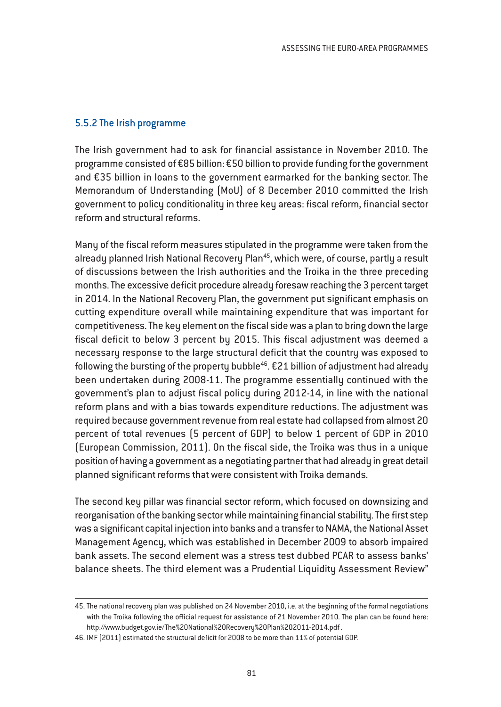#### 5.5.2 The Irish programme

The Irish government had to ask for financial assistance in November 2010. The programme consisted of €85 billion: €50 billion to provide funding for the government and €35 billion in loans to the government earmarked for the banking sector. The Memorandum of Understanding (MoU) of 8 December 2010 committed the Irish government to policy conditionality in three key areas: fiscal reform, financial sector reform and structural reforms.

Many of the fiscal reform measures stipulated in the programme were taken from the already planned Irish National Recovery Plan<sup>45</sup>, which were, of course, partly a result of discussions between the Irish authorities and the Troika in the three preceding months. The excessive deficit procedure already foresaw reaching the 3 percent target in 2014. In the National Recovery Plan, the government put significant emphasis on cutting expenditure overall while maintaining expenditure that was important for competitiveness. The key element on the fiscal side was a plan to bring down the large fiscal deficit to below 3 percent by 2015. This fiscal adjustment was deemed a necessary response to the large structural deficit that the country was exposed to following the bursting of the property bubble<sup>46</sup>.  $E$ 21 billion of adjustment had already been undertaken during 2008-11. The programme essentially continued with the government's plan to adjust fiscal policy during 2012-14, in line with the national reform plans and with a bias towards expenditure reductions. The adjustment was required because government revenue from real estate had collapsed from almost 20 percent of total revenues (5 percent of GDP) to below 1 percent of GDP in 2010 (European Commission, 2011). On the fiscal side, the Troika was thus in a unique position of having a government as a negotiating partner that had already in great detail planned significant reforms that were consistent with Troika demands.

The second key pillar was financial sector reform, which focused on downsizing and reorganisation of the banking sector while maintaining financial stability. The first step was a significant capital injection into banks and a transfer to NAMA, the National Asset Management Agency, which was established in December 2009 to absorb impaired bank assets. The second element was a stress test dubbed PCAR to assess banks' balance sheets. The third element was a Prudential Liquidity Assessment Review"

<sup>45.</sup> The national recovery plan was published on 24 November 2010, i.e. at the beginning of the formal negotiations with the Troika following the official request for assistance of 21 November 2010. The plan can be found here: http://www.budget.gov.ie/The%20National%20Recovery%20Plan%202011-2014.pdf .

<sup>46.</sup> IMF (2011) estimated the structural deficit for 2008 to be more than 11% of potential GDP.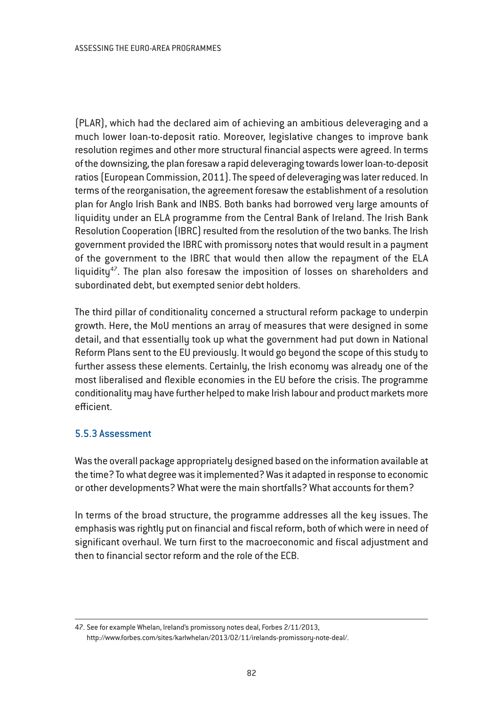(PLAR), which had the declared aim of achieving an ambitious deleveraging and a much lower loan-to-deposit ratio. Moreover, legislative changes to improve bank resolution regimes and other more structural financial aspects were agreed. In terms of the downsizing, the plan foresaw a rapid deleveraging towards lower loan-to-deposit ratios (European Commission, 2011). The speed of deleveraging was later reduced. In terms of the reorganisation, the agreement foresaw the establishment of a resolution plan for Anglo Irish Bank and INBS. Both banks had borrowed very large amounts of liquidity under an ELA programme from the Central Bank of Ireland. The Irish Bank Resolution Cooperation (IBRC) resulted from the resolution of the two banks. The Irish government provided the IBRC with promissory notes that would result in a payment of the government to the IBRC that would then allow the repayment of the ELA liquidity<sup>47</sup>. The plan also foresaw the imposition of losses on shareholders and subordinated debt, but exempted senior debt holders.

The third pillar of conditionality concerned a structural reform package to underpin growth. Here, the MoU mentions an array of measures that were designed in some detail, and that essentially took up what the government had put down in National Reform Plans sent to the EU previously. It would go beyond the scope of this study to further assess these elements. Certainly, the Irish economy was already one of the most liberalised and flexible economies in the EU before the crisis. The programme conditionality may have further helped to make Irish labour and product markets more efficient.

### 5.5.3 Assessment

Was the overall package appropriately designed based on the information available at the time? To what degree was it implemented? Was it adapted in response to economic or other developments? What were the main shortfalls? What accounts for them?

In terms of the broad structure, the programme addresses all the key issues. The emphasis was rightly put on financial and fiscal reform, both of which were in need of significant overhaul. We turn first to the macroeconomic and fiscal adjustment and then to financial sector reform and the role of the ECB.

<sup>47.</sup> See for example Whelan, Ireland's promissory notes deal, Forbes 2/11/2013, http://www.forbes.com/sites/karlwhelan/2013/02/11/irelands-promissory-note-deal/.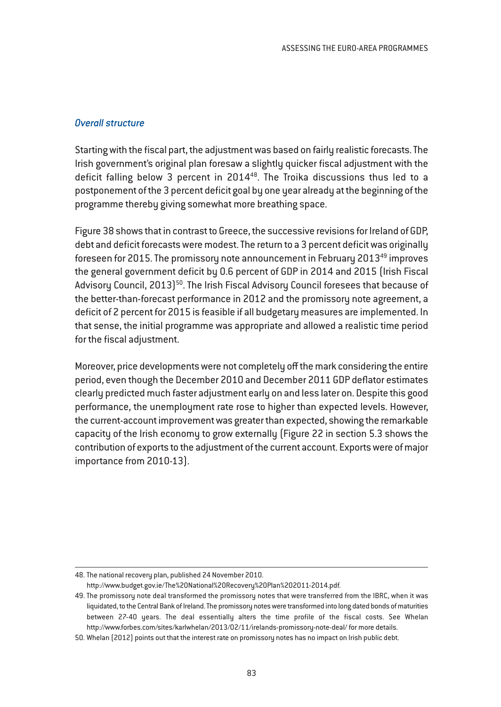#### *Overall structure*

Starting with the fiscal part, the adjustment was based on fairly realistic forecasts. The Irish government's original plan foresaw a slightly quicker fiscal adjustment with the deficit falling below 3 percent in 2014<sup>48</sup>. The Troika discussions thus led to a postponement of the 3 percent deficit goal by one year already at the beginning of the programme thereby giving somewhat more breathing space.

Figure 38 shows that in contrast to Greece, the successive revisions for Ireland of GDP, debt and deficit forecasts were modest. The return to a 3 percent deficit was originally foreseen for 2015. The promissory note announcement in February 2013<sup>49</sup> improves the general government deficit by 0.6 percent of GDP in 2014 and 2015 (Irish Fiscal Advisory Council, 2013)<sup>50</sup>. The Irish Fiscal Advisory Council foresees that because of the better-than-forecast performance in 2012 and the promissory note agreement, a deficit of 2 percent for 2015 is feasible if all budgetary measures are implemented. In that sense, the initial programme was appropriate and allowed a realistic time period for the fiscal adjustment.

Moreover, price developments were not completely off the mark considering the entire period, even though the December 2010 and December 2011 GDP deflator estimates clearly predicted much faster adjustment early on and less later on. Despite this good performance, the unemployment rate rose to higher than expected levels. However, the current-account improvement was greater than expected, showing the remarkable capacity of the Irish economy to grow externally (Figure 22 in section 5.3 shows the contribution of exports to the adjustment of the current account. Exports were of major importance from 2010-13).

<sup>48.</sup> The national recovery plan, published 24 November 2010.

http://www.budget.gov.ie/The%20National%20Recovery%20Plan%202011-2014.pdf.

<sup>49.</sup> The promissory note deal transformed the promissory notes that were transferred from the IBRC, when it was liquidated, to the Central Bank of Ireland. The promissory notes were transformed into long dated bonds of maturities between 27-40 years. The deal essentially alters the time profile of the fiscal costs. See Whelan http://www.forbes.com/sites/karlwhelan/2013/02/11/irelands-promissory-note-deal/ for more details.

<sup>50.</sup> Whelan (2012) points out that the interest rate on promissory notes has no impact on Irish public debt.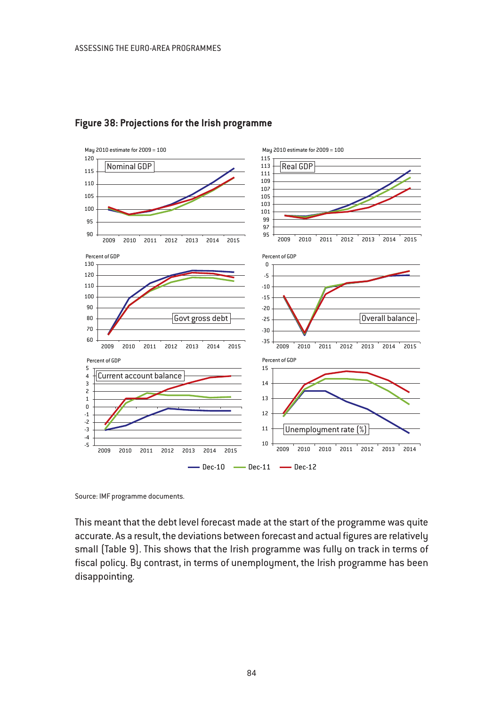

#### **Figure 38: Projections for the Irish programme**

Source: IMF programme documents.

This meant that the debt level forecast made at the start of the programme was quite accurate. As a result, the deviations between forecast and actual figures are relatively small (Table 9). This shows that the Irish programme was fully on track in terms of fiscal policy. By contrast, in terms of unemployment, the Irish programme has been disappointing.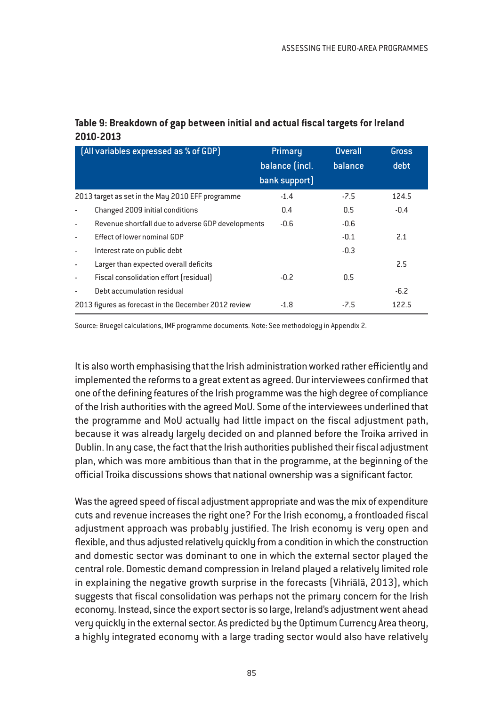| Table 9: Breakdown of gap between initial and actual fiscal targets for Ireland |
|---------------------------------------------------------------------------------|
| 2010-2013                                                                       |

| [All variables expressed as % of GDP]                                         | Primary        | <b>Overall</b> | Gross  |
|-------------------------------------------------------------------------------|----------------|----------------|--------|
|                                                                               | balance (incl. | balance        | debt   |
|                                                                               | bank support)  |                |        |
| 2013 target as set in the May 2010 EFF programme                              | $-1.4$         | $-7.5$         | 124.5  |
| Changed 2009 initial conditions<br>÷,                                         | 0.4            | 0.5            | $-0.4$ |
| Revenue shortfall due to adverse GDP developments<br>$\overline{\phantom{a}}$ | $-0.6$         | $-0.6$         |        |
| Effect of lower nominal GDP                                                   |                | $-0.1$         | 2.1    |
| Interest rate on public debt<br>$\blacksquare$                                |                | $-0.3$         |        |
| Larger than expected overall deficits<br>$\blacksquare$                       |                |                | 2.5    |
| Fiscal consolidation effort (residual)<br>$\overline{\phantom{a}}$            | $-0.2$         | 0.5            |        |
| Debt accumulation residual                                                    |                |                | $-6.2$ |
| 2013 figures as forecast in the December 2012 review                          | $-1.8$         | $-7.5$         | 122.5  |

Source: Bruegel calculations, IMF programme documents. Note: See methodology in Appendix 2.

It is also worth emphasising that the Irish administration worked rather efficiently and implemented the reforms to a great extent as agreed. Our interviewees confirmed that one of the defining features of the Irish programme was the high degree of compliance of the Irish authorities with the agreed MoU. Some of the interviewees underlined that the programme and MoU actually had little impact on the fiscal adjustment path, because it was already largely decided on and planned before the Troika arrived in Dublin. In any case, the fact that the Irish authorities published their fiscal adjustment plan, which was more ambitious than that in the programme, at the beginning of the official Troika discussions shows that national ownership was a significant factor.

Was the agreed speed of fiscal adjustment appropriate and was the mix of expenditure cuts and revenue increases the right one? For the Irish economy, a frontloaded fiscal adjustment approach was probably justified. The Irish economy is very open and flexible, and thus adjusted relatively quickly from a condition in which the construction and domestic sector was dominant to one in which the external sector played the central role. Domestic demand compression in Ireland played a relatively limited role in explaining the negative growth surprise in the forecasts (Vihriälä, 2013), which suggests that fiscal consolidation was perhaps not the primary concern for the Irish economy. Instead, since the export sector is so large, Ireland's adjustment went ahead very quickly in the external sector. As predicted by the Optimum Currency Area theory, a highly integrated economy with a large trading sector would also have relatively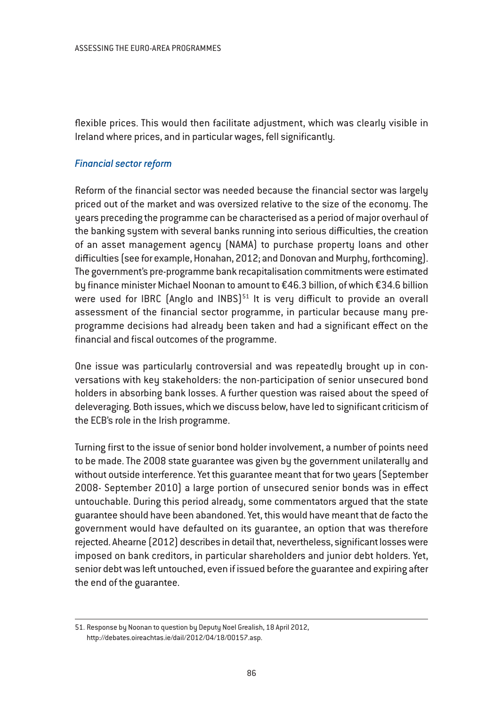flexible prices. This would then facilitate adjustment, which was clearly visible in Ireland where prices, and in particular wages, fell significantly.

### *Financial sector reform*

Reform of the financial sector was needed because the financial sector was largely priced out of the market and was oversized relative to the size of the economy. The years preceding the programme can be characterised as a period of major overhaul of the banking system with several banks running into serious difficulties, the creation of an asset management agency (NAMA) to purchase property loans and other difficulties (see for example, Honahan, 2012; and Donovan and Murphy, forthcoming). The government's pre-programme bank recapitalisation commitments were estimated by finance minister Michael Noonan to amount to €46.3 billion, of which €34.6 billion were used for IBRC (Anglo and INBS) $51$  It is very difficult to provide an overall assessment of the financial sector programme, in particular because many preprogramme decisions had already been taken and had a significant effect on the financial and fiscal outcomes of the programme.

One issue was particularly controversial and was repeatedly brought up in conversations with key stakeholders: the non-participation of senior unsecured bond holders in absorbing bank losses. A further question was raised about the speed of deleveraging. Both issues, which we discuss below, have led to significant criticism of the ECB's role in the Irish programme.

Turning first to the issue of senior bond holder involvement, a number of points need to be made. The 2008 state guarantee was given by the government unilaterally and without outside interference. Yet this guarantee meant that for two years (September 2008- September 2010) a large portion of unsecured senior bonds was in effect untouchable. During this period already, some commentators argued that the state guarantee should have been abandoned. Yet, this would have meant that de facto the government would have defaulted on its guarantee, an option that was therefore rejected. Ahearne (2012) describes in detail that, nevertheless, significant losses were imposed on bank creditors, in particular shareholders and junior debt holders. Yet, senior debt was left untouched, even if issued before the guarantee and expiring after the end of the guarantee.

<sup>51.</sup> Response by Noonan to question by Deputy Noel Grealish, 18 April 2012, http://debates.oireachtas.ie/dail/2012/04/18/00157.asp.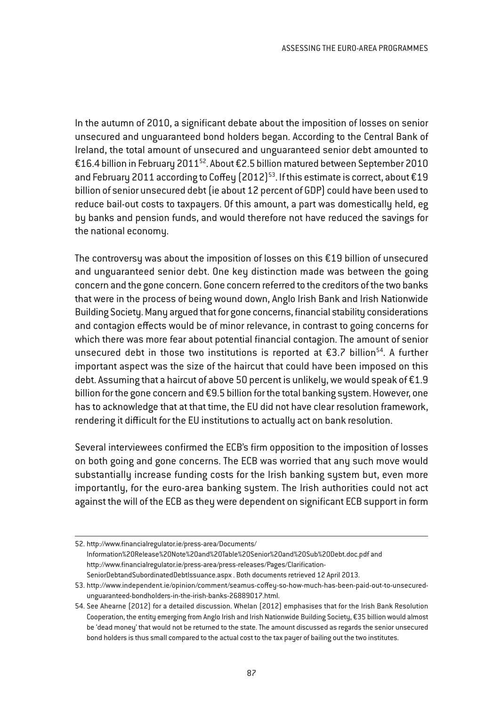In the autumn of 2010, a significant debate about the imposition of losses on senior unsecured and unguaranteed bond holders began. According to the Central Bank of Ireland, the total amount of unsecured and unguaranteed senior debt amounted to €16.4 billion in February 2011<sup>52</sup>. About €2.5 billion matured between September 2010 and February 2011 according to Coffey (2012)<sup>53</sup>. If this estimate is correct, about  $£19$ billion of senior unsecured debt (ie about 12 percent of GDP) could have been used to reduce bail-out costs to taxpayers. Of this amount, a part was domestically held, eg by banks and pension funds, and would therefore not have reduced the savings for the national economy.

The controversy was about the imposition of losses on this €19 billion of unsecured and unguaranteed senior debt. One key distinction made was between the going concern and the gone concern. Gone concern referred to the creditors of the two banks that were in the process of being wound down, Anglo Irish Bank and Irish Nationwide Building Society. Many argued that for gone concerns, financial stability considerations and contagion effects would be of minor relevance, in contrast to going concerns for which there was more fear about potential financial contagion. The amount of senior unsecured debt in those two institutions is reported at  $\epsilon$ 3.7 billion<sup>54</sup>. A further important aspect was the size of the haircut that could have been imposed on this debt. Assuming that a haircut of above 50 percent is unlikely, we would speak of €1.9 billion for the gone concern and €9.5 billion for the total banking system. However, one has to acknowledge that at that time, the EU did not have clear resolution framework, rendering it difficult for the EU institutions to actually act on bank resolution.

Several interviewees confirmed the ECB's firm opposition to the imposition of losses on both going and gone concerns. The ECB was worried that any such move would substantially increase funding costs for the Irish banking system but, even more importantly, for the euro-area banking system. The Irish authorities could not act against the will of the ECB as they were dependent on significant ECB support in form

<sup>52.</sup> http://www.financialregulator.ie/press-area/Documents/ Information%20Release%20Note%20and%20Table%20Senior%20and%20Sub%20Debt.doc.pdf and http://www.financialregulator.ie/press-area/press-releases/Pages/Clarification-SeniorDebtandSubordinatedDebtIssuance.aspx . Both documents retrieved 12 April 2013.

<sup>53.</sup> http://www.independent.ie/opinion/comment/seamus-coffey-so-how-much-has-been-paid-out-to-unsecuredunguaranteed-bondholders-in-the-irish-banks-26889017.html.

<sup>54.</sup> See Ahearne (2012) for a detailed discussion. Whelan (2012) emphasises that for the Irish Bank Resolution Cooperation, the entity emerging from Anglo Irish and Irish Nationwide Building Society, €35 billion would almost be 'dead money' that would not be returned to the state. The amount discussed as regards the senior unsecured bond holders is thus small compared to the actual cost to the tax payer of bailing out the two institutes.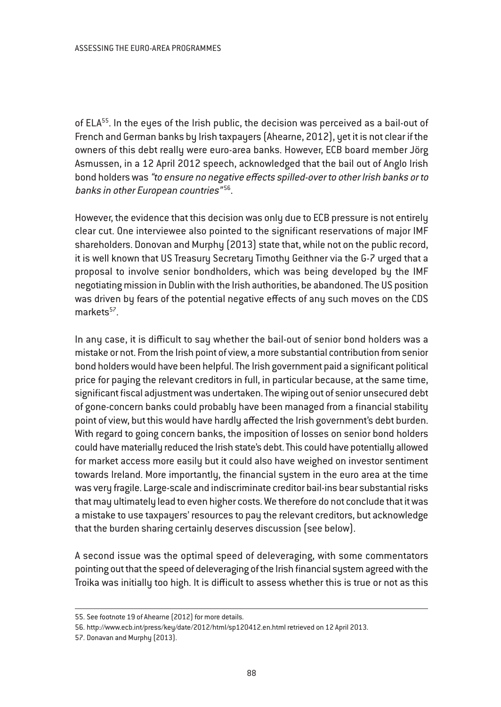of ELA<sup>55</sup>. In the eyes of the Irish public, the decision was perceived as a bail-out of French and German banks by Irish taxpayers (Ahearne, 2012), yet it is not clear if the owners of this debt really were euro-area banks. However, ECB board member Jörg Asmussen, in a 12 April 2012 speech, acknowledged that the bail out of Anglo Irish bond holders was "to ensure no negative effects spilled-over to other Irish banks or to banks in other European countries"<sup>56</sup>.

However, the evidence that this decision was only due to ECB pressure is not entirely clear cut. One interviewee also pointed to the significant reservations of major IMF shareholders. Donovan and Murphy (2013) state that, while not on the public record, it is well known that US Treasury Secretary Timothy Geithner via the G-7 urged that a proposal to involve senior bondholders, which was being developed by the IMF negotiating mission in Dublin with the Irish authorities, be abandoned. The US position was driven by fears of the potential negative effects of any such moves on the CDS markets<sup>57</sup>.

In any case, it is difficult to say whether the bail-out of senior bond holders was a mistake or not. From the Irish point of view, a more substantial contribution from senior bond holders would have been helpful. The Irish government paid a significant political price for paying the relevant creditors in full, in particular because, at the same time, significant fiscal adjustment was undertaken. The wiping out of senior unsecured debt of gone-concern banks could probably have been managed from a financial stability point of view, but this would have hardly affected the Irish government's debt burden. With regard to going concern banks, the imposition of losses on senior bond holders could have materially reduced the Irish state's debt. This could have potentially allowed for market access more easily but it could also have weighed on investor sentiment towards Ireland. More importantly, the financial system in the euro area at the time was very fragile. Large-scale and indiscriminate creditor bail-ins bear substantial risks that may ultimately lead to even higher costs. We therefore do not conclude that it was a mistake to use taxpayers' resources to pay the relevant creditors, but acknowledge that the burden sharing certainly deserves discussion (see below).

A second issue was the optimal speed of deleveraging, with some commentators pointing out that the speed of deleveraging of the Irish financial system agreed with the Troika was initially too high. It is difficult to assess whether this is true or not as this

<sup>55.</sup> See footnote 19 of Ahearne (2012) for more details.

<sup>56.</sup> http://www.ecb.int/press/key/date/2012/html/sp120412.en.html retrieved on 12 April 2013.

<sup>57.</sup> Donavan and Murphy (2013).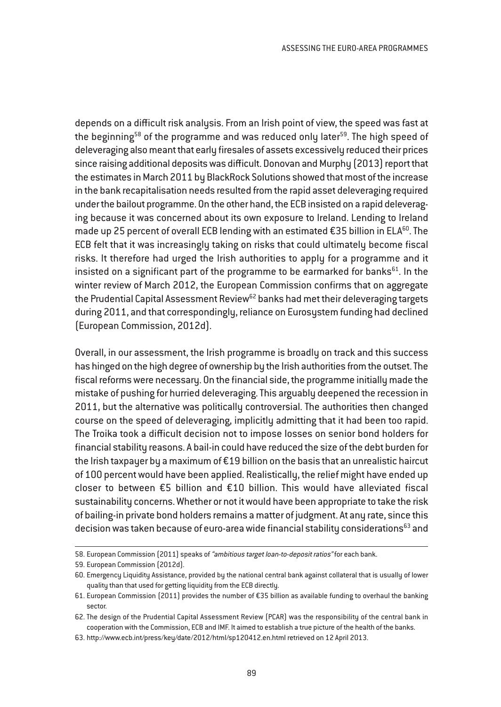depends on a difficult risk analysis. From an Irish point of view, the speed was fast at the beginning<sup>58</sup> of the programme and was reduced only later<sup>59</sup>. The high speed of deleveraging also meant that early firesales of assets excessively reduced their prices since raising additional deposits was difficult. Donovan and Murphy (2013) report that the estimates in March 2011 by BlackRock Solutions showed that most of the increase in the bank recapitalisation needs resulted from the rapid asset deleveraging required under the bailout programme. On the other hand, the ECB insisted on a rapid deleveraging because it was concerned about its own exposure to Ireland. Lending to Ireland made up 25 percent of overall ECB lending with an estimated  $\epsilon$ 35 billion in ELA<sup>60</sup>. The ECB felt that it was increasingly taking on risks that could ultimately become fiscal risks. It therefore had urged the Irish authorities to apply for a programme and it insisted on a significant part of the programme to be earmarked for banks $61$ . In the winter review of March 2012, the European Commission confirms that on aggregate the Prudential Capital Assessment Review<sup>62</sup> banks had met their deleveraging targets during 2011, and that correspondingly, reliance on Eurosystem funding had declined (European Commission, 2012d).

Overall, in our assessment, the Irish programme is broadly on track and this success has hinged on the high degree of ownership by the Irish authorities from the outset. The fiscal reforms were necessary. On the financial side, the programme initially made the mistake of pushing for hurried deleveraging. This arguably deepened the recession in 2011, but the alternative was politically controversial. The authorities then changed course on the speed of deleveraging, implicitly admitting that it had been too rapid. The Troika took a difficult decision not to impose losses on senior bond holders for financial stability reasons. A bail-in could have reduced the size of the debt burden for the Irish taxpayer by a maximum of €19 billion on the basis that an unrealistic haircut of 100 percent would have been applied. Realistically, the relief might have ended up closer to between €5 billion and €10 billion. This would have alleviated fiscal sustainability concerns. Whether or not it would have been appropriate to take the risk of bailing-in private bond holders remains a matter of judgment. At any rate, since this decision was taken because of euro-area wide financial stability considerations<sup>63</sup> and

<sup>58.</sup> European Commission (2011) speaks of "ambitious target loan-to-deposit ratios" for each bank.

<sup>59.</sup> European Commission (2012d).

<sup>60.</sup> Emergency Liquidity Assistance, provided by the national central bank against collateral that is usually of lower quality than that used for getting liquidity from the ECB directly.

<sup>61.</sup> European Commission (2011) provides the number of €35 billion as available funding to overhaul the banking sector.

<sup>62.</sup> The design of the Prudential Capital Assessment Review (PCAR) was the responsibility of the central bank in cooperation with the Commission, ECB and IMF. It aimed to establish a true picture of the health of the banks.

<sup>63.</sup> http://www.ecb.int/press/key/date/2012/html/sp120412.en.html retrieved on 12 April 2013.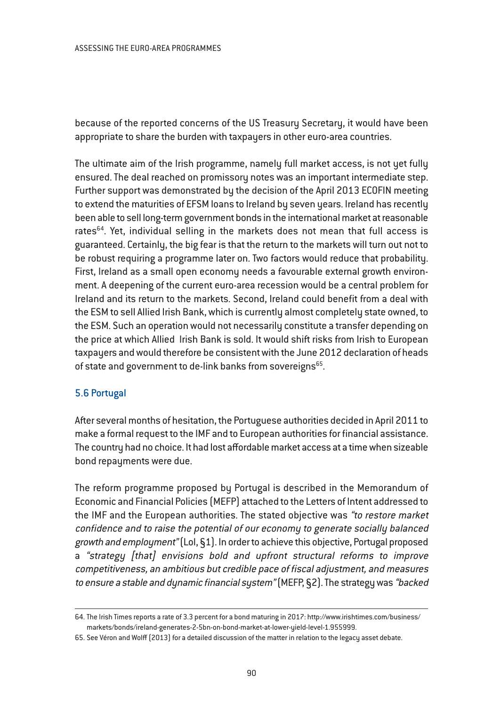because of the reported concerns of the US Treasury Secretary, it would have been appropriate to share the burden with taxpayers in other euro-area countries.

The ultimate aim of the Irish programme, namely full market access, is not yet fully ensured. The deal reached on promissory notes was an important intermediate step. Further support was demonstrated by the decision of the April 2013 ECOFIN meeting to extend the maturities of EFSM loans to Ireland by seven years. Ireland has recently been able to sell long-term government bonds in the international market at reasonable rates<sup>64</sup>. Yet, individual selling in the markets does not mean that full access is guaranteed. Certainly, the big fear is that the return to the markets will turn out not to be robust requiring a programme later on. Two factors would reduce that probability. First, Ireland as a small open economy needs a favourable external growth environment. A deepening of the current euro-area recession would be a central problem for Ireland and its return to the markets. Second, Ireland could benefit from a deal with the ESM to sell Allied Irish Bank, which is currently almost completely state owned, to the ESM. Such an operation would not necessarily constitute a transfer depending on the price at which Allied Irish Bank is sold. It would shift risks from Irish to European taxpayers and would therefore be consistent with the June 2012 declaration of heads of state and government to de-link banks from sovereigns<sup>65</sup>.

# 5.6 Portugal

After several months of hesitation, the Portuguese authorities decided in April 2011 to make a formal request to the IMF and to European authorities for financial assistance. The country had no choice. It had lost affordable market access at a time when sizeable bond repayments were due.

The reform programme proposed by Portugal is described in the Memorandum of Economic and Financial Policies (MEFP) attached to the Letters of Intent addressed to the IMF and the European authorities. The stated objective was "to restore market confidence and to raise the potential of our economy to generate socially balanced growth and employment"(LoI, §1). In order to achieve this objective, Portugal proposed a "strategy [that] envisions bold and upfront structural reforms to improve competitiveness, an ambitious but credible pace of fiscal adjustment, and measures to ensure <sup>a</sup> stable and dynamic financial system"(MEFP, §2). The strategy was "backed

<sup>64.</sup> The Irish Times reports a rate of 3.3 percent for a bond maturing in 2017: http://www.irishtimes.com/business/ markets/bonds/ireland-generates-2-5bn-on-bond-market-at-lower-yield-level-1.955999.

<sup>65.</sup> See Véron and Wolff (2013) for a detailed discussion of the matter in relation to the legacy asset debate.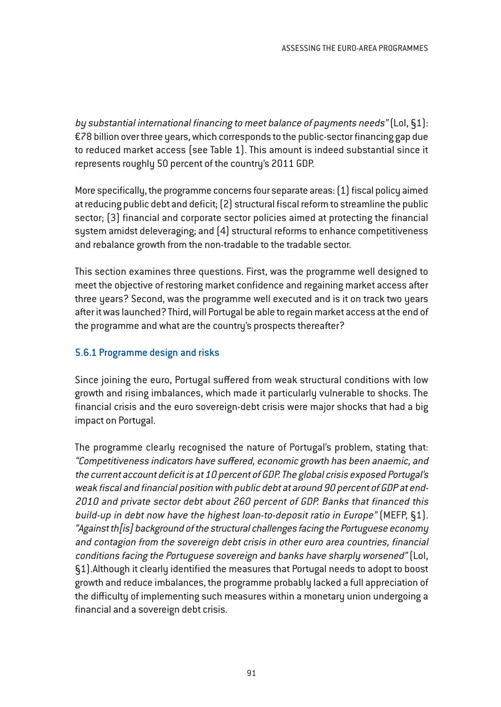by substantial international financing to meet balance of payments needs" (LoI, §1): €78 billion over three years, which corresponds to the public-sector financing gap due to reduced market access (see Table 1). This amount is indeed substantial since it represents roughly 50 percent of the country's 2011 GDP.

More specifically, the programme concerns four separate areas: (1) fiscal policy aimed at reducing public debt and deficit; (2) structural fiscal reform to streamline the public sector; (3) financial and corporate sector policies aimed at protecting the financial system amidst deleveraging; and (4) structural reforms to enhance competitiveness and rebalance growth from the non-tradable to the tradable sector.

This section examines three questions. First, was the programme well designed to meet the objective of restoring market confidence and regaining market access after three years? Second, was the programme well executed and is it on track two years after it was launched? Third, will Portugal be able to regain market access at the end of the programme and what are the country's prospects thereafter?

# 5.6.1 Programme design and risks

Since joining the euro, Portugal suffered from weak structural conditions with low growth and rising imbalances, which made it particularly vulnerable to shocks. The financial crisis and the euro sovereign-debt crisis were major shocks that had a big impact on Portugal.

The programme clearly recognised the nature of Portugal's problem, stating that: "Competitiveness indicators have suffered, economic growth has been anaemic, and the current account deficit is at 10 percent of GDP. The global crisis exposed Portugal's weak fiscal and financial position with public debt at around 90 percent of GDP at end-2010 and private sector debt about 260 percent of GDP. Banks that financed this build-up in debt now have the highest loan-to-deposit ratio in Europe" (MEFP, §1). "Against th[is] background of the structural challenges facing the Portuguese economy and contagion from the sovereign debt crisis in other euro area countries, financial conditions facing the Portuguese sovereign and banks have sharply worsened" (LoI, §1).Although it clearly identified the measures that Portugal needs to adopt to boost growth and reduce imbalances, the programme probably lacked a full appreciation of the difficulty of implementing such measures within a monetary union undergoing a financial and a sovereign debt crisis.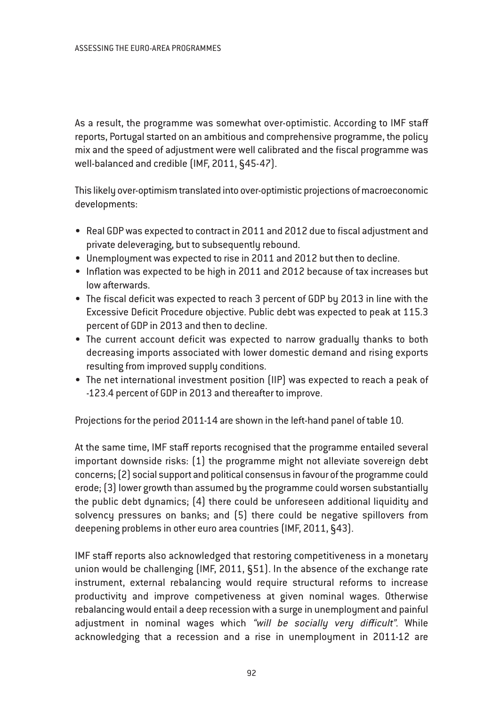As a result, the programme was somewhat over-optimistic. According to IMF staff reports, Portugal started on an ambitious and comprehensive programme, the policy mix and the speed of adjustment were well calibrated and the fiscal programme was well-balanced and credible (IMF, 2011, §45-47).

This likely over-optimism translated into over-optimistic projections of macroeconomic developments:

- Real GDP was expected to contract in 2011 and 2012 due to fiscal adjustment and private deleveraging, but to subsequently rebound.
- Unemployment was expected to rise in 2011 and 2012 but then to decline.
- Inflation was expected to be high in 2011 and 2012 because of tax increases but low afterwards.
- The fiscal deficit was expected to reach 3 percent of GDP by 2013 in line with the Excessive Deficit Procedure objective. Public debt was expected to peak at 115.3 percent of GDP in 2013 and then to decline.
- The current account deficit was expected to narrow gradually thanks to both decreasing imports associated with lower domestic demand and rising exports resulting from improved supply conditions.
- The net international investment position (IIP) was expected to reach a peak of -123.4 percent of GDP in 2013 and thereafter to improve.

Projections for the period 2011-14 are shown in the left-hand panel of table 10.

At the same time, IMF staff reports recognised that the programme entailed several important downside risks: (1) the programme might not alleviate sovereign debt concerns; (2) social support and political consensus in favour of the programme could erode; (3) lower growth than assumed by the programme could worsen substantially the public debt dynamics; (4) there could be unforeseen additional liquidity and solvency pressures on banks; and (5) there could be negative spillovers from deepening problems in other euro area countries (IMF, 2011, §43).

IMF staff reports also acknowledged that restoring competitiveness in a monetary union would be challenging (IMF, 2011, §51). In the absence of the exchange rate instrument, external rebalancing would require structural reforms to increase productivity and improve competiveness at given nominal wages. Otherwise rebalancing would entail a deep recession with a surge in unemployment and painful adjustment in nominal wages which "will be socially very difficult". While acknowledging that a recession and a rise in unemployment in 2011-12 are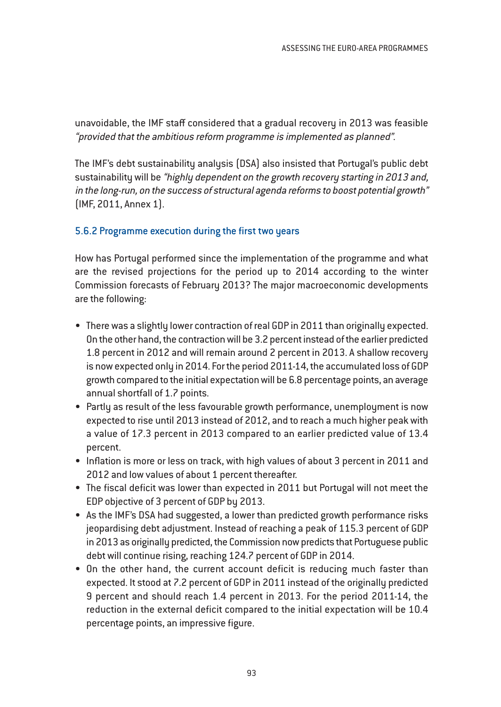unavoidable, the IMF staff considered that a gradual recovery in 2013 was feasible "provided that the ambitious reform programme is implemented as <sup>p</sup>lanned".

The IMF's debt sustainability analysis (DSA) also insisted that Portugal's public debt sustainability will be "highly dependent on the growth recovery starting in <sup>2013</sup> and, in the long-run, on the success of structural agenda reforms to boost potential growth" (IMF, 2011, Annex 1).

# 5.6.2 Programme execution during the first two years

How has Portugal performed since the implementation of the programme and what are the revised projections for the period up to 2014 according to the winter Commission forecasts of February 2013? The major macroeconomic developments are the following:

- There was a slightly lower contraction of real GDP in 2011 than originally expected. On the other hand, the contraction will be 3.2 percent instead of the earlier predicted 1.8 percent in 2012 and will remain around 2 percent in 2013. A shallow recovery is now expected only in 2014. For the period 2011-14, the accumulated loss of GDP growth compared to the initial expectation will be 6.8 percentage points, an average annual shortfall of 1.7 points.
- Partly as result of the less favourable growth performance, unemployment is now expected to rise until 2013 instead of 2012, and to reach a much higher peak with a value of 17.3 percent in 2013 compared to an earlier predicted value of 13.4 percent.
- Inflation is more or less on track, with high values of about 3 percent in 2011 and 2012 and low values of about 1 percent thereafter.
- The fiscal deficit was lower than expected in 2011 but Portugal will not meet the EDP objective of 3 percent of GDP by 2013.
- As the IMF's DSA had suggested, a lower than predicted growth performance risks jeopardising debt adjustment. Instead of reaching a peak of 115.3 percent of GDP in 2013 as originally predicted, the Commission now predicts that Portuguese public debt will continue rising, reaching 124.7 percent of GDP in 2014.
- On the other hand, the current account deficit is reducing much faster than expected. It stood at 7.2 percent of GDP in 2011 instead of the originally predicted 9 percent and should reach 1.4 percent in 2013. For the period 2011-14, the reduction in the external deficit compared to the initial expectation will be 10.4 percentage points, an impressive figure.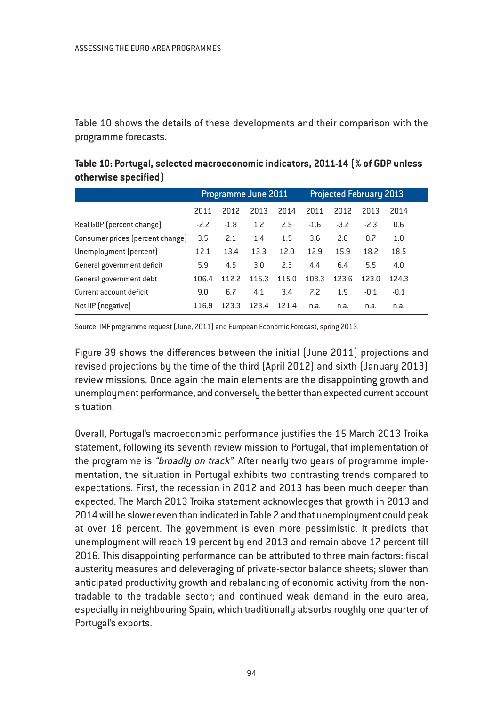Table 10 shows the details of these developments and their comparison with the programme forecasts.

| Table 10: Portugal, selected macroeconomic indicators, 2011-14 [% of GDP unless |                     |                                |  |  |  |  |
|---------------------------------------------------------------------------------|---------------------|--------------------------------|--|--|--|--|
| otherwise specified]                                                            |                     |                                |  |  |  |  |
|                                                                                 | Programme June 2011 | <b>Projected February 2013</b> |  |  |  |  |

|                                  | Programme June 2011 |        |       | <b>Projected February 2013</b> |        |        |        |        |  |
|----------------------------------|---------------------|--------|-------|--------------------------------|--------|--------|--------|--------|--|
|                                  | 2011                | 2012   | 2013  | 2014                           | 2011   | 2012   | 2013   | 2014   |  |
| Real GDP (percent change)        | $-2.2$              | $-1.8$ | 1.2   | 2.5                            | $-1.6$ | $-3.2$ | $-2.3$ | 0.6    |  |
| Consumer prices (percent change) | 3.5                 | 2.1    | 1.4   | 1.5                            | 3.6    | 2.8    | 0.7    | 1.0    |  |
| Unemployment (percent)           | 12.1                | 13.4   | 13.3  | 12.0                           | 12.9   | 15.9   | 18.2   | 18.5   |  |
| General government deficit       | 5.9                 | 4.5    | 3.0   | 2.3                            | 4.4    | 6.4    | 5.5    | 4.0    |  |
| General government debt          | 106.4               | 1122   | 115.3 | 115.0                          | 108.3  | 1236   | 1230   | 1243   |  |
| Current account deficit          | 9.0                 | 6.7    | 4.1   | 3.4                            | 7.2    | 1.9    | $-0.1$ | $-0.1$ |  |
| Net IIP (negative)               | 116.9               | 123.3  | 123.4 | 1214                           | n.a.   | n.a.   | n.a.   | n.a.   |  |

Source: IMF programme request (June, 2011) and European Economic Forecast, spring 2013.

Figure 39 shows the differences between the initial (June 2011) projections and revised projections by the time of the third (April 2012) and sixth (January 2013) review missions. Once again the main elements are the disappointing growth and unemployment performance, and conversely the better than expected current account situation.

Overall, Portugal's macroeconomic performance justifies the 15 March 2013 Troika statement, following its seventh review mission to Portugal, that implementation of the programme is "broadly on track". After nearly two years of programme implementation, the situation in Portugal exhibits two contrasting trends compared to expectations. First, the recession in 2012 and 2013 has been much deeper than expected. The March 2013 Troika statement acknowledges that growth in 2013 and 2014 will be slower even than indicated in Table 2 and that unemployment could peak at over 18 percent. The government is even more pessimistic. It predicts that unemployment will reach 19 percent by end 2013 and remain above 17 percent till 2016. This disappointing performance can be attributed to three main factors: fiscal austerity measures and deleveraging of private-sector balance sheets; slower than anticipated productivity growth and rebalancing of economic activity from the nontradable to the tradable sector; and continued weak demand in the euro area, especially in neighbouring Spain, which traditionally absorbs roughly one quarter of Portugal's exports.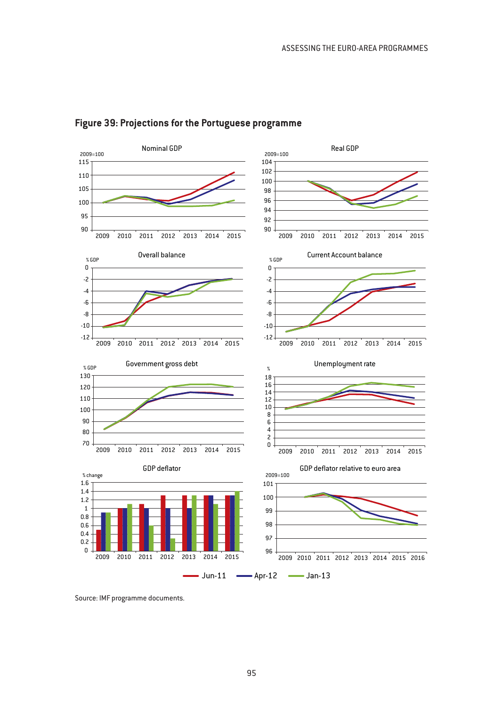

# **Figure 39: Projections for the Portuguese programme**

Source: IMF programme documents.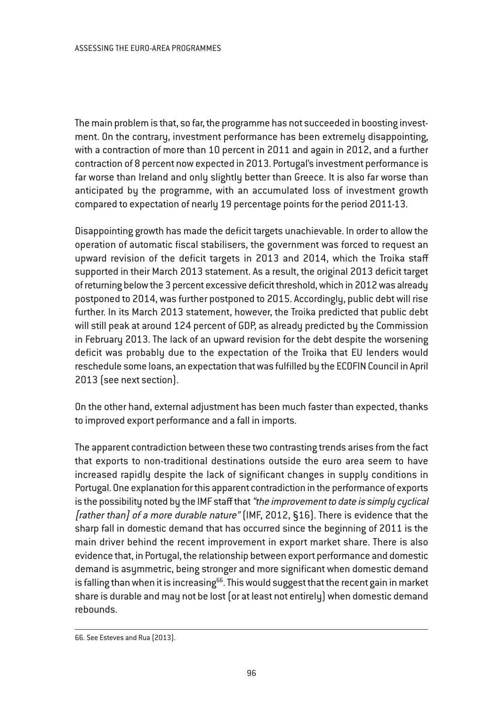The main problem is that, so far, the programme has not succeeded in boosting investment. On the contrary, investment performance has been extremely disappointing, with a contraction of more than 10 percent in 2011 and again in 2012, and a further contraction of 8 percent now expected in 2013. Portugal's investment performance is far worse than Ireland and only slightly better than Greece. It is also far worse than anticipated by the programme, with an accumulated loss of investment growth compared to expectation of nearly 19 percentage points for the period 2011-13.

Disappointing growth has made the deficit targets unachievable. In order to allow the operation of automatic fiscal stabilisers, the government was forced to request an upward revision of the deficit targets in 2013 and 2014, which the Troika staff supported in their March 2013 statement. As a result, the original 2013 deficit target of returning below the 3 percent excessive deficit threshold, which in 2012 was already postponed to 2014, was further postponed to 2015. Accordingly, public debt will rise further. In its March 2013 statement, however, the Troika predicted that public debt will still peak at around 124 percent of GDP, as already predicted by the Commission in February 2013. The lack of an upward revision for the debt despite the worsening deficit was probably due to the expectation of the Troika that EU lenders would reschedule some loans, an expectation that was fulfilled by the ECOFIN Council in April 2013 (see next section).

On the other hand, external adjustment has been much faster than expected, thanks to improved export performance and a fall in imports.

The apparent contradiction between these two contrasting trends arises from the fact that exports to non-traditional destinations outside the euro area seem to have increased rapidly despite the lack of significant changes in supply conditions in Portugal. One explanation for this apparent contradiction in the performance of exports is the possibility noted by the IMF staff that "the improvement to date is simply cyclical [rather than] of a more durable nature" (IMF, 2012, §16). There is evidence that the sharp fall in domestic demand that has occurred since the beginning of 2011 is the main driver behind the recent improvement in export market share. There is also evidence that, in Portugal, the relationship between export performance and domestic demand is asymmetric, being stronger and more significant when domestic demand is falling than when it is increasing $^{66}$ . This would suggest that the recent gain in market share is durable and may not be lost (or at least not entirely) when domestic demand rebounds.

<sup>66.</sup> See Esteves and Rua (2013).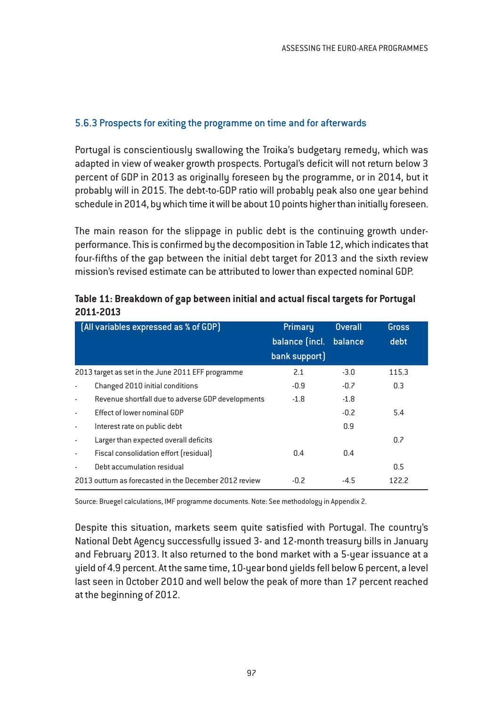### 5.6.3 Prospects for exiting the programme on time and for afterwards

Portugal is conscientiously swallowing the Troika's budgetary remedy, which was adapted in view of weaker growth prospects. Portugal's deficit will not return below 3 percent of GDP in 2013 as originally foreseen by the programme, or in 2014, but it probably will in 2015. The debt-to-GDP ratio will probably peak also one year behind schedule in 2014, by which time it will be about 10 points higher than initially foreseen.

The main reason for the slippage in public debt is the continuing growth underperformance. This is confirmed by the decomposition in Table 12, which indicates that four-fifths of the gap between the initial debt target for 2013 and the sixth review mission's revised estimate can be attributed to lower than expected nominal GDP.

|                          | [All variables expressed as % of GDP]                  | Primary        | <b>Overall</b> | Gross |
|--------------------------|--------------------------------------------------------|----------------|----------------|-------|
|                          |                                                        | balance (incl. | balance        | debt  |
|                          |                                                        | bank support)  |                |       |
|                          | 2013 target as set in the June 2011 EFF programme      | 2.1            | $-3.0$         | 115.3 |
|                          | Changed 2010 initial conditions                        | $-0.9$         | $-0.7$         | 0.3   |
|                          | Revenue shortfall due to adverse GDP developments      | $-1.8$         | $-1.8$         |       |
|                          | Effect of lower nominal GDP                            |                | $-0.2$         | 5.4   |
| $\overline{\phantom{a}}$ | Interest rate on public debt                           |                | 0.9            |       |
| $\overline{\phantom{a}}$ | Larger than expected overall deficits                  |                |                | 0.7   |
| $\sim$                   | Fiscal consolidation effort [residual]                 | 0.4            | 0.4            |       |
|                          | Debt accumulation residual                             |                |                | 0.5   |
|                          | 2013 outturn as forecasted in the December 2012 review | $-0.2$         | $-4.5$         | 122.2 |

| Table 11: Breakdown of gap between initial and actual fiscal targets for Portugal |
|-----------------------------------------------------------------------------------|
| 2011-2013                                                                         |

Source: Bruegel calculations, IMF programme documents. Note: See methodology in Appendix 2.

Despite this situation, markets seem quite satisfied with Portugal. The country's National Debt Agency successfully issued 3- and 12-month treasury bills in January and February 2013. It also returned to the bond market with a 5-year issuance at a yield of 4.9 percent. At the same time, 10-year bond yields fell below 6 percent, a level last seen in October 2010 and well below the peak of more than 17 percent reached at the beginning of 2012.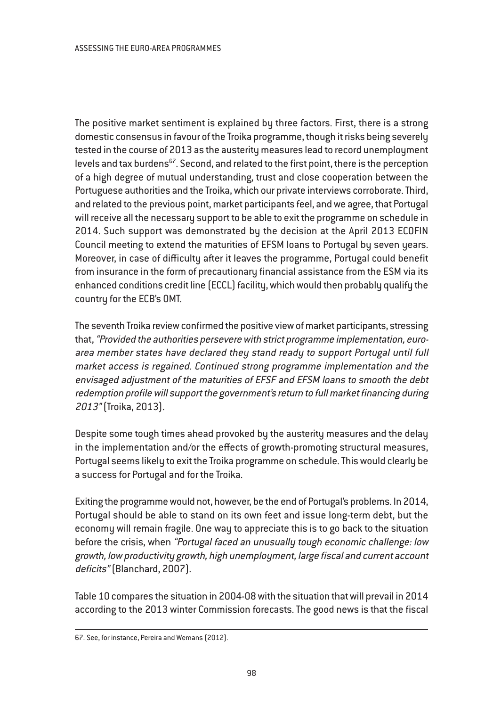The positive market sentiment is explained by three factors. First, there is a strong domestic consensus in favour of the Troika programme, though it risks being severely tested in the course of 2013 as the austerity measures lead to record unemployment levels and tax burdens $67$ . Second, and related to the first point, there is the perception of a high degree of mutual understanding, trust and close cooperation between the Portuguese authorities and the Troika, which our private interviews corroborate. Third, and related to the previous point, market participants feel, and we agree, that Portugal will receive all the necessary support to be able to exit the programme on schedule in 2014. Such support was demonstrated by the decision at the April 2013 ECOFIN Council meeting to extend the maturities of EFSM loans to Portugal by seven years. Moreover, in case of difficulty after it leaves the programme, Portugal could benefit from insurance in the form of precautionary financial assistance from the ESM via its enhanced conditions credit line (ECCL) facility, which would then probably qualify the country for the ECB's OMT.

The seventh Troika review confirmed the positive view of market participants, stressing that, "Provided the authorities persevere with strict programme implementation, euroarea member states have declared they stand ready to support Portugal until full market access is regained. Continued strong programme implementation and the envisaged adjustment of the maturities of EFSF and EFSM loans to smooth the debt redemption profile will support the government's return to full market financing during 2013" (Troika, 2013).

Despite some tough times ahead provoked by the austerity measures and the delay in the implementation and/or the effects of growth-promoting structural measures, Portugal seems likely to exit the Troika programme on schedule. This would clearly be a success for Portugal and for the Troika.

Exiting the programme would not, however, be the end of Portugal's problems. In 2014, Portugal should be able to stand on its own feet and issue long-term debt, but the economy will remain fragile. One way to appreciate this is to go back to the situation before the crisis, when "Portugal faced an unusually tough economic challenge: low growth, low productivity growth, high unemployment, large fiscal and current account deficits" (Blanchard, 2007).

Table 10 compares the situation in 2004-08 with the situation that will prevail in 2014 according to the 2013 winter Commission forecasts. The good news is that the fiscal

<sup>67.</sup> See, for instance, Pereira and Wemans (2012).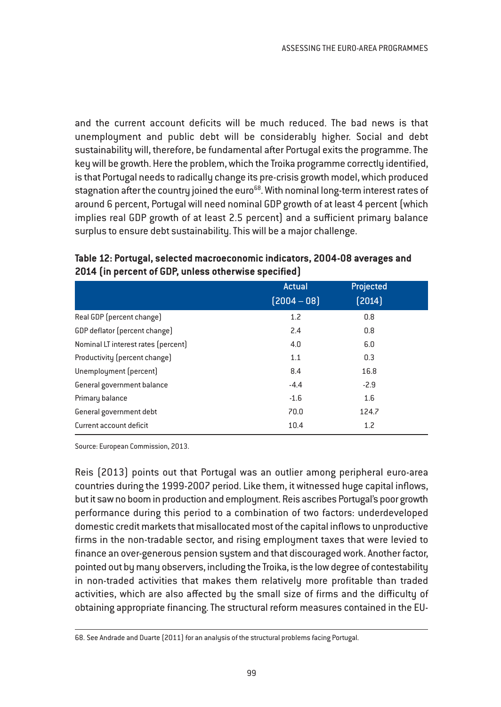and the current account deficits will be much reduced. The bad news is that unemployment and public debt will be considerably higher. Social and debt sustainability will, therefore, be fundamental after Portugal exits the programme. The key will be growth. Here the problem, which the Troika programme correctly identified, is that Portugal needs to radically change its pre-crisis growth model, which produced stagnation after the country joined the euro<sup>68</sup>. With nominal long-term interest rates of around 6 percent, Portugal will need nominal GDP growth of at least 4 percent (which implies real GDP growth of at least 2.5 percent) and a sufficient primary balance surplus to ensure debt sustainability. This will be a major challenge.

|                                     | <b>Actual</b> | Projected |  |
|-------------------------------------|---------------|-----------|--|
|                                     | $[2004 - 08]$ | [2014]    |  |
| Real GDP (percent change)           | 1.2           | 0.8       |  |
| GDP deflator (percent change)       | 2.4           | 0.8       |  |
| Nominal LT interest rates (percent) | 4.0           | 6.0       |  |
| Productivity (percent change)       | 1.1           | 0.3       |  |
| Unemployment (percent)              | 8.4           | 16.8      |  |
| General government balance          | $-4.4$        | $-2.9$    |  |
| Primary balance                     | $-1.6$        | 1.6       |  |
| General government debt             | 70.0          | 124.7     |  |
| Current account deficit             | 10.4          | 1.2       |  |

# **Table 12: Portugal, selected macroeconomic indicators, 2004-08 averages and 2014 (in percent of GDP, unless otherwise specified)**

Source: European Commission, 2013.

Reis (2013) points out that Portugal was an outlier among peripheral euro-area countries during the 1999-2007 period. Like them, it witnessed huge capital inflows, but it saw no boom in production and employment. Reis ascribes Portugal's poor growth performance during this period to a combination of two factors: underdeveloped domestic credit markets that misallocated most of the capital inflows to unproductive firms in the non-tradable sector, and rising employment taxes that were levied to finance an over-generous pension system and that discouraged work. Another factor, pointed out by many observers, including the Troika, is the low degree of contestability in non-traded activities that makes them relatively more profitable than traded activities, which are also affected by the small size of firms and the difficulty of obtaining appropriate financing. The structural reform measures contained in the EU-

<sup>68.</sup> See Andrade and Duarte (2011) for an analysis of the structural problems facing Portugal.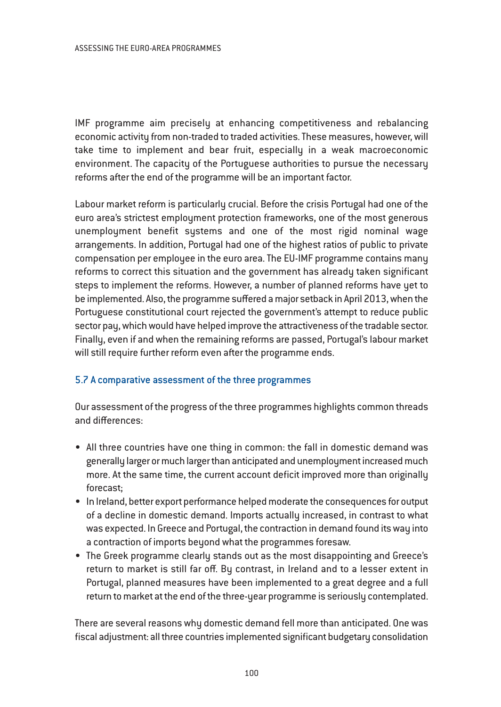IMF programme aim precisely at enhancing competitiveness and rebalancing economic activity from non-traded to traded activities. These measures, however, will take time to implement and bear fruit, especially in a weak macroeconomic environment. The capacity of the Portuguese authorities to pursue the necessary reforms after the end of the programme will be an important factor.

Labour market reform is particularly crucial. Before the crisis Portugal had one of the euro area's strictest employment protection frameworks, one of the most generous unemployment benefit systems and one of the most rigid nominal wage arrangements. In addition, Portugal had one of the highest ratios of public to private compensation per employee in the euro area. The EU-IMF programme contains many reforms to correct this situation and the government has already taken significant steps to implement the reforms. However, a number of planned reforms have yet to be implemented. Also, the programme suffered a major setback in April 2013, when the Portuguese constitutional court rejected the government's attempt to reduce public sector pay, which would have helped improve the attractiveness of the tradable sector. Finally, even if and when the remaining reforms are passed, Portugal's labour market will still require further reform even after the programme ends.

### 5.7 A comparative assessment of the three programmes

Our assessment of the progress of the three programmes highlights common threads and differences:

- All three countries have one thing in common: the fall in domestic demand was generally larger or much larger than anticipated and unemployment increased much more. At the same time, the current account deficit improved more than originally forecast;
- In Ireland, better export performance helped moderate the consequences for output of a decline in domestic demand. Imports actually increased, in contrast to what was expected. In Greece and Portugal, the contraction in demand found its way into a contraction of imports beyond what the programmes foresaw.
- The Greek programme clearly stands out as the most disappointing and Greece's return to market is still far off. By contrast, in Ireland and to a lesser extent in Portugal, planned measures have been implemented to a great degree and a full return to market at the end of the three-year programme is seriously contemplated.

There are several reasons why domestic demand fell more than anticipated. One was fiscal adjustment: all three countries implemented significant budgetary consolidation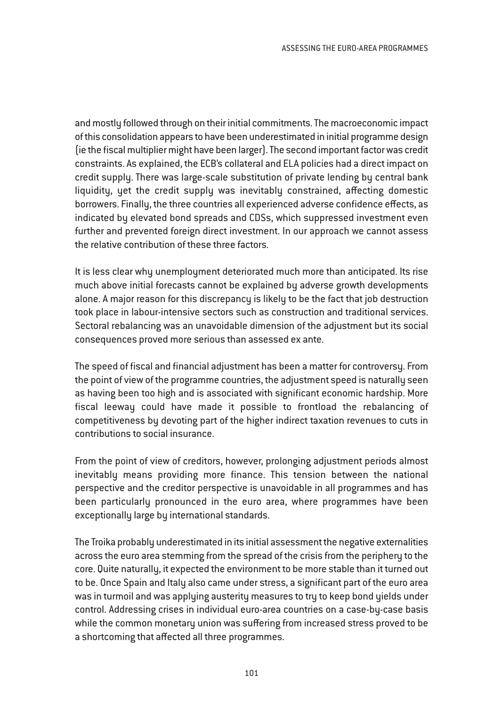and mostly followed through on their initial commitments. The macroeconomic impact of this consolidation appears to have been underestimated in initial programme design (ie the fiscal multiplier might have been larger). The second important factor was credit constraints. As explained, the ECB's collateral and ELA policies had a direct impact on credit supply. There was large-scale substitution of private lending by central bank liquidity, yet the credit supply was inevitably constrained, affecting domestic borrowers. Finally, the three countries all experienced adverse confidence effects, as indicated by elevated bond spreads and CDSs, which suppressed investment even further and prevented foreign direct investment. In our approach we cannot assess the relative contribution of these three factors.

It is less clear why unemployment deteriorated much more than anticipated. Its rise much above initial forecasts cannot be explained by adverse growth developments alone. A major reason for this discrepancy is likely to be the fact that job destruction took place in labour-intensive sectors such as construction and traditional services. Sectoral rebalancing was an unavoidable dimension of the adjustment but its social consequences proved more serious than assessed ex ante.

The speed of fiscal and financial adjustment has been a matter for controversy. From the point of view of the programme countries, the adjustment speed is naturally seen as having been too high and is associated with significant economic hardship. More fiscal leeway could have made it possible to frontload the rebalancing of competitiveness by devoting part of the higher indirect taxation revenues to cuts in contributions to social insurance.

From the point of view of creditors, however, prolonging adjustment periods almost inevitably means providing more finance. This tension between the national perspective and the creditor perspective is unavoidable in all programmes and has been particularly pronounced in the euro area, where programmes have been exceptionally large by international standards.

The Troika probably underestimated in its initial assessment the negative externalities across the euro area stemming from the spread of the crisis from the periphery to the core. Quite naturally, it expected the environment to be more stable than it turned out to be. Once Spain and Italy also came under stress, a significant part of the euro area was in turmoil and was applying austerity measures to try to keep bond yields under control. Addressing crises in individual euro-area countries on a case-by-case basis while the common monetary union was suffering from increased stress proved to be a shortcoming that affected all three programmes.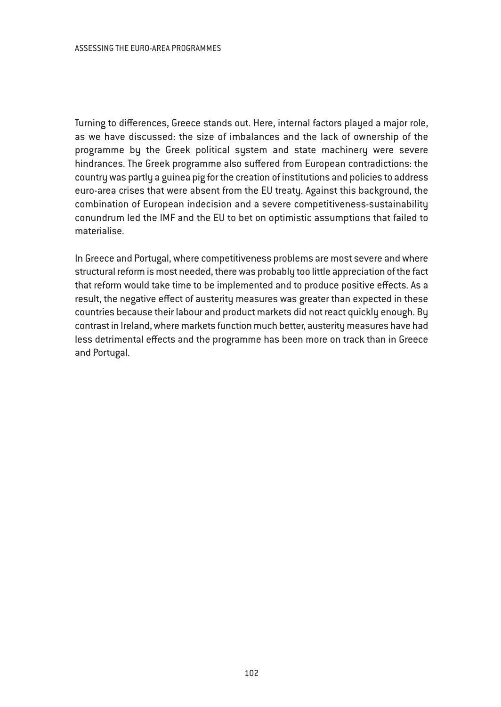Turning to differences, Greece stands out. Here, internal factors played a major role, as we have discussed: the size of imbalances and the lack of ownership of the programme by the Greek political system and state machinery were severe hindrances. The Greek programme also suffered from European contradictions: the country was partly a guinea pig for the creation of institutions and policies to address euro-area crises that were absent from the EU treaty. Against this background, the combination of European indecision and a severe competitiveness-sustainability conundrum led the IMF and the EU to bet on optimistic assumptions that failed to materialise.

In Greece and Portugal, where competitiveness problems are most severe and where structural reform is most needed, there was probably too little appreciation of the fact that reform would take time to be implemented and to produce positive effects. As a result, the negative effect of austerity measures was greater than expected in these countries because their labour and product markets did not react quickly enough. By contrast in Ireland, where markets function much better, austerity measures have had less detrimental effects and the programme has been more on track than in Greece and Portugal.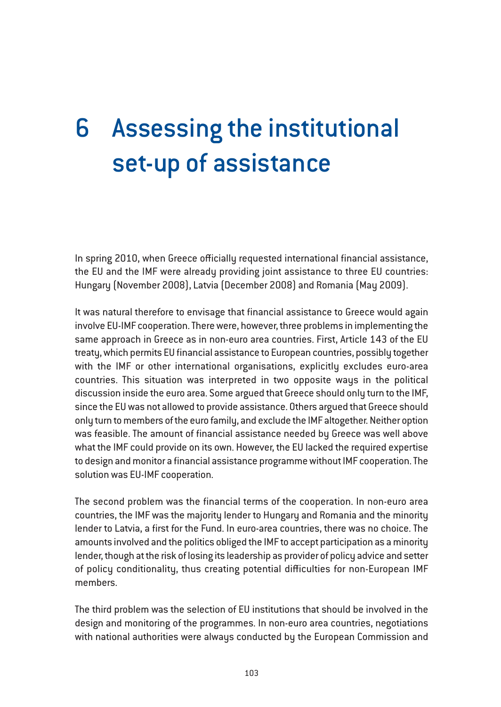# 6 Assessing the institutional set-up of assistance

In spring 2010, when Greece officially requested international financial assistance, the EU and the IMF were already providing joint assistance to three EU countries: Hungary (November 2008), Latvia (December 2008) and Romania (May 2009).

It was natural therefore to envisage that financial assistance to Greece would again involve EU-IMF cooperation. There were, however, three problems in implementing the same approach in Greece as in non-euro area countries. First, Article 143 of the EU treaty, which permits EU financial assistance to European countries, possibly together with the IMF or other international organisations, explicitly excludes euro-area countries. This situation was interpreted in two opposite ways in the political discussion inside the euro area. Some argued that Greece should only turn to the IMF, since the EU was not allowed to provide assistance. Others argued that Greece should only turn to members of the euro family, and exclude the IMF altogether. Neither option was feasible. The amount of financial assistance needed by Greece was well above what the IMF could provide on its own. However, the EU lacked the required expertise to design and monitor a financial assistance programme without IMF cooperation. The solution was EU-IMF cooperation.

The second problem was the financial terms of the cooperation. In non-euro area countries, the IMF was the majority lender to Hungary and Romania and the minority lender to Latvia, a first for the Fund. In euro-area countries, there was no choice. The amounts involved and the politics obliged the IMF to accept participation as a minority lender, though at the risk of losing its leadership as provider of policy advice and setter of policy conditionality, thus creating potential difficulties for non-European IMF members.

The third problem was the selection of EU institutions that should be involved in the design and monitoring of the programmes. In non-euro area countries, negotiations with national authorities were always conducted by the European Commission and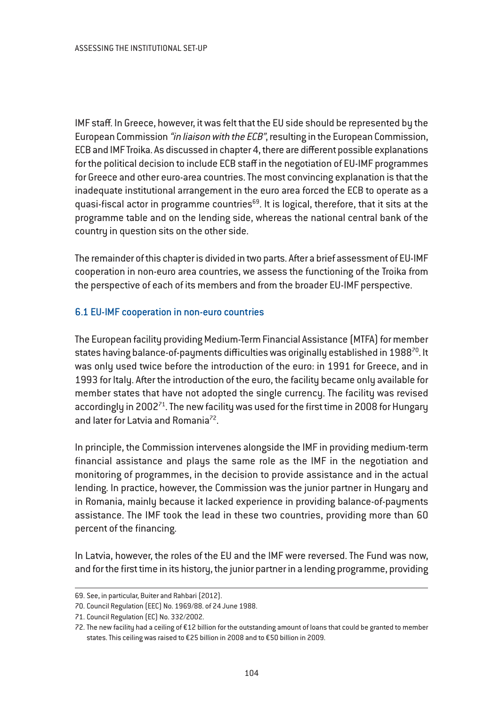IMF staff. In Greece, however, it was felt that the EU side should be represented by the European Commission "in liaison with the ECB", resulting in the European Commission, ECB and IMF Troika. As discussed in chapter 4, there are different possible explanations for the political decision to include ECB staff in the negotiation of EU-IMF programmes for Greece and other euro-area countries. The most convincing explanation is that the inadequate institutional arrangement in the euro area forced the ECB to operate as a quasi-fiscal actor in programme countries<sup>69</sup>. It is logical, therefore, that it sits at the programme table and on the lending side, whereas the national central bank of the country in question sits on the other side.

The remainder of this chapter is divided in two parts. After a brief assessment of EU-IMF cooperation in non-euro area countries, we assess the functioning of the Troika from the perspective of each of its members and from the broader EU-IMF perspective.

### 6.1 EU-IMF cooperation in non-euro countries

The European facility providing Medium-Term Financial Assistance (MTFA) for member states having balance-of-payments difficulties was originally established in 1988<sup>70</sup>. It was only used twice before the introduction of the euro: in 1991 for Greece, and in 1993 for Italy. After the introduction of the euro, the facility became only available for member states that have not adopted the single currency. The facility was revised accordingly in 2002<sup>71</sup>. The new facility was used for the first time in 2008 for Hungary and later for Latvia and Romania<sup>72</sup>.

In principle, the Commission intervenes alongside the IMF in providing medium-term financial assistance and plays the same role as the IMF in the negotiation and monitoring of programmes, in the decision to provide assistance and in the actual lending. In practice, however, the Commission was the junior partner in Hungary and in Romania, mainly because it lacked experience in providing balance-of-payments assistance. The IMF took the lead in these two countries, providing more than 60 percent of the financing.

In Latvia, however, the roles of the EU and the IMF were reversed. The Fund was now, and for the first time in its history, the junior partner in a lending programme, providing

<sup>69.</sup> See, in particular, Buiter and Rahbari (2012).

<sup>70.</sup> Council Regulation (EEC) No. 1969/88. of 24 June 1988.

<sup>71.</sup> Council Regulation (EC) No. 332/2002.

<sup>72.</sup> The new facility had a ceiling of €12 billion for the outstanding amount of loans that could be granted to member states. This ceiling was raised to €25 billion in 2008 and to €50 billion in 2009.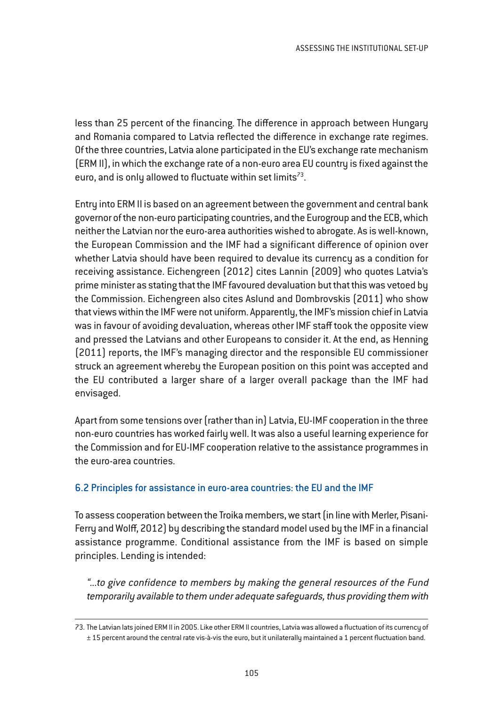less than 25 percent of the financing. The difference in approach between Hungary and Romania compared to Latvia reflected the difference in exchange rate regimes. Of the three countries, Latvia alone participated in the EU's exchange rate mechanism (ERM II), in which the exchange rate of a non-euro area EU country is fixed against the euro, and is only allowed to fluctuate within set limits<sup>73</sup>.

Entry into ERM II is based on an agreement between the government and central bank governor of the non-euro participating countries, and the Eurogroup and the ECB, which neither the Latvian nor the euro-area authorities wished to abrogate. As is well-known, the European Commission and the IMF had a significant difference of opinion over whether Latvia should have been required to devalue its currency as a condition for receiving assistance. Eichengreen (2012) cites Lannin (2009) who quotes Latvia's prime minister as stating that the IMF favoured devaluation but that this was vetoed by the Commission. Eichengreen also cites Aslund and Dombrovskis (2011) who show that views within the IMF were not uniform. Apparently, the IMF's mission chief in Latvia was in favour of avoiding devaluation, whereas other IMF staff took the opposite view and pressed the Latvians and other Europeans to consider it. At the end, as Henning (2011) reports, the IMF's managing director and the responsible EU commissioner struck an agreement whereby the European position on this point was accepted and the EU contributed a larger share of a larger overall package than the IMF had envisaged.

Apart from some tensions over (rather than in) Latvia, EU-IMF cooperation in the three non-euro countries has worked fairly well. It was also a useful learning experience for the Commission and for EU-IMF cooperation relative to the assistance programmes in the euro-area countries.

### 6.2 Principles for assistance in euro-area countries: the EU and the IMF

To assess cooperation between the Troika members, we start (in line with Merler, Pisani-Ferry and Wolff, 2012) by describing the standard model used by the IMF in a financial assistance programme. Conditional assistance from the IMF is based on simple principles. Lending is intended:

"...to give confidence to members by making the genera<sup>l</sup> resources of the Fund temporarily available to them under adequate safeguards, thus providing them with

<sup>73.</sup> The Latvian lats joined ERM II in 2005. Like other ERM II countries, Latvia was allowed a fluctuation of its currency of ± 15 percent around the central rate vis-à-vis the euro, but it unilaterally maintained a 1 percent fluctuation band.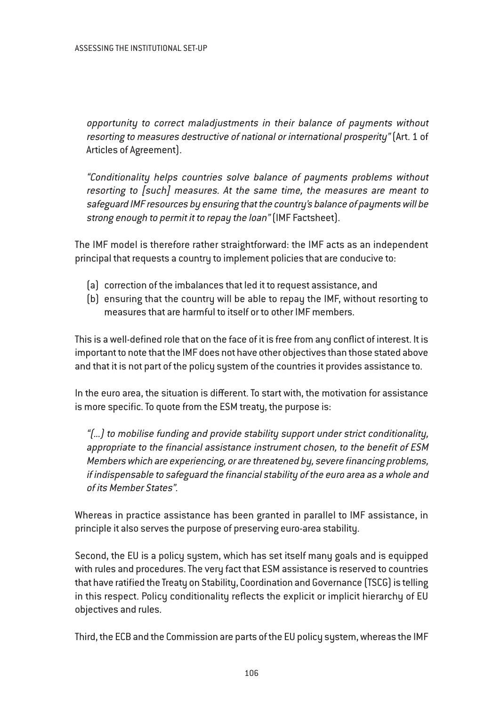opportunity to correct maladjustments in their balance of payments without resorting to measures destructive of national or international prosperity" (Art. 1 of Articles of Agreement).

"Conditionality helps countries solve balance of payments problems without resorting to [such] measures. At the same time, the measures are meant to safeguard IMF resources by ensuring that the country's balance of payments will be strong enough to permit it to repay the loan" (IMF Factsheet).

The IMF model is therefore rather straightforward: the IMF acts as an independent principal that requests a country to implement policies that are conducive to:

- (a) correction of the imbalances that led it to request assistance, and
- (b) ensuring that the country will be able to repay the IMF, without resorting to measures that are harmful to itself or to other IMF members.

This is a well-defined role that on the face of it is free from any conflict of interest. It is important to note that the IMF does not have other objectives than those stated above and that it is not part of the policy system of the countries it provides assistance to.

In the euro area, the situation is different. To start with, the motivation for assistance is more specific. To quote from the ESM treaty, the purpose is:

"(...) to mobilise funding and provide stability support under strict conditionality, appropriate to the financial assistance instrument chosen, to the benefit of ESM Members which are experiencing, or are threatened by, severe financing problems, if indispensable to safeguard the financial stability of the euro area as <sup>a</sup> whole and of its Member States".

Whereas in practice assistance has been granted in parallel to IMF assistance, in principle it also serves the purpose of preserving euro-area stability.

Second, the EU is a policy system, which has set itself many goals and is equipped with rules and procedures. The very fact that ESM assistance is reserved to countries that have ratified the Treaty on Stability, Coordination and Governance (TSCG) is telling in this respect. Policy conditionality reflects the explicit or implicit hierarchy of EU objectives and rules.

Third, the ECB and the Commission are parts of the EU policy system, whereas the IMF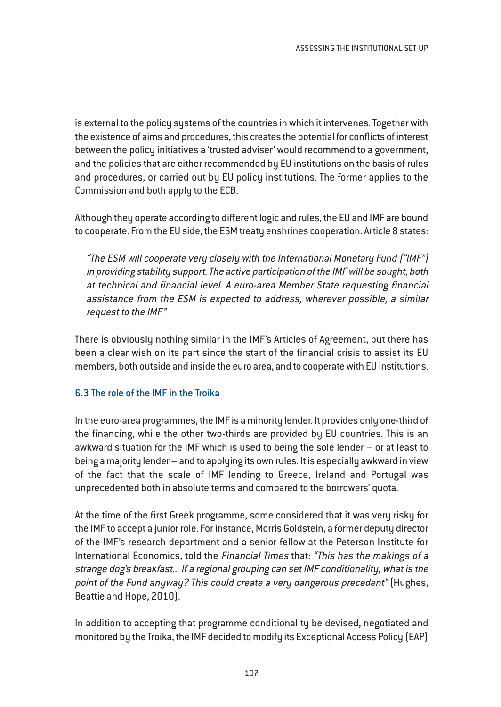is external to the policy systems of the countries in which it intervenes. Together with the existence of aims and procedures, this creates the potential for conflicts of interest between the policy initiatives a 'trusted adviser' would recommend to a government, and the policies that are either recommended by EU institutions on the basis of rules and procedures, or carried out by EU policy institutions. The former applies to the Commission and both apply to the ECB.

Although they operate according to different logic and rules, the EU and IMF are bound to cooperate. From the EU side, the ESM treaty enshrines cooperation. Article 8 states:

"The ESM will cooperate very closely with the International Monetary Fund ("IMF") in providing stability support. The active participation of the IMF will be sought, both at technical and financial level. A euro-area Member State requesting financial assistance from the ESM is expected to address, wherever possible, <sup>a</sup> similar request to the IMF."

There is obviously nothing similar in the IMF's Articles of Agreement, but there has been a clear wish on its part since the start of the financial crisis to assist its EU members, both outside and inside the euro area, and to cooperate with EU institutions.

# 6.3 The role of the IMF in the Troika

In the euro-area programmes, the IMF is a minority lender. It provides only one-third of the financing, while the other two-thirds are provided by EU countries. This is an awkward situation for the IMF which is used to being the sole lender – or at least to being a majority lender – and to applying its own rules. It is especially awkward in view of the fact that the scale of IMF lending to Greece, Ireland and Portugal was unprecedented both in absolute terms and compared to the borrowers' quota.

At the time of the first Greek programme, some considered that it was very risky for the IMF to accept a junior role. For instance, Morris Goldstein, a former deputy director of the IMF's research department and a senior fellow at the Peterson Institute for International Economics, told the Financial Times that: "This has the makings of <sup>a</sup> strange dog's breakfast... If <sup>a</sup> regional grouping can set IMF conditionality, what is the point of the Fund anyway? This could create <sup>a</sup> very dangerous precedent" (Hughes, Beattie and Hope, 2010).

In addition to accepting that programme conditionality be devised, negotiated and monitored by the Troika, the IMF decided to modify its Exceptional Access Policy (EAP)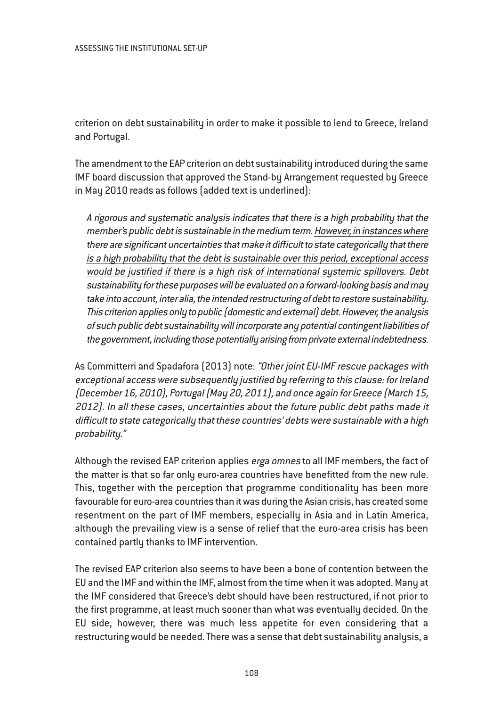criterion on debt sustainability in order to make it possible to lend to Greece, Ireland and Portugal.

The amendment to the EAP criterion on debt sustainability introduced during the same IMF board discussion that approved the Stand-by Arrangement requested by Greece in May 2010 reads as follows (added text is underlined):

A rigorous and systematic analysis indicates that there is <sup>a</sup> high probability that the member's public debt is sustainable in the medium term. However, in instances where there are significant uncertainties that make it difficult to state categorically that there is <sup>a</sup> high probability that the debt is sustainable over this period, exceptional access would be justified if there is <sup>a</sup> high risk of international systemic spillovers. Debt sustainability for these purposes will be evaluated on <sup>a</sup> forward-looking basis and may take into account, inter alia, the intended restructuring of debt to restore sustainability. This criterion applies only to public (domestic and external) debt. However, the analysis of such public debt sustainability will incorporate any potential contingent liabilities of the government, including those potentially arising from private external indebtedness.

As Committerri and Spadafora (2013) note: "Other joint EU-IMF rescue packages with exceptional access were subsequently justified by referring to this clause: for Ireland (December 16, 2010), Portugal (May 20, 2011), and once again for Greece (March 15, 2012). In all these cases, uncertainties about the future public debt paths made it difficult to state categorically that these countries' debts were sustainable with <sup>a</sup> high probability."

Although the revised EAP criterion applies *erga omnes* to all IMF members, the fact of the matter is that so far only euro-area countries have benefitted from the new rule. This, together with the perception that programme conditionality has been more favourable for euro-area countries than it was during the Asian crisis, has created some resentment on the part of IMF members, especially in Asia and in Latin America, although the prevailing view is a sense of relief that the euro-area crisis has been contained partly thanks to IMF intervention.

The revised EAP criterion also seems to have been a bone of contention between the EU and the IMF and within the IMF, almost from the time when it was adopted. Many at the IMF considered that Greece's debt should have been restructured, if not prior to the first programme, at least much sooner than what was eventually decided. On the EU side, however, there was much less appetite for even considering that a restructuring would be needed. There was a sense that debt sustainability analysis, a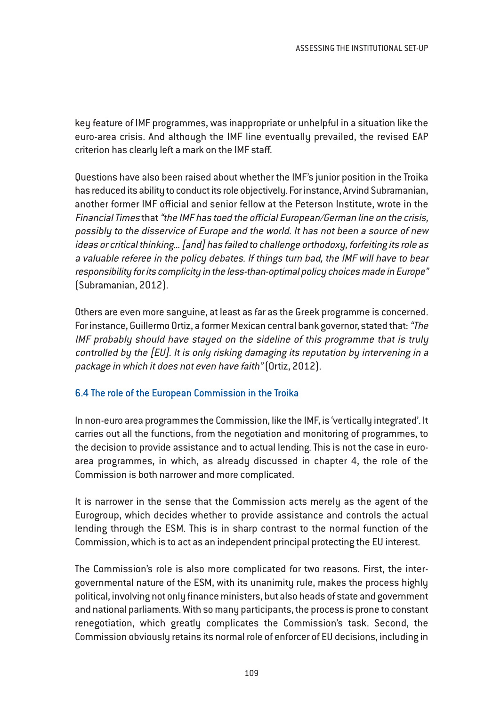key feature of IMF programmes, was inappropriate or unhelpful in a situation like the euro-area crisis. And although the IMF line eventually prevailed, the revised EAP criterion has clearly left a mark on the IMF staff.

Questions have also been raised about whether the IMF's junior position in the Troika has reduced its ability to conduct its role objectively. For instance, Arvind Subramanian, another former IMF official and senior fellow at the Peterson Institute, wrote in the Financial Times that "the IMF has toed the official European/German line on the crisis, possibly to the disservice of Europe and the world. It has not been <sup>a</sup> source of new ideas or critical thinking... [and] has failed to challenge orthodoxy, forfeiting its role as <sup>a</sup> valuable referee in the policy debates. If things turn bad, the IMF will have to bear responsibility for its complicity in the less-than-optimal policy choices made in Europe" (Subramanian, 2012).

Others are even more sanguine, at least as far as the Greek programme is concerned. For instance, Guillermo Ortiz, a former Mexican central bank governor, stated that: "The IMF probably should have stayed on the sideline of this programme that is truly controlled by the [EU]. It is only risking damaging its reputation by intervening in <sup>a</sup> package in which it does not even have faith" (Ortiz, 2012).

### 6.4 The role of the European Commission in the Troika

In non-euro area programmes the Commission, like the IMF, is 'vertically integrated'. It carries out all the functions, from the negotiation and monitoring of programmes, to the decision to provide assistance and to actual lending. This is not the case in euroarea programmes, in which, as already discussed in chapter 4, the role of the Commission is both narrower and more complicated.

It is narrower in the sense that the Commission acts merely as the agent of the Eurogroup, which decides whether to provide assistance and controls the actual lending through the ESM. This is in sharp contrast to the normal function of the Commission, which is to act as an independent principal protecting the EU interest.

The Commission's role is also more complicated for two reasons. First, the intergovernmental nature of the ESM, with its unanimity rule, makes the process highly political, involving not only finance ministers, but also heads of state and government and national parliaments. With so many participants, the process is prone to constant renegotiation, which greatly complicates the Commission's task. Second, the Commission obviously retains its normal role of enforcer of EU decisions, including in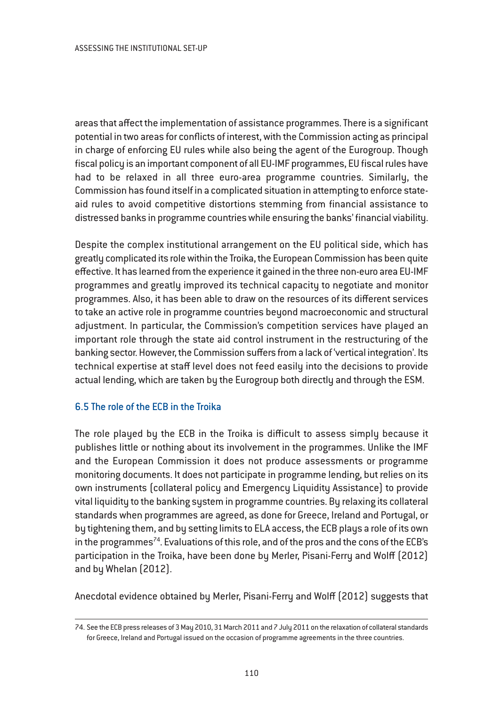areas that affect the implementation of assistance programmes. There is a significant potential in two areas for conflicts of interest, with the Commission acting as principal in charge of enforcing EU rules while also being the agent of the Eurogroup. Though fiscal policy is an important component of all EU-IMF programmes, EU fiscal rules have had to be relaxed in all three euro-area programme countries. Similarly, the Commission has found itself in a complicated situation in attempting to enforce stateaid rules to avoid competitive distortions stemming from financial assistance to distressed banks in programme countries while ensuring the banks' financial viability.

Despite the complex institutional arrangement on the EU political side, which has greatly complicated its role within the Troika, the European Commission has been quite effective. It has learned from the experience it gained in the three non-euro area EU-IMF programmes and greatly improved its technical capacity to negotiate and monitor programmes. Also, it has been able to draw on the resources of its different services to take an active role in programme countries beyond macroeconomic and structural adjustment. In particular, the Commission's competition services have played an important role through the state aid control instrument in the restructuring of the banking sector. However, the Commission suffers from a lack of 'vertical integration'. Its technical expertise at staff level does not feed easily into the decisions to provide actual lending, which are taken by the Eurogroup both directly and through the ESM.

### 6.5 The role of the ECB in the Troika

The role played by the ECB in the Troika is difficult to assess simply because it publishes little or nothing about its involvement in the programmes. Unlike the IMF and the European Commission it does not produce assessments or programme monitoring documents. It does not participate in programme lending, but relies on its own instruments (collateral policy and Emergency Liquidity Assistance) to provide vital liquidity to the banking system in programme countries. By relaxing its collateral standards when programmes are agreed, as done for Greece, Ireland and Portugal, or by tightening them, and by setting limits to ELA access, the ECB plays a role of its own in the programmes<sup>74</sup>. Evaluations of this role, and of the pros and the cons of the ECB's participation in the Troika, have been done by Merler, Pisani-Ferry and Wolff (2012) and by Whelan (2012).

Anecdotal evidence obtained by Merler, Pisani-Ferry and Wolff (2012) suggests that

<sup>74.</sup> See the ECB press releases of 3 May 2010, 31 March 2011 and 7 July 2011 on the relaxation of collateral standards for Greece, Ireland and Portugal issued on the occasion of programme agreements in the three countries.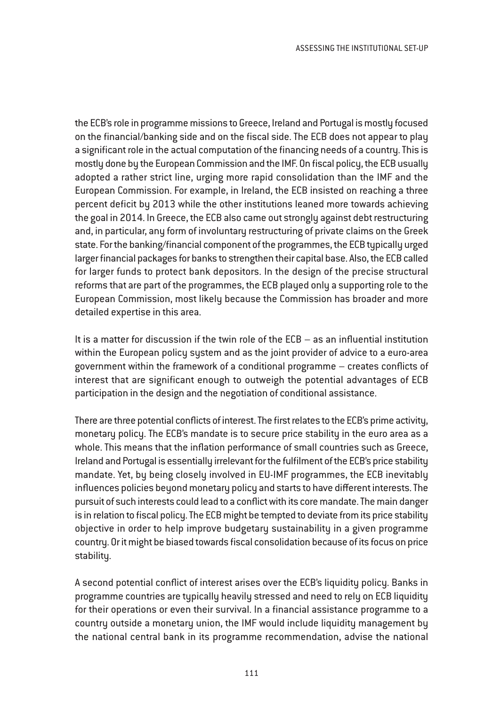the ECB's role in programme missions to Greece, Ireland and Portugal is mostly focused on the financial/banking side and on the fiscal side. The ECB does not appear to play a significant role in the actual computation of the financing needs of a country. This is mostly done by the European Commission and the IMF. On fiscal policy, the ECB usually adopted a rather strict line, urging more rapid consolidation than the IMF and the European Commission. For example, in Ireland, the ECB insisted on reaching a three percent deficit by 2013 while the other institutions leaned more towards achieving the goal in 2014. In Greece, the ECB also came out strongly against debt restructuring and, in particular, any form of involuntary restructuring of private claims on the Greek state. For the banking/financial component of the programmes, the ECB typically urged larger financial packages for banks to strengthen their capital base. Also, the ECB called for larger funds to protect bank depositors. In the design of the precise structural reforms that are part of the programmes, the ECB played only a supporting role to the European Commission, most likely because the Commission has broader and more detailed expertise in this area.

It is a matter for discussion if the twin role of the ECB – as an influential institution within the European policy system and as the joint provider of advice to a euro-area government within the framework of a conditional programme – creates conflicts of interest that are significant enough to outweigh the potential advantages of ECB participation in the design and the negotiation of conditional assistance.

There are three potential conflicts of interest. The first relates to the ECB's prime activity, monetary policy. The ECB's mandate is to secure price stability in the euro area as a whole. This means that the inflation performance of small countries such as Greece, Ireland and Portugal is essentially irrelevant for the fulfilment of the ECB's price stability mandate. Yet, by being closely involved in EU-IMF programmes, the ECB inevitably influences policies beyond monetary policy and starts to have different interests. The pursuit of such interests could lead to a conflict with its core mandate. The main danger is in relation to fiscal policy. The ECB might be tempted to deviate from its price stability objective in order to help improve budgetary sustainability in a given programme country. Or it might be biased towards fiscal consolidation because of its focus on price stability.

A second potential conflict of interest arises over the ECB's liquidity policy. Banks in programme countries are typically heavily stressed and need to rely on ECB liquidity for their operations or even their survival. In a financial assistance programme to a country outside a monetary union, the IMF would include liquidity management by the national central bank in its programme recommendation, advise the national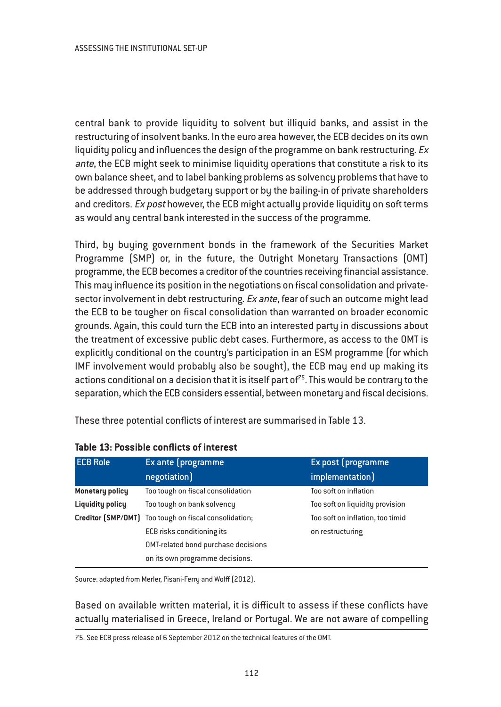central bank to provide liquidity to solvent but illiquid banks, and assist in the restructuring of insolvent banks. In the euro area however, the ECB decides on its own liquidity policy and influences the design of the programme on bank restructuring.  $Ex$ ante, the ECB might seek to minimise liquidity operations that constitute a risk to its own balance sheet, and to label banking problems as solvency problems that have to be addressed through budgetary support or by the bailing-in of private shareholders and creditors. Ex post however, the ECB might actually provide liquidity on soft terms as would any central bank interested in the success of the programme.

Third, by buying government bonds in the framework of the Securities Market Programme (SMP) or, in the future, the Outright Monetary Transactions (OMT) programme, the ECB becomes a creditor of the countries receiving financial assistance. This may influence its position in the negotiations on fiscal consolidation and privatesector involvement in debt restructuring. Ex ante, fear of such an outcome might lead the ECB to be tougher on fiscal consolidation than warranted on broader economic grounds. Again, this could turn the ECB into an interested party in discussions about the treatment of excessive public debt cases. Furthermore, as access to the OMT is explicitly conditional on the country's participation in an ESM programme (for which IMF involvement would probably also be sought), the ECB may end up making its actions conditional on a decision that it is itself part of  $75$ . This would be contrary to the separation, which the ECB considers essential, between monetary and fiscal decisions.

These three potential conflicts of interest are summarised in Table 13.

| <b>ECB Role</b>         | Ex ante (programme                                    | Ex post (programme               |
|-------------------------|-------------------------------------------------------|----------------------------------|
|                         | negotiation]                                          | implementation]                  |
| Monetary policy         | Too tough on fiscal consolidation                     | Too soft on inflation            |
| <b>Liquidity policy</b> | Too tough on bank solvency                            | Too soft on liquidity provision  |
|                         | Creditor (SMP/OMT) Too tough on fiscal consolidation; | Too soft on inflation, too timid |
|                         | ECB risks conditioning its                            | on restructuring                 |
|                         | OMT-related bond purchase decisions                   |                                  |
|                         | on its own programme decisions.                       |                                  |

### **Table 13: Possible conflicts of interest**

Source: adapted from Merler, Pisani-Ferry and Wolff (2012).

Based on available written material, it is difficult to assess if these conflicts have actually materialised in Greece, Ireland or Portugal. We are not aware of compelling

75. See ECB press release of 6 September 2012 on the technical features of the OMT.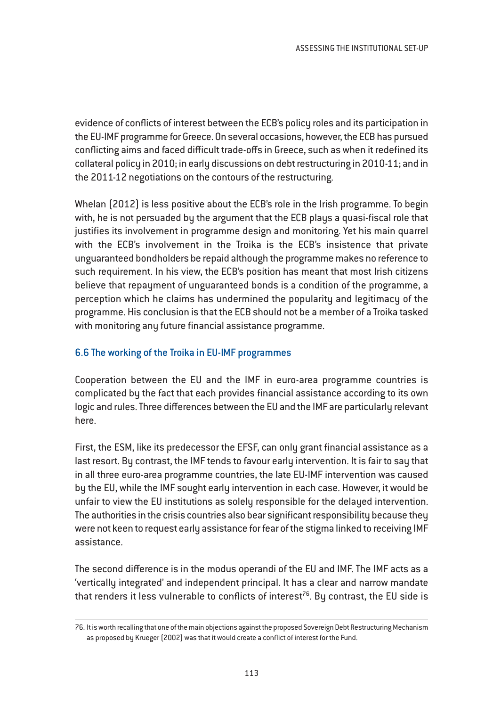evidence of conflicts of interest between the ECB's policy roles and its participation in the EU-IMF programme for Greece. On several occasions, however, the ECB has pursued conflicting aims and faced difficult trade-offs in Greece, such as when it redefined its collateral policy in 2010; in early discussions on debt restructuring in 2010-11; and in the 2011-12 negotiations on the contours of the restructuring.

Whelan (2012) is less positive about the ECB's role in the Irish programme. To begin with, he is not persuaded by the argument that the ECB plays a quasi-fiscal role that justifies its involvement in programme design and monitoring. Yet his main quarrel with the ECB's involvement in the Troika is the ECB's insistence that private unguaranteed bondholders be repaid although the programme makes no reference to such requirement. In his view, the ECB's position has meant that most Irish citizens believe that repayment of unguaranteed bonds is a condition of the programme, a perception which he claims has undermined the popularity and legitimacy of the programme. His conclusion is that the ECB should not be a member of a Troika tasked with monitoring any future financial assistance programme.

## 6.6 The working of the Troika in EU-IMF programmes

Cooperation between the EU and the IMF in euro-area programme countries is complicated by the fact that each provides financial assistance according to its own logic and rules. Three differences between the EU and the IMF are particularly relevant here.

First, the ESM, like its predecessor the EFSF, can only grant financial assistance as a last resort. By contrast, the IMF tends to favour early intervention. It is fair to say that in all three euro-area programme countries, the late EU-IMF intervention was caused by the EU, while the IMF sought early intervention in each case. However, it would be unfair to view the EU institutions as solely responsible for the delayed intervention. The authorities in the crisis countries also bear significant responsibility because they were not keen to request early assistance for fear of the stigma linked to receiving IMF assistance.

The second difference is in the modus operandi of the EU and IMF. The IMF acts as a 'vertically integrated' and independent principal. It has a clear and narrow mandate that renders it less vulnerable to conflicts of interest<sup>76</sup>. By contrast, the EU side is

<sup>76.</sup> It is worth recalling that one of the main objections against the proposed Sovereign Debt Restructuring Mechanism as proposed by Krueger (2002) was that it would create a conflict of interest for the Fund.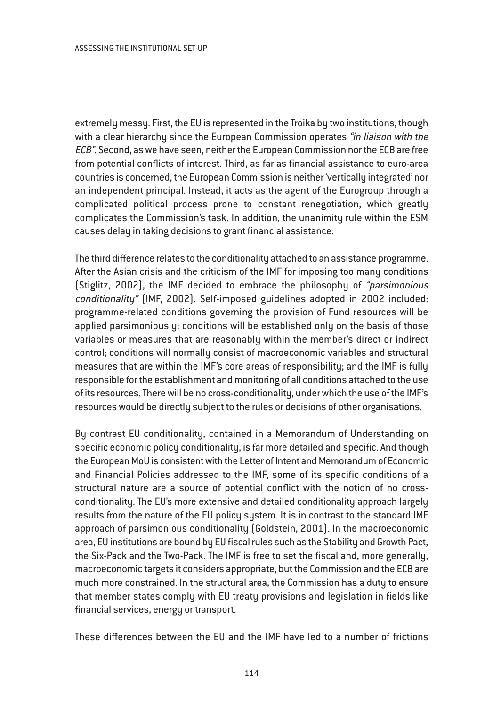extremely messy. First, the EU is represented in the Troika by two institutions, though with a clear hierarchy since the European Commission operates "in liaison with the ECB". Second, as we have seen, neither the European Commission nor the ECB are free from potential conflicts of interest. Third, as far as financial assistance to euro-area countries is concerned, the European Commission is neither 'vertically integrated' nor an independent principal. Instead, it acts as the agent of the Eurogroup through a complicated political process prone to constant renegotiation, which greatly complicates the Commission's task. In addition, the unanimity rule within the ESM causes delay in taking decisions to grant financial assistance.

The third difference relates to the conditionality attached to an assistance programme. After the Asian crisis and the criticism of the IMF for imposing too many conditions (Stiglitz, 2002), the IMF decided to embrace the philosophy of "parsimonious conditionality" (IMF, 2002). Self-imposed guidelines adopted in 2002 included: programme-related conditions governing the provision of Fund resources will be applied parsimoniously; conditions will be established only on the basis of those variables or measures that are reasonably within the member's direct or indirect control; conditions will normally consist of macroeconomic variables and structural measures that are within the IMF's core areas of responsibility; and the IMF is fully responsible for the establishment and monitoring of all conditions attached to the use of its resources. There will be no cross-conditionality, under which the use of the IMF's resources would be directly subject to the rules or decisions of other organisations.

By contrast EU conditionality, contained in a Memorandum of Understanding on specific economic policy conditionality, is far more detailed and specific. And though the European MoU is consistent with the Letter of Intent and Memorandum of Economic and Financial Policies addressed to the IMF, some of its specific conditions of a structural nature are a source of potential conflict with the notion of no crossconditionality. The EU's more extensive and detailed conditionality approach largely results from the nature of the EU policy system. It is in contrast to the standard IMF approach of parsimonious conditionality (Goldstein, 2001). In the macroeconomic area, EU institutions are bound by EU fiscal rules such as the Stability and Growth Pact, the Six-Pack and the Two-Pack. The IMF is free to set the fiscal and, more generally, macroeconomic targets it considers appropriate, but the Commission and the ECB are much more constrained. In the structural area, the Commission has a duty to ensure that member states comply with EU treaty provisions and legislation in fields like financial services, energy or transport.

These differences between the EU and the IMF have led to a number of frictions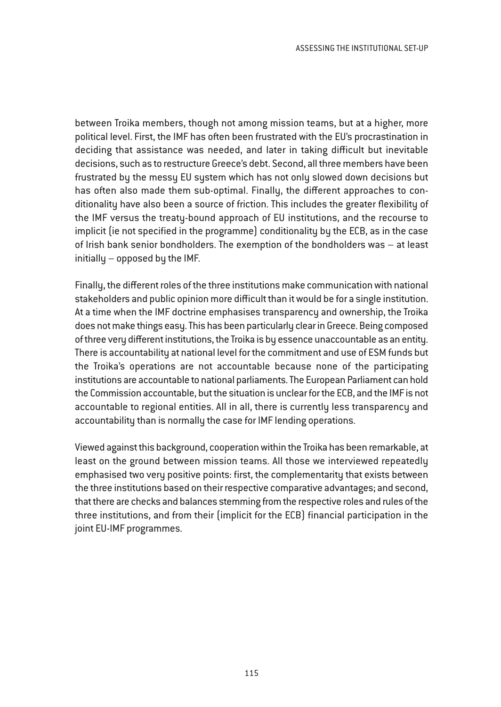between Troika members, though not among mission teams, but at a higher, more political level. First, the IMF has often been frustrated with the EU's procrastination in deciding that assistance was needed, and later in taking difficult but inevitable decisions, such as to restructure Greece's debt. Second, all three members have been frustrated by the messy EU system which has not only slowed down decisions but has often also made them sub-optimal. Finally, the different approaches to conditionality have also been a source of friction. This includes the greater flexibility of the IMF versus the treaty-bound approach of EU institutions, and the recourse to implicit (ie not specified in the programme) conditionality by the ECB, as in the case of Irish bank senior bondholders. The exemption of the bondholders was – at least initially – opposed by the IMF.

Finally, the different roles of the three institutions make communication with national stakeholders and public opinion more difficult than it would be for a single institution. At a time when the IMF doctrine emphasises transparency and ownership, the Troika does not make things easy. This has been particularly clear in Greece. Being composed of three very different institutions, the Troika is by essence unaccountable as an entity. There is accountability at national level for the commitment and use of ESM funds but the Troika's operations are not accountable because none of the participating institutions are accountable to national parliaments. The European Parliament can hold the Commission accountable, but the situation is unclear for the ECB, and the IMF is not accountable to regional entities. All in all, there is currently less transparency and accountability than is normally the case for IMF lending operations.

Viewed against this background, cooperation within the Troika has been remarkable, at least on the ground between mission teams. All those we interviewed repeatedly emphasised two very positive points: first, the complementarity that exists between the three institutions based on their respective comparative advantages; and second, that there are checks and balances stemming from the respective roles and rules of the three institutions, and from their (implicit for the ECB) financial participation in the joint EU-IMF programmes.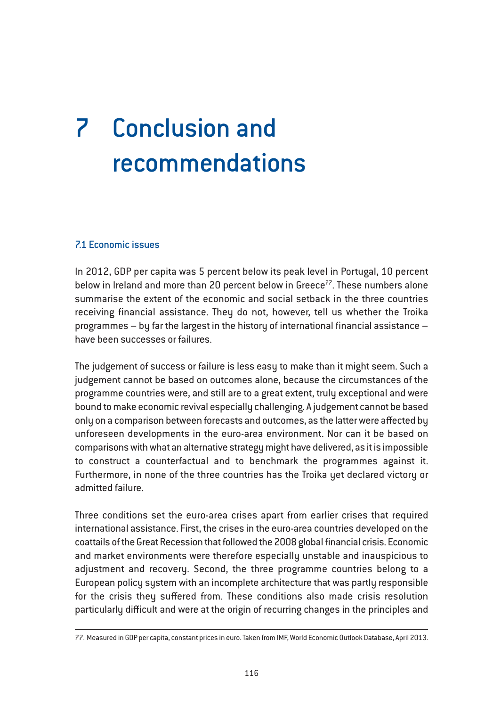# 7 Conclusion and recommendations

### 7.1 Economic issues

In 2012, GDP per capita was 5 percent below its peak level in Portugal, 10 percent below in Ireland and more than 20 percent below in Greece<sup>77</sup>. These numbers alone summarise the extent of the economic and social setback in the three countries receiving financial assistance. They do not, however, tell us whether the Troika programmes – by far the largest in the history of international financial assistance – have been successes or failures.

The judgement of success or failure is less easy to make than it might seem. Such a judgement cannot be based on outcomes alone, because the circumstances of the programme countries were, and still are to a great extent, truly exceptional and were bound to make economic revival especially challenging. A judgement cannot be based only on a comparison between forecasts and outcomes, as the latter were affected by unforeseen developments in the euro-area environment. Nor can it be based on comparisons with what an alternative strategy might have delivered, as it is impossible to construct a counterfactual and to benchmark the programmes against it. Furthermore, in none of the three countries has the Troika yet declared victory or admitted failure.

Three conditions set the euro-area crises apart from earlier crises that required international assistance. First, the crises in the euro-area countries developed on the coattails of the Great Recession that followed the 2008 global financial crisis. Economic and market environments were therefore especially unstable and inauspicious to adjustment and recovery. Second, the three programme countries belong to a European policy system with an incomplete architecture that was partly responsible for the crisis they suffered from. These conditions also made crisis resolution particularly difficult and were at the origin of recurring changes in the principles and

<sup>77.</sup> Measured in GDP per capita, constant prices in euro. Taken from IMF, World Economic Outlook Database, April 2013.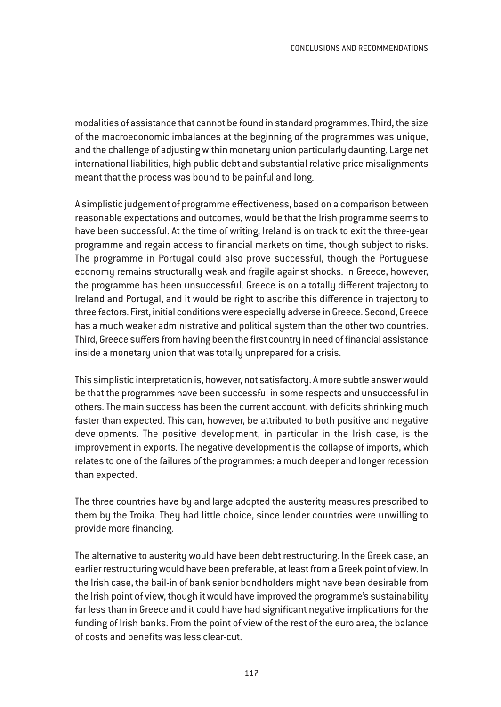modalities of assistance that cannot be found in standard programmes. Third, the size of the macroeconomic imbalances at the beginning of the programmes was unique, and the challenge of adjusting within monetary union particularly daunting. Large net international liabilities, high public debt and substantial relative price misalignments meant that the process was bound to be painful and long.

A simplistic judgement of programme effectiveness, based on a comparison between reasonable expectations and outcomes, would be that the Irish programme seems to have been successful. At the time of writing, Ireland is on track to exit the three-year programme and regain access to financial markets on time, though subject to risks. The programme in Portugal could also prove successful, though the Portuguese economy remains structurally weak and fragile against shocks. In Greece, however, the programme has been unsuccessful. Greece is on a totally different trajectory to Ireland and Portugal, and it would be right to ascribe this difference in trajectory to three factors. First, initial conditions were especially adverse in Greece. Second, Greece has a much weaker administrative and political system than the other two countries. Third, Greece suffers from having been the first country in need of financial assistance inside a monetary union that was totally unprepared for a crisis.

This simplistic interpretation is, however, not satisfactory. A more subtle answer would be that the programmes have been successful in some respects and unsuccessful in others. The main success has been the current account, with deficits shrinking much faster than expected. This can, however, be attributed to both positive and negative developments. The positive development, in particular in the Irish case, is the improvement in exports. The negative development is the collapse of imports, which relates to one of the failures of the programmes: a much deeper and longer recession than expected.

The three countries have by and large adopted the austerity measures prescribed to them by the Troika. They had little choice, since lender countries were unwilling to provide more financing.

The alternative to austerity would have been debt restructuring. In the Greek case, an earlier restructuring would have been preferable, at least from a Greek point of view. In the Irish case, the bail-in of bank senior bondholders might have been desirable from the Irish point of view, though it would have improved the programme's sustainability far less than in Greece and it could have had significant negative implications for the funding of Irish banks. From the point of view of the rest of the euro area, the balance of costs and benefits was less clear-cut.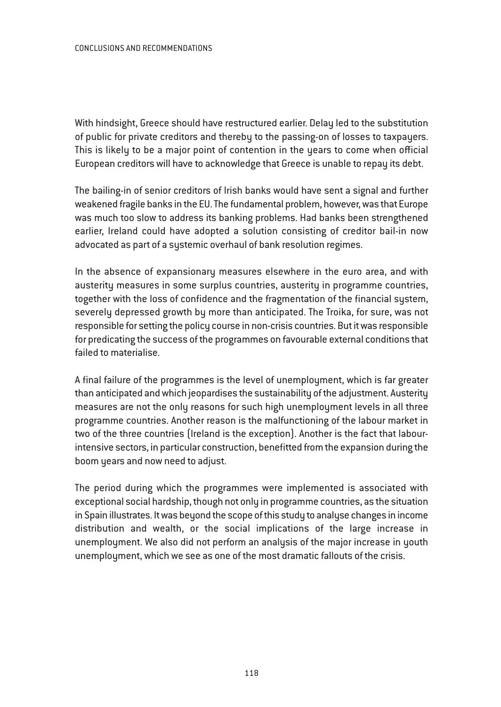#### CONCLUSIONS AND RECOMMENDATIONS

With hindsight, Greece should have restructured earlier. Delay led to the substitution of public for private creditors and thereby to the passing-on of losses to taxpayers. This is likely to be a major point of contention in the years to come when official European creditors will have to acknowledge that Greece is unable to repay its debt.

The bailing-in of senior creditors of Irish banks would have sent a signal and further weakened fragile banks in the EU. The fundamental problem, however, was that Europe was much too slow to address its banking problems. Had banks been strengthened earlier, Ireland could have adopted a solution consisting of creditor bail-in now advocated as part of a systemic overhaul of bank resolution regimes.

In the absence of expansionary measures elsewhere in the euro area, and with austerity measures in some surplus countries, austerity in programme countries, together with the loss of confidence and the fragmentation of the financial system, severely depressed growth by more than anticipated. The Troika, for sure, was not responsible for setting the policy course in non-crisis countries. But it was responsible for predicating the success of the programmes on favourable external conditions that failed to materialise.

A final failure of the programmes is the level of unemployment, which is far greater than anticipated and which jeopardises the sustainability of the adjustment. Austerity measures are not the only reasons for such high unemployment levels in all three programme countries. Another reason is the malfunctioning of the labour market in two of the three countries (Ireland is the exception). Another is the fact that labourintensive sectors, in particular construction, benefitted from the expansion during the boom years and now need to adjust.

The period during which the programmes were implemented is associated with exceptional social hardship, though not only in programme countries, as the situation in Spain illustrates. It was beyond the scope of this study to analyse changes in income distribution and wealth, or the social implications of the large increase in unemployment. We also did not perform an analysis of the major increase in youth unemployment, which we see as one of the most dramatic fallouts of the crisis.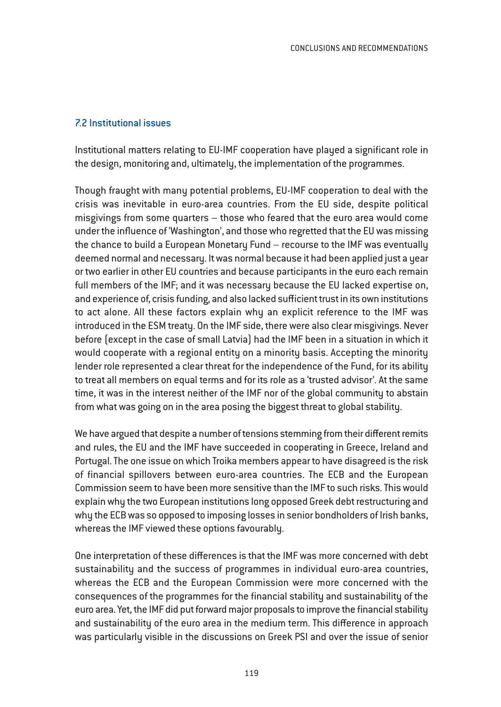#### 7.2 Institutional issues

Institutional matters relating to EU-IMF cooperation have played a significant role in the design, monitoring and, ultimately, the implementation of the programmes.

Though fraught with many potential problems, EU-IMF cooperation to deal with the crisis was inevitable in euro-area countries. From the EU side, despite political misgivings from some quarters – those who feared that the euro area would come under the influence of 'Washington', and those who regretted that the EU was missing the chance to build a European Monetary Fund – recourse to the IMF was eventually deemed normal and necessary. It was normal because it had been applied just a year or two earlier in other EU countries and because participants in the euro each remain full members of the IMF; and it was necessary because the EU lacked expertise on, and experience of, crisis funding, and also lacked sufficient trust in its own institutions to act alone. All these factors explain why an explicit reference to the IMF was introduced in the ESM treaty. On the IMF side, there were also clear misgivings. Never before (except in the case of small Latvia) had the IMF been in a situation in which it would cooperate with a regional entity on a minority basis. Accepting the minority lender role represented a clear threat for the independence of the Fund, for its ability to treat all members on equal terms and for its role as a 'trusted advisor'. At the same time, it was in the interest neither of the IMF nor of the global community to abstain from what was going on in the area posing the biggest threat to global stability.

We have argued that despite a number of tensions stemming from their different remits and rules, the EU and the IMF have succeeded in cooperating in Greece, Ireland and Portugal. The one issue on which Troika members appear to have disagreed is the risk of financial spillovers between euro-area countries. The ECB and the European Commission seem to have been more sensitive than the IMF to such risks. This would explain why the two European institutions long opposed Greek debt restructuring and why the ECB was so opposed to imposing losses in senior bondholders of Irish banks, whereas the IMF viewed these options favourably.

One interpretation of these differences is that the IMF was more concerned with debt sustainability and the success of programmes in individual euro-area countries, whereas the ECB and the European Commission were more concerned with the consequences of the programmes for the financial stability and sustainability of the euro area. Yet, the IMF did put forward major proposals to improve the financial stability and sustainability of the euro area in the medium term. This difference in approach was particularly visible in the discussions on Greek PSI and over the issue of senior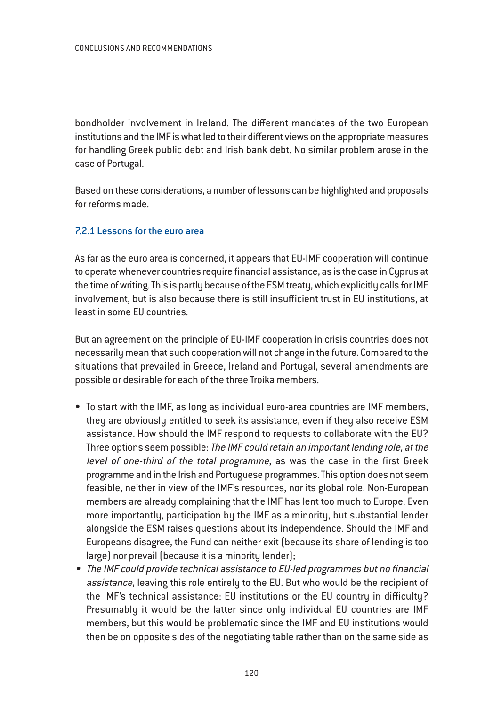bondholder involvement in Ireland. The different mandates of the two European institutions and the IMF is what led to their different views on the appropriate measures for handling Greek public debt and Irish bank debt. No similar problem arose in the case of Portugal.

Based on these considerations, a number of lessons can be highlighted and proposals for reforms made.

# 7.2.1 Lessons for the euro area

As far as the euro area is concerned, it appears that EU-IMF cooperation will continue to operate whenever countries require financial assistance, as is the case in Cyprus at the time of writing. This is partly because of the ESM treaty, which explicitly calls for IMF involvement, but is also because there is still insufficient trust in EU institutions, at least in some EU countries.

But an agreement on the principle of EU-IMF cooperation in crisis countries does not necessarily mean that such cooperation will not change in the future. Compared to the situations that prevailed in Greece, Ireland and Portugal, several amendments are possible or desirable for each of the three Troika members.

- To start with the IMF, as long as individual euro-area countries are IMF members, they are obviously entitled to seek its assistance, even if they also receive ESM assistance. How should the IMF respond to requests to collaborate with the EU? Three options seem possible: The IMF could retain an important lending role, at the level of one-third of the total programme, as was the case in the first Greek programme and in the Irish and Portuguese programmes. This option does not seem feasible, neither in view of the IMF's resources, nor its global role. Non-European members are already complaining that the IMF has lent too much to Europe. Even more importantly, participation by the IMF as a minority, but substantial lender alongside the ESM raises questions about its independence. Should the IMF and Europeans disagree, the Fund can neither exit (because its share of lending is too large) nor prevail (because it is a minority lender);
- The IMF could provide technical assistance to EU-led programmes but no financial assistance, leaving this role entirely to the EU. But who would be the recipient of the IMF's technical assistance: EU institutions or the EU country in difficulty? Presumably it would be the latter since only individual EU countries are IMF members, but this would be problematic since the IMF and EU institutions would then be on opposite sides of the negotiating table rather than on the same side as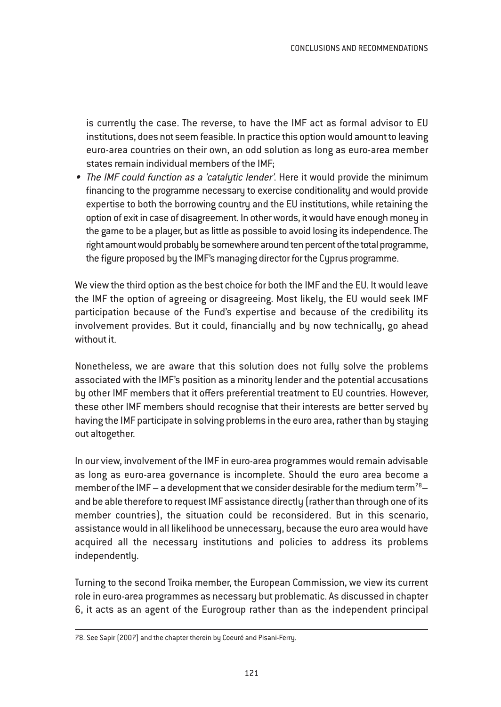is currently the case. The reverse, to have the IMF act as formal advisor to EU institutions, does not seem feasible. In practice this option would amount to leaving euro-area countries on their own, an odd solution as long as euro-area member states remain individual members of the IMF;

• The IMF could function as <sup>a</sup> 'catalytic lender'. Here it would provide the minimum financing to the programme necessary to exercise conditionality and would provide expertise to both the borrowing country and the EU institutions, while retaining the option of exit in case of disagreement. In other words, it would have enough money in the game to be a player, but as little as possible to avoid losing its independence. The right amount would probably be somewhere around ten percent of the total programme, the figure proposed by the IMF's managing director for the Cyprus programme.

We view the third option as the best choice for both the IMF and the EU. It would leave the IMF the option of agreeing or disagreeing. Most likely, the EU would seek IMF participation because of the Fund's expertise and because of the credibility its involvement provides. But it could, financially and by now technically, go ahead without it.

Nonetheless, we are aware that this solution does not fully solve the problems associated with the IMF's position as a minority lender and the potential accusations by other IMF members that it offers preferential treatment to EU countries. However, these other IMF members should recognise that their interests are better served by having the IMF participate in solving problems in the euro area, rather than by staying out altogether.

In our view, involvement of the IMF in euro-area programmes would remain advisable as long as euro-area governance is incomplete. Should the euro area become a member of the IMF – a development that we consider desirable for the medium term<sup>78</sup>– and be able therefore to request IMF assistance directly (rather than through one of its member countries), the situation could be reconsidered. But in this scenario, assistance would in all likelihood be unnecessary, because the euro area would have acquired all the necessary institutions and policies to address its problems independently.

Turning to the second Troika member, the European Commission, we view its current role in euro-area programmes as necessary but problematic. As discussed in chapter 6, it acts as an agent of the Eurogroup rather than as the independent principal

<sup>78.</sup> See Sapir (2007) and the chapter therein by Coeuré and Pisani-Ferry.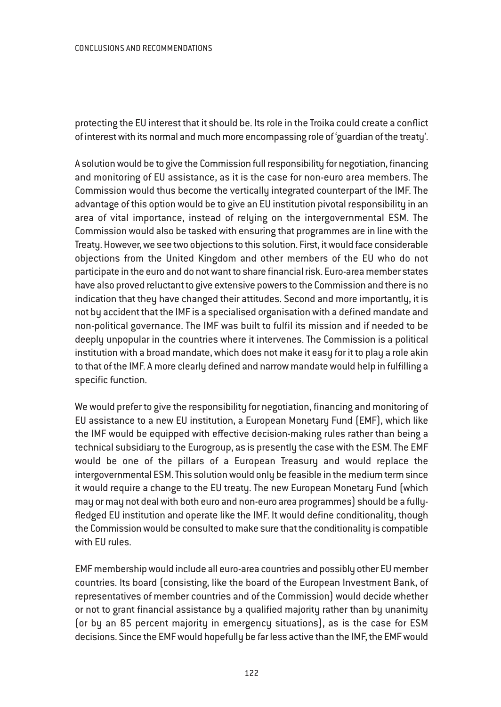protecting the EU interest that it should be. Its role in the Troika could create a conflict of interest with its normal and much more encompassing role of 'guardian of the treaty'.

A solution would be to give the Commission full responsibility for negotiation, financing and monitoring of EU assistance, as it is the case for non-euro area members. The Commission would thus become the vertically integrated counterpart of the IMF. The advantage of this option would be to give an EU institution pivotal responsibility in an area of vital importance, instead of relying on the intergovernmental ESM. The Commission would also be tasked with ensuring that programmes are in line with the Treaty. However, we see two objections to this solution. First, it would face considerable objections from the United Kingdom and other members of the EU who do not participate in the euro and do not want to share financial risk. Euro-area member states have also proved reluctant to give extensive powers to the Commission and there is no indication that they have changed their attitudes. Second and more importantly, it is not by accident that the IMF is a specialised organisation with a defined mandate and non-political governance. The IMF was built to fulfil its mission and if needed to be deeply unpopular in the countries where it intervenes. The Commission is a political institution with a broad mandate, which does not make it easy for it to play a role akin to that of the IMF. A more clearly defined and narrow mandate would help in fulfilling a specific function.

We would prefer to give the responsibility for negotiation, financing and monitoring of EU assistance to a new EU institution, a European Monetary Fund (EMF), which like the IMF would be equipped with effective decision-making rules rather than being a technical subsidiary to the Eurogroup, as is presently the case with the ESM. The EMF would be one of the pillars of a European Treasury and would replace the intergovernmental ESM. This solution would only be feasible in the medium term since it would require a change to the EU treaty. The new European Monetary Fund (which may or may not deal with both euro and non-euro area programmes) should be a fullyfledged EU institution and operate like the IMF. It would define conditionality, though the Commission would be consulted to make sure that the conditionality is compatible with EU rules.

EMF membership would include all euro-area countries and possibly other EU member countries. Its board (consisting, like the board of the European Investment Bank, of representatives of member countries and of the Commission) would decide whether or not to grant financial assistance by a qualified majority rather than by unanimity (or by an 85 percent majority in emergency situations), as is the case for ESM decisions. Since the EMF would hopefully be far less active than the IMF, the EMF would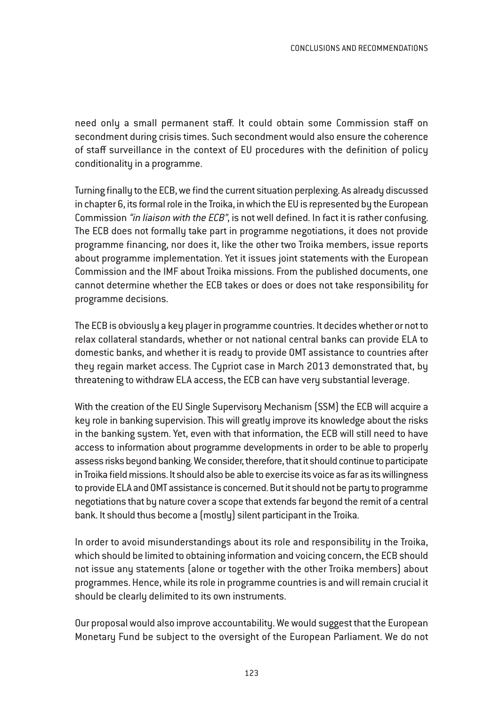need only a small permanent staff. It could obtain some Commission staff on secondment during crisis times. Such secondment would also ensure the coherence of staff surveillance in the context of EU procedures with the definition of policy conditionality in a programme.

Turning finally to the ECB, we find the current situation perplexing. As already discussed in chapter 6, its formal role in the Troika, in which the EU is represented by the European Commission "in liaison with the ECB", is not well defined. In fact it is rather confusing. The ECB does not formally take part in programme negotiations, it does not provide programme financing, nor does it, like the other two Troika members, issue reports about programme implementation. Yet it issues joint statements with the European Commission and the IMF about Troika missions. From the published documents, one cannot determine whether the ECB takes or does or does not take responsibility for programme decisions.

The ECB is obviously a key player in programme countries. It decides whether or not to relax collateral standards, whether or not national central banks can provide ELA to domestic banks, and whether it is ready to provide OMT assistance to countries after they regain market access. The Cypriot case in March 2013 demonstrated that, by threatening to withdraw ELA access, the ECB can have very substantial leverage.

With the creation of the EU Single Supervisory Mechanism (SSM) the ECB will acquire a key role in banking supervision. This will greatly improve its knowledge about the risks in the banking system. Yet, even with that information, the ECB will still need to have access to information about programme developments in order to be able to properly assess risks beyond banking. We consider, therefore, that it should continue to participate in Troika field missions. It should also be able to exercise its voice as far as its willingness to provide ELA and OMT assistance is concerned. But it should not be party to programme negotiations that by nature cover a scope that extends far beyond the remit of a central bank. It should thus become a (mostly) silent participant in the Troika.

In order to avoid misunderstandings about its role and responsibility in the Troika, which should be limited to obtaining information and voicing concern, the ECB should not issue any statements (alone or together with the other Troika members) about programmes. Hence, while its role in programme countries is and will remain crucial it should be clearly delimited to its own instruments.

Our proposal would also improve accountability. We would suggest that the European Monetary Fund be subject to the oversight of the European Parliament. We do not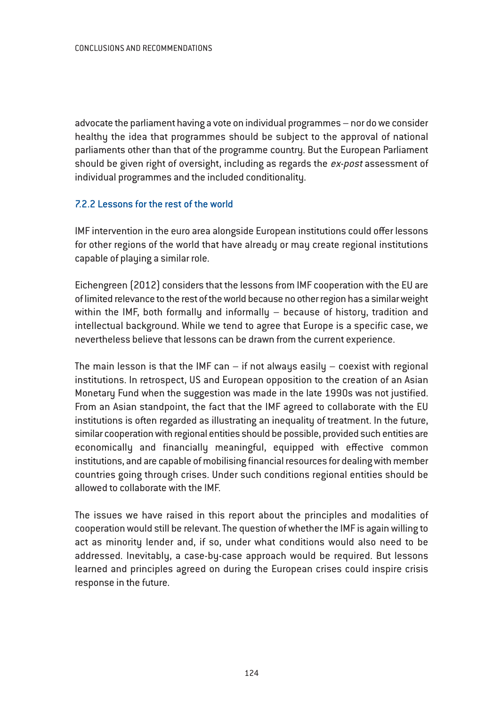advocate the parliament having a vote on individual programmes – nor do we consider healthy the idea that programmes should be subject to the approval of national parliaments other than that of the programme country. But the European Parliament should be given right of oversight, including as regards the ex-post assessment of individual programmes and the included conditionality.

# 7.2.2 Lessons for the rest of the world

IMF intervention in the euro area alongside European institutions could offer lessons for other regions of the world that have already or may create regional institutions capable of playing a similar role.

Eichengreen (2012) considers that the lessons from IMF cooperation with the EU are of limited relevance to the rest of the world because no other region has a similar weight within the IMF, both formally and informally – because of history, tradition and intellectual background. While we tend to agree that Europe is a specific case, we nevertheless believe that lessons can be drawn from the current experience.

The main lesson is that the IMF can  $-$  if not always easily  $-$  coexist with regional institutions. In retrospect, US and European opposition to the creation of an Asian Monetary Fund when the suggestion was made in the late 1990s was not justified. From an Asian standpoint, the fact that the IMF agreed to collaborate with the EU institutions is often regarded as illustrating an inequality of treatment. In the future, similar cooperation with regional entities should be possible, provided such entities are economically and financially meaningful, equipped with effective common institutions, and are capable of mobilising financial resources for dealing with member countries going through crises. Under such conditions regional entities should be allowed to collaborate with the IMF.

The issues we have raised in this report about the principles and modalities of cooperation would still be relevant. The question of whether the IMF is again willing to act as minority lender and, if so, under what conditions would also need to be addressed. Inevitably, a case-by-case approach would be required. But lessons learned and principles agreed on during the European crises could inspire crisis response in the future.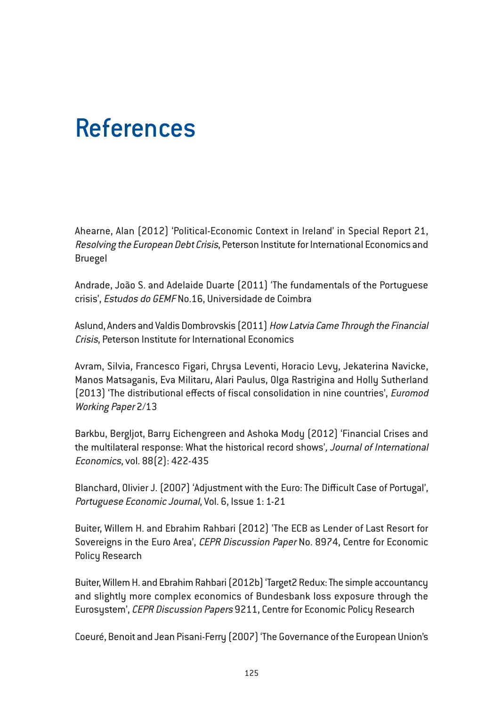# References

Ahearne, Alan (2012) 'Political-Economic Context in Ireland' in Special Report 21, Resolving the European Debt Crisis, Peterson Institute for International Economics and Bruegel

Andrade, João S. and Adelaide Duarte (2011) 'The fundamentals of the Portuguese crisis', Estudos do GEMF No.16, Universidade de Coimbra

Aslund, Anders and Valdis Dombrovskis (2011) How Latvia Came Through the Financial Crisis, Peterson Institute for International Economics

Avram, Silvia, Francesco Figari, Chrysa Leventi, Horacio Levy, Jekaterina Navicke, Manos Matsaganis, Eva Militaru, Alari Paulus, Olga Rastrigina and Holly Sutherland (2013) 'The distributional effects of fiscal consolidation in nine countries', Euromod Working Paper 2/13

Barkbu, Bergljot, Barry Eichengreen and Ashoka Mody (2012) 'Financial Crises and the multilateral response: What the historical record shows', Journal of International Economics, vol. 88(2): 422-435

Blanchard, Olivier J. (2007) 'Adjustment with the Euro: The Difficult Case of Portugal', Portuguese Economic Journal, Vol. 6, Issue 1: 1-21

Buiter, Willem H. and Ebrahim Rahbari (2012) 'The ECB as Lender of Last Resort for Sovereigns in the Euro Area', CEPR Discussion Paper No. 8974, Centre for Economic Policy Research

Buiter, Willem H. and Ebrahim Rahbari (2012b) 'Target2 Redux: The simple accountancy and slightly more complex economics of Bundesbank loss exposure through the Eurosystem', CEPR Discussion Papers 9211, Centre for Economic Policy Research

Coeuré, Benoit and Jean Pisani-Ferry (2007) 'The Governance of the European Union's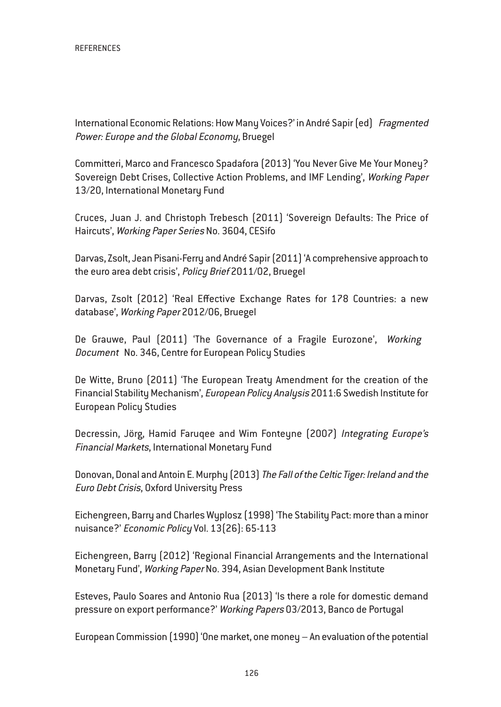International Economic Relations: How Many Voices?' in André Sapir (ed) Fragmented Power: Europe and the Global Economy, Bruegel

Committeri, Marco and Francesco Spadafora (2013) 'You Never Give Me Your Money? Sovereign Debt Crises, Collective Action Problems, and IMF Lending', Working Paper 13/20, International Monetary Fund

Cruces, Juan J. and Christoph Trebesch (2011) 'Sovereign Defaults: The Price of Haircuts', Working Paper Series No. 3604, CESifo

Darvas, Zsolt, Jean Pisani-Ferry and André Sapir (2011) 'A comprehensive approach to the euro area debt crisis', Policy Brief 2011/02, Bruegel

Darvas, Zsolt (2012) 'Real Effective Exchange Rates for 178 Countries: a new database', Working Paper 2012/06, Bruegel

De Grauwe, Paul (2011) 'The Governance of a Fragile Eurozone', Working Document No. 346, Centre for European Policy Studies

De Witte, Bruno (2011) 'The European Treaty Amendment for the creation of the Financial Stability Mechanism', European Policy Analysis 2011:6 Swedish Institute for European Policy Studies

Decressin, Jörg, Hamid Faruqee and Wim Fonteyne (2007) Integrating Europe's Financial Markets, International Monetary Fund

Donovan, Donal and Antoin E. Murphy (2013) The Fall of the Celtic Tiger: Ireland and the Euro Debt Crisis, Oxford University Press

Eichengreen, Barry and Charles Wyplosz (1998) 'The Stability Pact: more than a minor nuisance?' Economic Policy Vol. 13(26): 65-113

Eichengreen, Barry (2012) 'Regional Financial Arrangements and the International Monetary Fund', Working Paper No. 394, Asian Development Bank Institute

Esteves, Paulo Soares and Antonio Rua (2013) 'Is there a role for domestic demand pressure on export performance?' Working Papers 03/2013, Banco de Portugal

European Commission (1990) 'One market, one money – An evaluation of the potential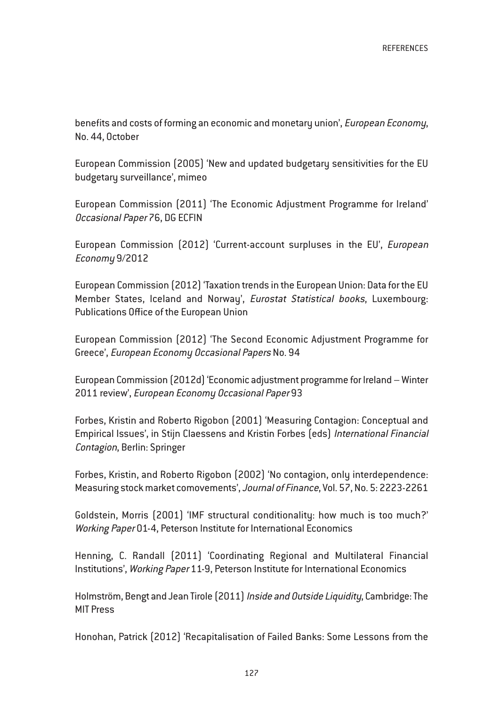benefits and costs of forming an economic and monetary union', European Economy, No. 44, October

European Commission (2005) 'New and updated budgetary sensitivities for the EU budgetary surveillance', mimeo

European Commission (2011) 'The Economic Adjustment Programme for Ireland' Occasional Paper 76, DG ECFIN

European Commission (2012) 'Current-account surpluses in the EU', European Economy 9/2012

European Commission (2012) 'Taxation trends in the European Union: Data for the EU Member States, Iceland and Norway', Eurostat Statistical books, Luxembourg: Publications Office of the European Union

European Commission (2012) 'The Second Economic Adjustment Programme for Greece', European Economy Occasional Papers No. 94

European Commission (2012d) 'Economic adjustment programme for Ireland – Winter 2011 review', European Economy Occasional Paper 93

Forbes, Kristin and Roberto Rigobon (2001) 'Measuring Contagion: Conceptual and Empirical Issues', in Stijn Claessens and Kristin Forbes (eds) International Financial Contagion, Berlin: Springer

Forbes, Kristin, and Roberto Rigobon (2002) 'No contagion, only interdependence: Measuring stock market comovements', Journal of Finance, Vol. 57, No. 5: 2223-2261

Goldstein, Morris (2001) 'IMF structural conditionality: how much is too much?' Working Paper 01-4, Peterson Institute for International Economics

Henning, C. Randall (2011) 'Coordinating Regional and Multilateral Financial Institutions', Working Paper 11-9, Peterson Institute for International Economics

Holmström, Bengt and Jean Tirole (2011) Inside and Outside Liquidity, Cambridge: The MIT Press

Honohan, Patrick (2012) 'Recapitalisation of Failed Banks: Some Lessons from the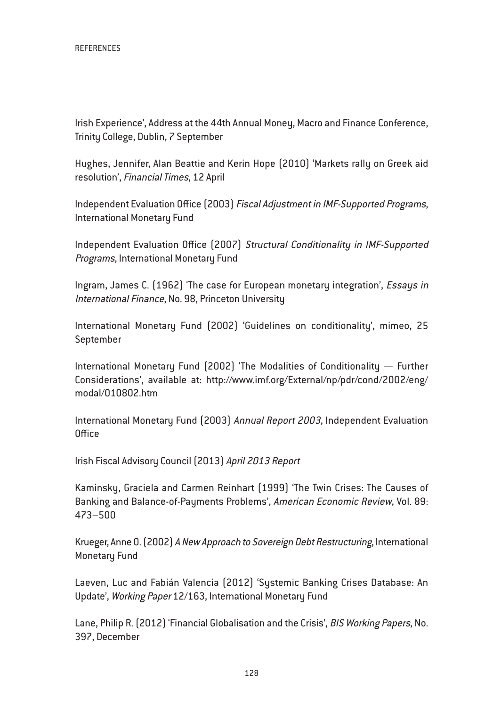Irish Experience', Address at the 44th Annual Money, Macro and Finance Conference, Trinity College, Dublin, 7 September

Hughes, Jennifer, Alan Beattie and Kerin Hope (2010) 'Markets rally on Greek aid resolution', Financial Times, 12 April

Independent Evaluation Office (2003) Fiscal Adjustment in IMF-Supported Programs, International Monetary Fund

Independent Evaluation Office (2007) Structural Conditionality in IMF-Supported Programs, International Monetary Fund

Ingram, James C. (1962) 'The case for European monetary integration', Essays in International Finance, No. 98, Princeton University

International Monetary Fund (2002) 'Guidelines on conditionality', mimeo, 25 September

International Monetary Fund (2002) 'The Modalities of Conditionality — Further Considerations', available at: http://www.imf.org/External/np/pdr/cond/2002/eng/ modal/010802.htm

International Monetary Fund (2003) Annual Report <sup>2003</sup>, Independent Evaluation **Office** 

Irish Fiscal Advisory Council (2013) April <sup>2013</sup> Report

Kaminsky, Graciela and Carmen Reinhart (1999) 'The Twin Crises: The Causes of Banking and Balance-of-Payments Problems', American Economic Review, Vol. 89: 473–500

Krueger, Anne O. (2002) <sup>A</sup> New Approach to Sovereign Debt Restructuring, International Monetary Fund

Laeven, Luc and Fabián Valencia (2012) 'Systemic Banking Crises Database: An Update', Working Paper 12/163, International Monetary Fund

Lane, Philip R. (2012) 'Financial Globalisation and the Crisis', BIS Working Papers, No. 397, December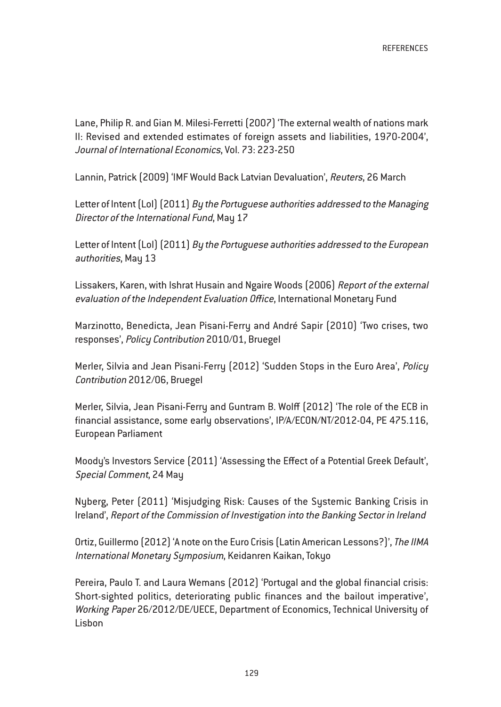Lane, Philip R. and Gian M. Milesi-Ferretti (2007) 'The external wealth of nations mark II: Revised and extended estimates of foreign assets and liabilities, 1970-2004', Journal of International Economics, Vol. 73: 223-250

Lannin, Patrick (2009) 'IMF Would Back Latvian Devaluation', Reuters, 26 March

Letter of Intent (LoI) [2011] By the Portuguese authorities addressed to the Managing Director of the International Fund, May 17

Letter of Intent (LoI) [2011] By the Portuguese authorities addressed to the European authorities, May 13

Lissakers, Karen, with Ishrat Husain and Ngaire Woods (2006) Report of the external evaluation of the Independent Evaluation Office, International Monetary Fund

Marzinotto, Benedicta, Jean Pisani-Ferry and André Sapir (2010) 'Two crises, two responses', Policy Contribution 2010/01, Bruegel

Merler, Silvia and Jean Pisani-Ferry (2012) 'Sudden Stops in the Euro Area', Policy Contribution 2012/06, Bruegel

Merler, Silvia, Jean Pisani-Ferry and Guntram B. Wolff (2012) 'The role of the ECB in financial assistance, some early observations', IP/A/ECON/NT/2012-04, PE 475.116, European Parliament

Moody's Investors Service (2011) 'Assessing the Effect of a Potential Greek Default', Special Comment, 24 May

Nyberg, Peter (2011) 'Misjudging Risk: Causes of the Systemic Banking Crisis in Ireland', Report of the Commission of Investigation into the Banking Sector in Ireland

Ortiz, Guillermo (2012) 'A note on the Euro Crisis (Latin American Lessons?)', The IIMA International Monetary Symposium, Keidanren Kaikan, Tokyo

Pereira, Paulo T. and Laura Wemans (2012) 'Portugal and the global financial crisis: Short-sighted politics, deteriorating public finances and the bailout imperative', Working Paper 26/2012/DE/UECE, Department of Economics, Technical University of Lisbon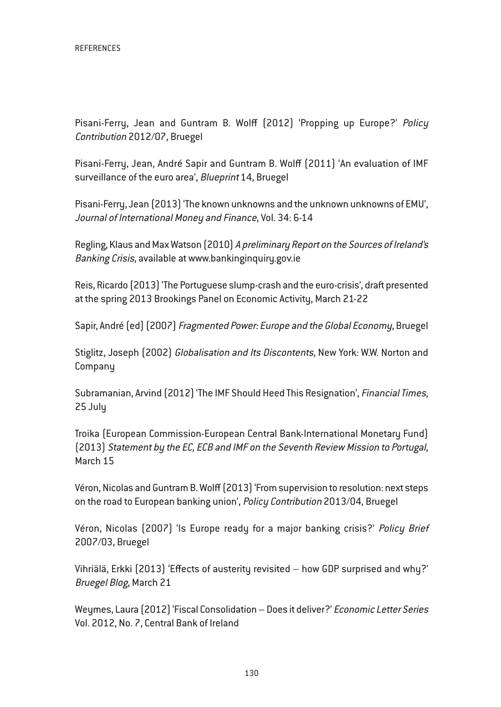Pisani-Ferry, Jean and Guntram B. Wolff (2012) 'Propping up Europe?' Policy Contribution 2012/07, Bruegel

Pisani-Ferry, Jean, André Sapir and Guntram B. Wolff (2011) 'An evaluation of IMF surveillance of the euro area', Blueprint 14, Bruegel

Pisani-Ferry, Jean (2013) 'The known unknowns and the unknown unknowns of EMU', Journal of International Money and Finance, Vol. 34: 6-14

Regling, Klaus and Max Watson (2010) <sup>A</sup> preliminary Report on the Sources of Ireland's Banking Crisis, available at www.bankinginquiry.gov.ie

Reis, Ricardo (2013) 'The Portuguese slump-crash and the euro-crisis', draft presented at the spring 2013 Brookings Panel on Economic Activity, March 21-22

Sapir, André (ed) (2007) Fragmented Power: Europe and the Global Economy, Bruegel

Stiglitz, Joseph (2002) Globalisation and Its Discontents, New York: W.W. Norton and Company

Subramanian, Arvind (2012) 'The IMF Should Heed This Resignation', Financial Times, 25 July

Troika (European Commission-European Central Bank-International Monetary Fund) (2013) Statement by the EC, ECB and IMF on the Seventh Review Mission to Portugal, March 15

Véron, Nicolas and Guntram B. Wolff (2013) 'From supervision to resolution: next steps on the road to European banking union', Policy Contribution 2013/04, Bruegel

Véron, Nicolas (2007) 'Is Europe ready for a major banking crisis?' Policy Brief 2007/03, Bruegel

Vihriälä, Erkki (2013) 'Effects of austerity revisited – how GDP surprised and why?' Bruegel Blog, March 21

Weymes, Laura (2012) 'Fiscal Consolidation – Does it deliver?' Economic Letter Series Vol. 2012, No. 7, Central Bank of Ireland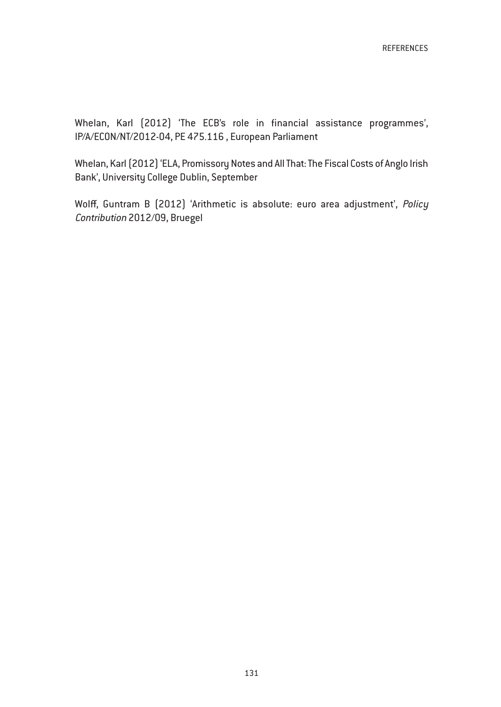Whelan, Karl (2012) 'The ECB's role in financial assistance programmes', IP/A/ECON/NT/2012-04, PE 475.116 , European Parliament

Whelan, Karl (2012) 'ELA, Promissory Notes and All That: The Fiscal Costs of Anglo Irish Bank', University College Dublin, September

Wolff, Guntram B (2012) 'Arithmetic is absolute: euro area adjustment', Policy Contribution 2012/09, Bruegel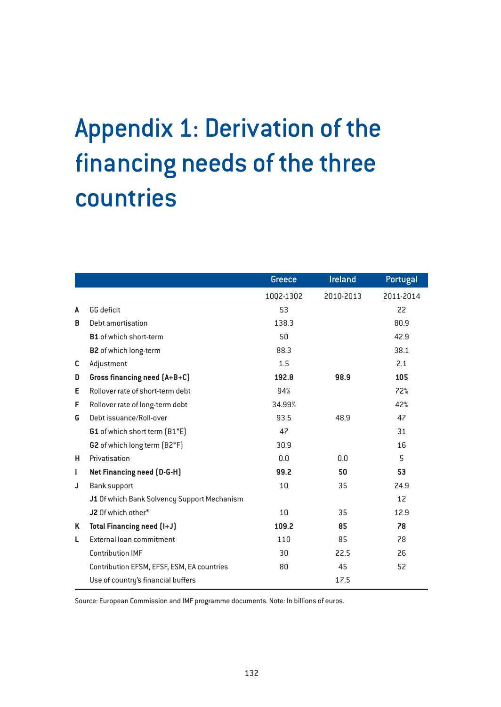# Appendix 1: Derivation of the financing needs of the three countries

|   |                                             | Greece    | Ireland   | Portugal  |
|---|---------------------------------------------|-----------|-----------|-----------|
|   |                                             | 1002-1302 | 2010-2013 | 2011-2014 |
| A | GG deficit                                  | 53        |           | 22        |
| B | Debt amortisation                           | 138.3     |           | 80.9      |
|   | <b>B1</b> of which short-term               | 50        |           | 42.9      |
|   | <b>B2</b> of which long-term                | 88.3      |           | 38.1      |
| c | Adjustment                                  | 1.5       |           | 2.1       |
| D | Gross financing need (A+B+C)                | 192.8     | 98.9      | 105       |
| E | Rollover rate of short-term debt            | 94%       |           | 72%       |
| F | Rollover rate of long-term debt             | 34.99%    |           | 42%       |
| G | Debt issuance/Roll-over                     | 93.5      | 48.9      | 47        |
|   | G1 of which short term [B1*E]               | 47        |           | 31        |
|   | G2 of which long term (B2*F)                | 30.9      |           | 16        |
| н | Privatisation                               | 0.0       | 0.0       | 5         |
| L | Net Financing need (D-G-H)                  | 99.2      | 50        | 53        |
| J | <b>Bank support</b>                         | 10        | 35        | 24.9      |
|   | J1 Of which Bank Solvency Support Mechanism |           |           | 12        |
|   | J2 Of which other*                          | 10        | 35        | 12.9      |
| Κ | Total Financing need (I+J)                  | 109.2     | 85        | 78        |
| L | External loan commitment                    | 110       | 85        | 78        |
|   | <b>Contribution IMF</b>                     | 30        | 22.5      | 26        |
|   | Contribution EFSM, EFSF, ESM, EA countries  | 80        | 45        | 52        |
|   | Use of country's financial buffers          |           | 17.5      |           |

Source: European Commission and IMF programme documents. Note: In billions of euros.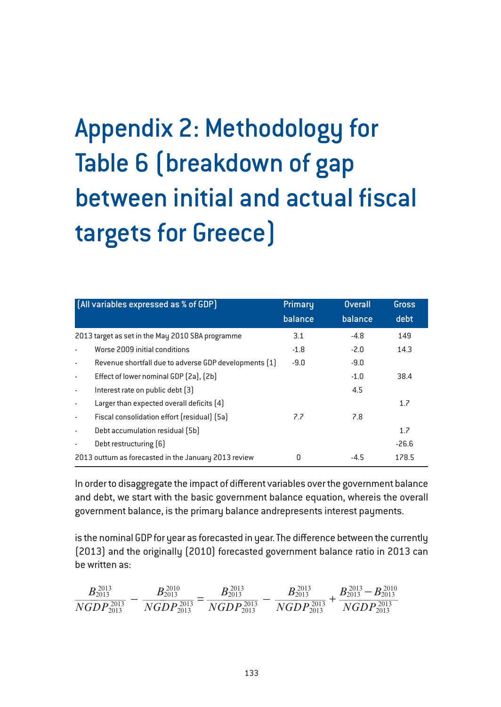# Appendix 2: Methodology for Table 6 (breakdown of gap between initial and actual fiscal targets for Greece)

| [All variables expressed as % of GDP]                 |                                                       | Primary | <b>Overall</b> | <b>Gross</b> |
|-------------------------------------------------------|-------------------------------------------------------|---------|----------------|--------------|
|                                                       |                                                       | balance | balance        | debt         |
|                                                       | 2013 target as set in the May 2010 SBA programme      | 3.1     | $-4.8$         | 149          |
|                                                       | Worse 2009 initial conditions                         | $-1.8$  | $-2.0$         | 14.3         |
| $\sim$                                                | Revenue shortfall due to adverse GDP developments [1] | $-9.0$  | $-9.0$         |              |
| $\blacksquare$                                        | Effect of lower nominal GDP [2a], [2b]                |         | $-1.0$         | 38.4         |
| $\sim$                                                | Interest rate on public debt [3]                      |         | 4.5            |              |
| $\sim$                                                | Larger than expected overall deficits [4]             |         |                | 1.7          |
| $\sim$                                                | Fiscal consolidation effort (residual) (5a)           | 7.7     | 7.8            |              |
| $\sim$                                                | Debt accumulation residual (5b)                       |         |                | 1.7          |
|                                                       | Debt restructuring [6]                                |         |                | $-26.6$      |
| 2013 outturn as forecasted in the January 2013 review |                                                       | 0       | $-4.5$         | 178.5        |

In order to disaggregate the impact of different variables over the government balance and debt, we start with the basic government balance equation, whereis the overall government balance, is the primary balance andrepresents interest payments.

is the nominal GDP for year as forecasted in year. The difference between the currently (2013) and the originally (2010) forecasted government balance ratio in 2013 can be written as:

$$
\frac{B_{2013}^{2013}}{NGDP_{2013}^{2013}}-\frac{B_{2013}^{2010}}{NGDP_{2013}^{2013}}=\frac{B_{2013}^{2013}}{NGDP_{2013}^{2013}}-\frac{B_{2013}^{2013}}{NGDP_{2013}^{2013}}+\frac{B_{2013}^{2013}-B_{2013}^{2010}}{NGDP_{2013}^{2013}}
$$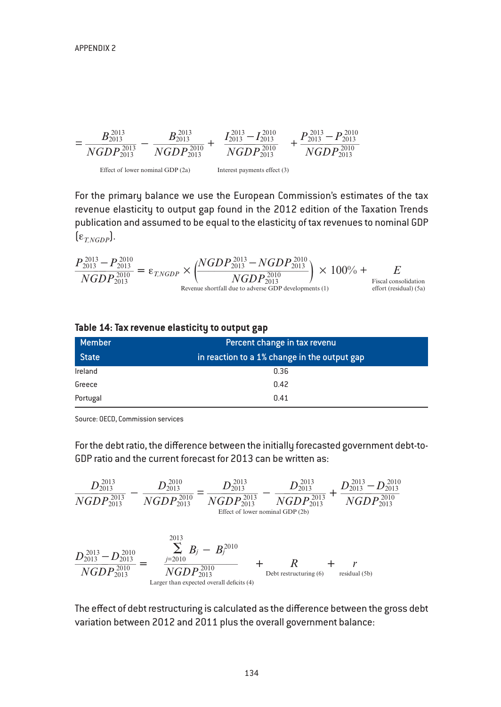

For the primary balance we use the European Commission's estimates of the tax revenue elasticity to output gap found in the 2012 edition of the Taxation Trends publication and assumed to be equal to the elasticity of tax revenues to nominal GDP  $[\epsilon_{TNGDP}]$ .

$$
\frac{P_{2013}^{2013} - P_{2013}^{2010}}{NGDP_{2013}^{2010}} = \varepsilon_{T,NGDP} \times \left( \frac{NGDP_{2013}^{2013} - NGDP_{2013}^{2010}}{NGDP_{2013}^{2010}} \right) \times 100\% + \sum_{\substack{\text{Fiscal consolidation\\ \text{effort (residual) (5a)}}}}
$$

| Member       | Percent change in tax revenu                 |
|--------------|----------------------------------------------|
| <b>State</b> | in reaction to a 1% change in the output gap |
| Ireland      | 0.36                                         |
| Greece       | 0.42                                         |
| Portugal     | 0.41                                         |

#### **Table 14: Tax revenue elasticity to output gap**

Source: OECD, Commission services

For the debt ratio, the difference between the initially forecasted government debt-to-GDP ratio and the current forecast for 2013 can be written as:

$$
\frac{D_{2013}^{2013}}{NGDP_{2013}^{2013}} - \frac{D_{2013}^{2010}}{NGDP_{2013}^{2010}} = \frac{D_{2013}^{2013}}{NGDP_{2013}^{2013}} - \frac{D_{2013}^{2013}}{NGDP_{2013}^{2013}} + \frac{D_{2013}^{2013} - D_{2013}^{2010}}{NGDP_{2013}^{2010}}
$$
\n
$$
\frac{D_{2013}^{2013} - D_{2013}^{2010}}{NGDP_{2013}^{2010}} = \frac{\sum_{j=2010}^{2013} B_j - B_j^{2010}}{NGDP_{2013}^{2010}} + \frac{R}{M} + \frac{r}{\text{Residual (5b)}}
$$
\nLarger than expected overall deficits (4)

The effect of debt restructuring is calculated as the difference between the gross debt variation between 2012 and 2011 plus the overall government balance: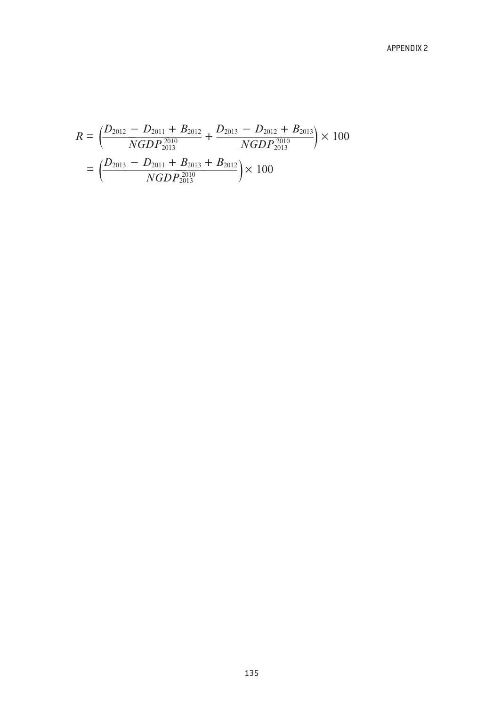$$
R = \left(\frac{D_{2012} - D_{2011} + B_{2012}}{NGDP_{2013}^{2010}} + \frac{D_{2013} - D_{2012} + B_{2013}}{NGDP_{2013}^{2010}}\right) \times 100
$$
  
= 
$$
\left(\frac{D_{2013} - D_{2011} + B_{2013} + B_{2012}}{NGDP_{2013}^{2010}}\right) \times 100
$$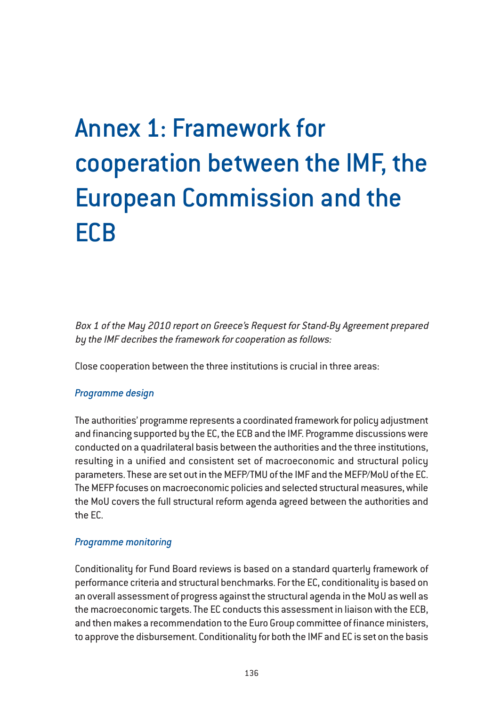# Annex 1: Framework for cooperation between the IMF, the European Commission and the **ECB**

Box 1 of the May 2010 report on Greece's Request for Stand-By Agreement prepared by the IMF decribes the framework for cooperation as follows:

Close cooperation between the three institutions is crucial in three areas:

# *Programme design*

The authorities' programme represents a coordinated framework for policy adjustment and financing supported by the EC, the ECB and the IMF. Programme discussions were conducted on a quadrilateral basis between the authorities and the three institutions, resulting in a unified and consistent set of macroeconomic and structural policy parameters. These are set out in the MEFP/TMU of the IMF and the MEFP/MoU of the EC. The MEFP focuses on macroeconomic policies and selected structural measures, while the MoU covers the full structural reform agenda agreed between the authorities and the EC.

# *Programme monitoring*

Conditionality for Fund Board reviews is based on a standard quarterly framework of performance criteria and structural benchmarks. For the EC, conditionality is based on an overall assessment of progress against the structural agenda in the MoU as well as the macroeconomic targets. The EC conducts this assessment in liaison with the ECB, and then makes a recommendation to the Euro Group committee of finance ministers, to approve the disbursement. Conditionality for both the IMF and EC is set on the basis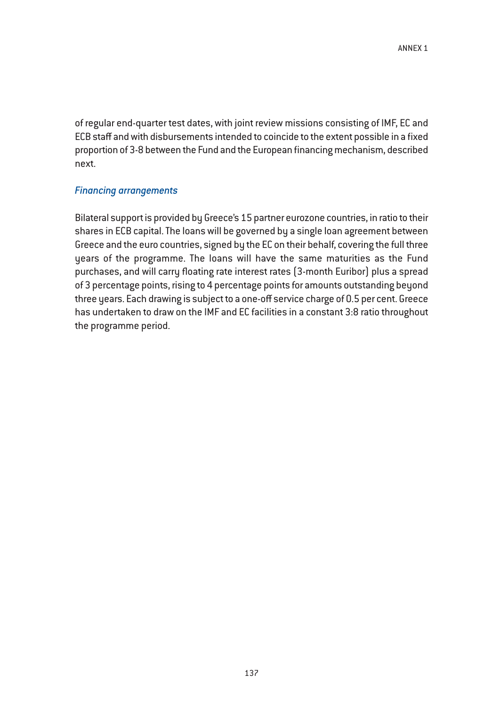of regular end-quarter test dates, with joint review missions consisting of IMF, EC and ECB staff and with disbursements intended to coincide to the extent possible in a fixed proportion of 3-8 between the Fund and the European financing mechanism, described next.

### *Financing arrangements*

Bilateral support is provided by Greece's 15 partner eurozone countries, in ratio to their shares in ECB capital. The loans will be governed by a single loan agreement between Greece and the euro countries, signed by the EC on their behalf, covering the full three years of the programme. The loans will have the same maturities as the Fund purchases, and will carry floating rate interest rates (3-month Euribor) plus a spread of 3 percentage points, rising to 4 percentage points for amounts outstanding beyond three years. Each drawing is subject to a one-off service charge of 0.5 per cent. Greece has undertaken to draw on the IMF and EC facilities in a constant 3:8 ratio throughout the programme period.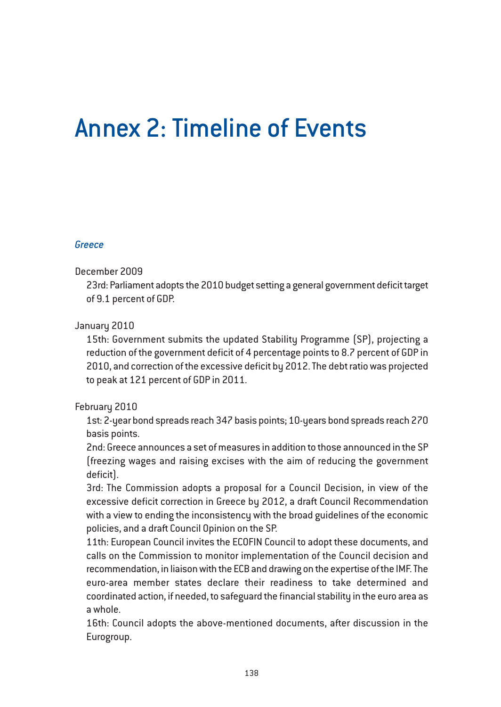# Annex 2: Timeline of Events

# *Greece*

#### December 2009

23rd: Parliament adopts the 2010 budget setting a general government deficit target of 9.1 percent of GDP.

# January 2010

15th: Government submits the updated Stability Programme (SP), projecting a reduction of the government deficit of 4 percentage points to 8.7 percent of GDP in 2010, and correction of the excessive deficit by 2012. The debt ratio was projected to peak at 121 percent of GDP in 2011.

# February 2010

1st: 2-year bond spreads reach 347 basis points; 10-years bond spreads reach 270 basis points.

2nd: Greece announces a set of measures in addition to those announced in the SP (freezing wages and raising excises with the aim of reducing the government deficit).

3rd: The Commission adopts a proposal for a Council Decision, in view of the excessive deficit correction in Greece by 2012, a draft Council Recommendation with a view to ending the inconsistency with the broad guidelines of the economic policies, and a draft Council Opinion on the SP.

11th: European Council invites the ECOFIN Council to adopt these documents, and calls on the Commission to monitor implementation of the Council decision and recommendation, in liaison with the ECB and drawing on the expertise of the IMF. The euro-area member states declare their readiness to take determined and coordinated action, if needed, to safeguard the financial stability in the euro area as a whole.

16th: Council adopts the above-mentioned documents, after discussion in the Eurogroup.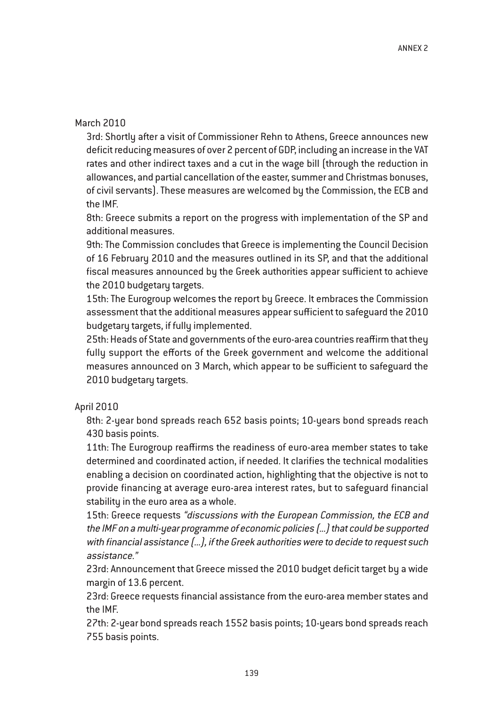## March 2010

3rd: Shortly after a visit of Commissioner Rehn to Athens, Greece announces new deficit reducing measures of over 2 percent of GDP, including an increase in the VAT rates and other indirect taxes and a cut in the wage bill (through the reduction in allowances, and partial cancellation of the easter, summer and Christmas bonuses, of civil servants). These measures are welcomed by the Commission, the ECB and the IMF.

8th: Greece submits a report on the progress with implementation of the SP and additional measures.

9th: The Commission concludes that Greece is implementing the Council Decision of 16 February 2010 and the measures outlined in its SP, and that the additional fiscal measures announced by the Greek authorities appear sufficient to achieve the 2010 budgetary targets.

15th: The Eurogroup welcomes the report by Greece. It embraces the Commission assessment that the additional measures appear sufficient to safeguard the 2010 budgetary targets, if fully implemented.

25th: Heads of State and governments of the euro-area countries reaffirm that they fully support the efforts of the Greek government and welcome the additional measures announced on 3 March, which appear to be sufficient to safeguard the 2010 budgetary targets.

#### April 2010

8th: 2-year bond spreads reach 652 basis points; 10-years bond spreads reach 430 basis points.

11th: The Eurogroup reaffirms the readiness of euro-area member states to take determined and coordinated action, if needed. It clarifies the technical modalities enabling a decision on coordinated action, highlighting that the objective is not to provide financing at average euro-area interest rates, but to safeguard financial stability in the euro area as a whole.

15th: Greece requests "discussions with the European Commission, the ECB and the IMF on <sup>a</sup> multi-year programme of economic policies (...) that could be supported with financial assistance (...), if the Greek authorities were to decide to request such assistance."

23rd: Announcement that Greece missed the 2010 budget deficit target by a wide margin of 13.6 percent.

23rd: Greece requests financial assistance from the euro-area member states and the IMF.

27th: 2-year bond spreads reach 1552 basis points; 10-years bond spreads reach 755 basis points.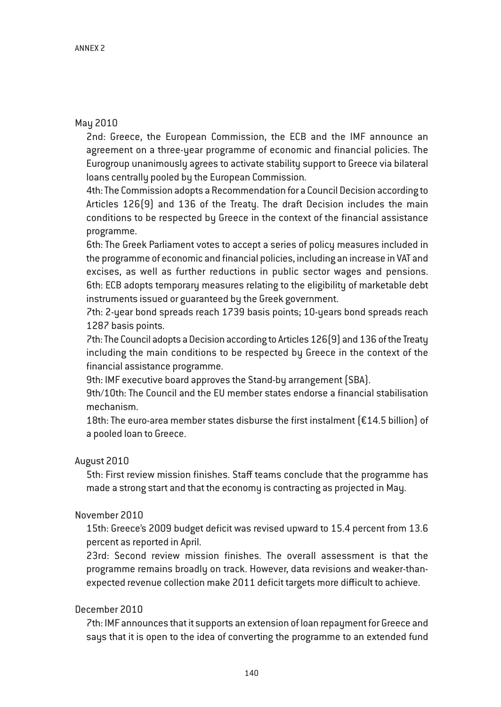# May 2010

2nd: Greece, the European Commission, the ECB and the IMF announce an agreement on a three-year programme of economic and financial policies. The Eurogroup unanimously agrees to activate stability support to Greece via bilateral loans centrally pooled by the European Commission.

4th: The Commission adopts a Recommendation for a Council Decision according to Articles 126(9) and 136 of the Treaty. The draft Decision includes the main conditions to be respected by Greece in the context of the financial assistance programme.

6th: The Greek Parliament votes to accept a series of policy measures included in the programme of economic and financial policies, including an increase in VAT and excises, as well as further reductions in public sector wages and pensions. 6th: ECB adopts temporary measures relating to the eligibility of marketable debt instruments issued or guaranteed by the Greek government.

7th: 2-year bond spreads reach 1739 basis points; 10-years bond spreads reach 1287 basis points.

7th: The Council adopts a Decision according to Articles 126(9) and 136 of the Treaty including the main conditions to be respected by Greece in the context of the financial assistance programme.

9th: IMF executive board approves the Stand-by arrangement (SBA).

9th/10th: The Council and the EU member states endorse a financial stabilisation mechanism.

18th: The euro-area member states disburse the first instalment  $[£14.5$  billion] of a pooled loan to Greece.

#### August 2010

5th: First review mission finishes. Staff teams conclude that the programme has made a strong start and that the economy is contracting as projected in May.

#### November 2010

15th: Greece's 2009 budget deficit was revised upward to 15.4 percent from 13.6 percent as reported in April.

23rd: Second review mission finishes. The overall assessment is that the programme remains broadly on track. However, data revisions and weaker-thanexpected revenue collection make 2011 deficit targets more difficult to achieve.

# December 2010

7th: IMF announces that it supports an extension of loan repayment for Greece and says that it is open to the idea of converting the programme to an extended fund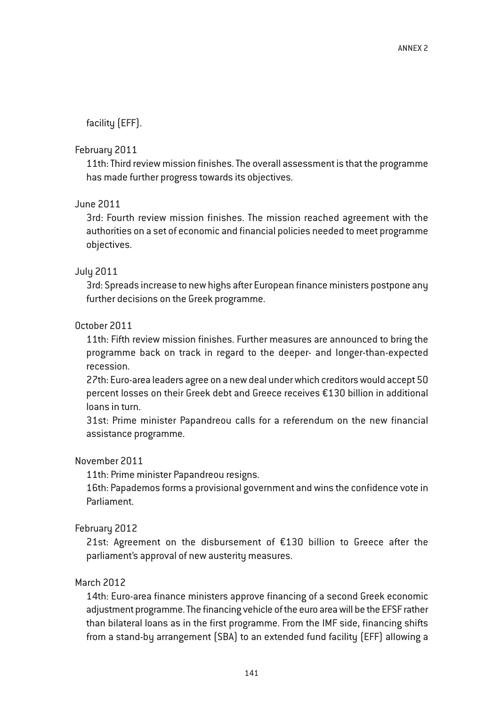facility (EFF).

## February 2011

11th: Third review mission finishes. The overall assessment is that the programme has made further progress towards its objectives.

# June 2011

3rd: Fourth review mission finishes. The mission reached agreement with the authorities on a set of economic and financial policies needed to meet programme objectives.

# July 2011

3rd: Spreads increase to new highs after European finance ministers postpone any further decisions on the Greek programme.

# October 2011

11th: Fifth review mission finishes. Further measures are announced to bring the programme back on track in regard to the deeper- and longer-than-expected recession.

27th: Euro-area leaders agree on a new deal under which creditors would accept 50 percent losses on their Greek debt and Greece receives €130 billion in additional loans in turn.

31st: Prime minister Papandreou calls for a referendum on the new financial assistance programme.

## November 2011

11th: Prime minister Papandreou resigns.

16th: Papademos forms a provisional government and wins the confidence vote in Parliament.

#### February 2012

21st: Agreement on the disbursement of €130 billion to Greece after the parliament's approval of new austerity measures.

#### March 2012

14th: Euro-area finance ministers approve financing of a second Greek economic adjustment programme. The financing vehicle of the euro area will be the EFSF rather than bilateral loans as in the first programme. From the IMF side, financing shifts from a stand-by arrangement (SBA) to an extended fund facility (EFF) allowing a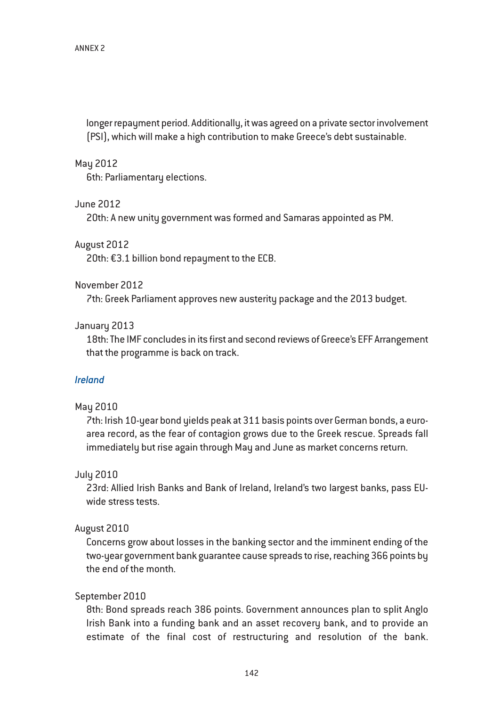longer repayment period. Additionally, it was agreed on a private sector involvement (PSI), which will make a high contribution to make Greece's debt sustainable.

#### May 2012

6th: Parliamentary elections.

#### June 2012

20th: A new unity government was formed and Samaras appointed as PM.

#### August 2012

20th: €3.1 billion bond repayment to the ECB.

#### November 2012

7th: Greek Parliament approves new austerity package and the 2013 budget.

# January 2013

18th: The IMF concludes in its first and second reviews of Greece's EFF Arrangement that the programme is back on track.

#### *Ireland*

#### May 2010

7th: Irish 10-year bond yields peak at 311 basis points over German bonds, a euroarea record, as the fear of contagion grows due to the Greek rescue. Spreads fall immediately but rise again through May and June as market concerns return.

#### July 2010

23rd: Allied Irish Banks and Bank of Ireland, Ireland's two largest banks, pass EUwide stress tests.

#### August 2010

Concerns grow about losses in the banking sector and the imminent ending of the two-year government bank guarantee cause spreads to rise, reaching 366 points by the end of the month.

#### September 2010

8th: Bond spreads reach 386 points. Government announces plan to split Anglo Irish Bank into a funding bank and an asset recovery bank, and to provide an estimate of the final cost of restructuring and resolution of the bank.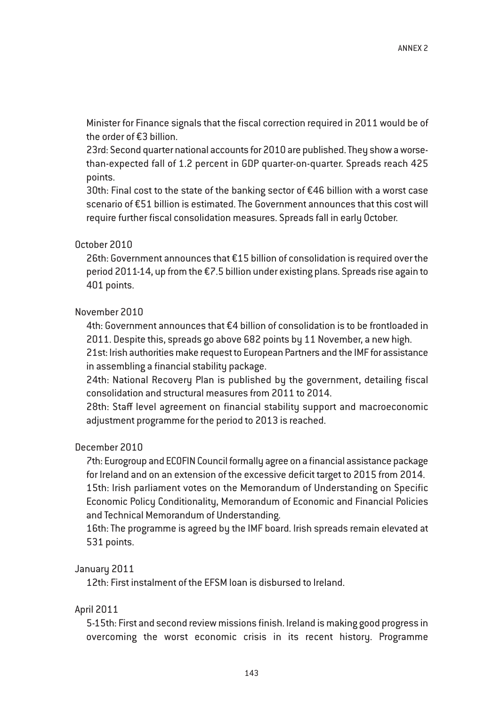Minister for Finance signals that the fiscal correction required in 2011 would be of the order of €3 billion.

23rd: Second quarter national accounts for 2010 are published. They show a worsethan-expected fall of 1.2 percent in GDP quarter-on-quarter. Spreads reach 425 points.

30th: Final cost to the state of the banking sector of  $\epsilon$ 46 billion with a worst case scenario of €51 billion is estimated. The Government announces that this cost will require further fiscal consolidation measures. Spreads fall in early October.

# October 2010

26th: Government announces that €15 billion of consolidation is required over the period 2011-14, up from the €7.5 billion under existing plans. Spreads rise again to 401 points.

# November 2010

4th: Government announces that €4 billion of consolidation is to be frontloaded in 2011. Despite this, spreads go above 682 points by 11 November, a new high.

21st: Irish authorities make request to European Partners and the IMF for assistance in assembling a financial stability package.

24th: National Recovery Plan is published by the government, detailing fiscal consolidation and structural measures from 2011 to 2014.

28th: Staff level agreement on financial stability support and macroeconomic adjustment programme for the period to 2013 is reached.

# December 2010

7th: Eurogroup and ECOFIN Council formally agree on a financial assistance package for Ireland and on an extension of the excessive deficit target to 2015 from 2014. 15th: Irish parliament votes on the Memorandum of Understanding on Specific Economic Policy Conditionality, Memorandum of Economic and Financial Policies and Technical Memorandum of Understanding.

16th: The programme is agreed by the IMF board. Irish spreads remain elevated at 531 points.

#### January 2011

12th: First instalment of the EFSM loan is disbursed to Ireland.

#### April 2011

5-15th: First and second review missions finish. Ireland is making good progress in overcoming the worst economic crisis in its recent history. Programme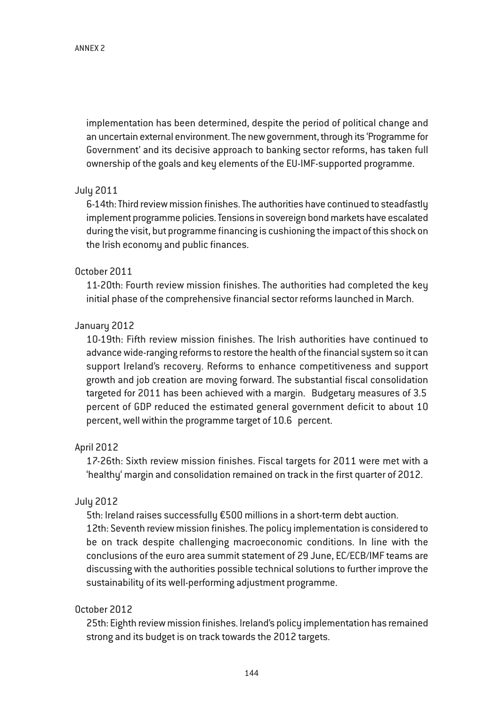implementation has been determined, despite the period of political change and an uncertain external environment. The new government, through its 'Programme for Government' and its decisive approach to banking sector reforms, has taken full ownership of the goals and key elements of the EU-IMF-supported programme.

# July 2011

6-14th: Third review mission finishes. The authorities have continued to steadfastly implement programme policies. Tensions in sovereign bond markets have escalated during the visit, but programme financing is cushioning the impact of this shock on the Irish economy and public finances.

# October 2011

11-20th: Fourth review mission finishes. The authorities had completed the key initial phase of the comprehensive financial sector reforms launched in March.

# January 2012

10-19th: Fifth review mission finishes. The Irish authorities have continued to advance wide-ranging reforms to restore the health of the financial system so it can support Ireland's recovery. Reforms to enhance competitiveness and support growth and job creation are moving forward. The substantial fiscal consolidation targeted for 2011 has been achieved with a margin. Budgetary measures of 3.5 percent of GDP reduced the estimated general government deficit to about 10 percent, well within the programme target of 10.6 percent.

# April 2012

17-26th: Sixth review mission finishes. Fiscal targets for 2011 were met with a 'healthy' margin and consolidation remained on track in the first quarter of 2012.

#### July 2012

5th: Ireland raises successfully €500 millions in a short-term debt auction. 12th: Seventh review mission finishes. The policy implementation is considered to be on track despite challenging macroeconomic conditions. In line with the conclusions of the euro area summit statement of 29 June, EC/ECB/IMF teams are discussing with the authorities possible technical solutions to further improve the sustainability of its well-performing adjustment programme.

# October 2012

25th: Eighth review mission finishes. Ireland's policy implementation has remained strong and its budget is on track towards the 2012 targets.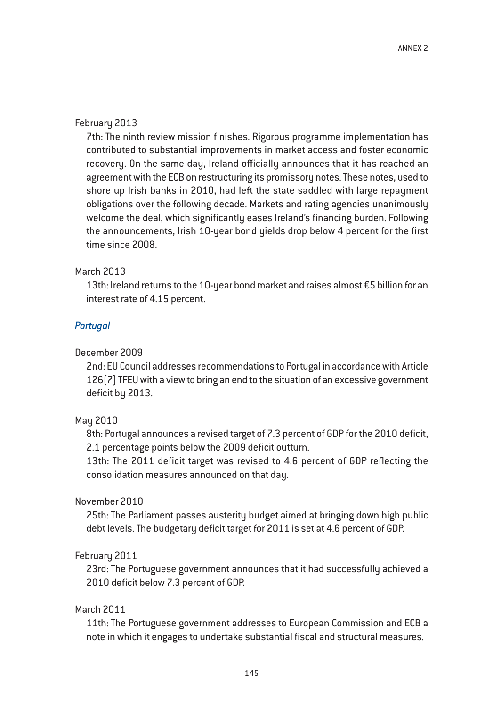## February 2013

7th: The ninth review mission finishes. Rigorous programme implementation has contributed to substantial improvements in market access and foster economic recovery. On the same day, Ireland officially announces that it has reached an agreement with the ECB on restructuring its promissory notes. These notes, used to shore up Irish banks in 2010, had left the state saddled with large repayment obligations over the following decade. Markets and rating agencies unanimously welcome the deal, which significantly eases Ireland's financing burden. Following the announcements, Irish 10-year bond yields drop below 4 percent for the first time since 2008.

# March 2013

13th: Ireland returns to the 10-year bond market and raises almost €5 billion for an interest rate of 4.15 percent.

# *Portugal*

# December 2009

2nd: EU Council addresses recommendations to Portugal in accordance with Article 126(7) TFEU with a view to bring an end to the situation of an excessive government deficit by 2013.

# May 2010

8th: Portugal announces a revised target of 7.3 percent of GDP for the 2010 deficit, 2.1 percentage points below the 2009 deficit outturn.

13th: The 2011 deficit target was revised to 4.6 percent of GDP reflecting the consolidation measures announced on that day.

# November 2010

25th: The Parliament passes austerity budget aimed at bringing down high public debt levels. The budgetary deficit target for 2011 is set at 4.6 percent of GDP.

# February 2011

23rd: The Portuguese government announces that it had successfully achieved a 2010 deficit below 7.3 percent of GDP.

# March 2011

11th: The Portuguese government addresses to European Commission and ECB a note in which it engages to undertake substantial fiscal and structural measures.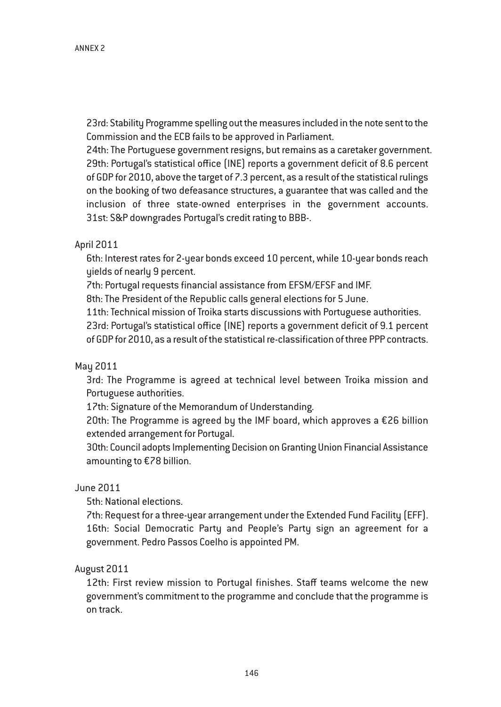23rd: Stability Programme spelling out the measures included in the note sent to the Commission and the ECB fails to be approved in Parliament.

24th: The Portuguese government resigns, but remains as a caretaker government. 29th: Portugal's statistical office (INE) reports a government deficit of 8.6 percent of GDP for 2010, above the target of 7.3 percent, as a result of the statistical rulings on the booking of two defeasance structures, a guarantee that was called and the inclusion of three state-owned enterprises in the government accounts. 31st: S&P downgrades Portugal's credit rating to BBB-.

# April 2011

6th: Interest rates for 2-year bonds exceed 10 percent, while 10-year bonds reach yields of nearly 9 percent.

7th: Portugal requests financial assistance from EFSM/EFSF and IMF.

8th: The President of the Republic calls general elections for 5 June.

11th: Technical mission of Troika starts discussions with Portuguese authorities.

23rd: Portugal's statistical office (INE) reports a government deficit of 9.1 percent of GDP for 2010, as a result of the statistical re-classification of three PPP contracts.

#### May 2011

3rd: The Programme is agreed at technical level between Troika mission and Portuguese authorities.

17th: Signature of the Memorandum of Understanding.

20th: The Programme is agreed by the IMF board, which approves a €26 billion extended arrangement for Portugal.

30th: Council adopts Implementing Decision on Granting Union Financial Assistance amounting to €78 billion.

## June 2011

5th: National elections.

7th: Request for a three-year arrangement under the Extended Fund Facility (EFF). 16th: Social Democratic Party and People's Party sign an agreement for a government. Pedro Passos Coelho is appointed PM.

August 2011

12th: First review mission to Portugal finishes. Staff teams welcome the new government's commitment to the programme and conclude that the programme is on track.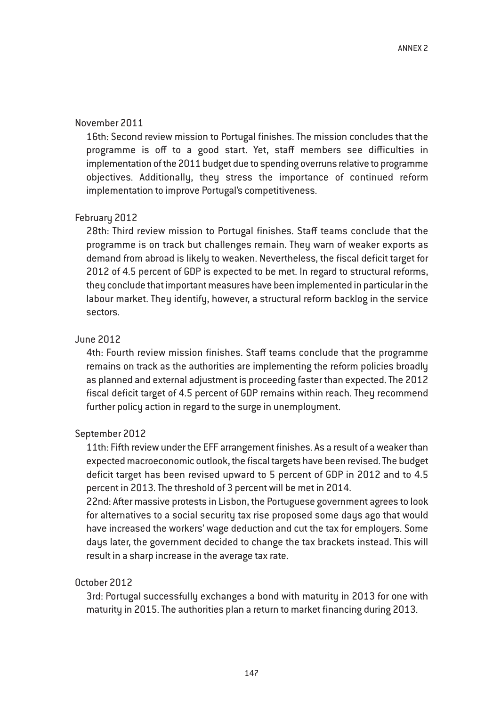## November 2011

16th: Second review mission to Portugal finishes. The mission concludes that the programme is off to a good start. Yet, staff members see difficulties in implementation of the 2011 budget due to spending overruns relative to programme objectives. Additionally, they stress the importance of continued reform implementation to improve Portugal's competitiveness.

#### February 2012

28th: Third review mission to Portugal finishes. Staff teams conclude that the programme is on track but challenges remain. They warn of weaker exports as demand from abroad is likely to weaken. Nevertheless, the fiscal deficit target for 2012 of 4.5 percent of GDP is expected to be met. In regard to structural reforms, they conclude that important measures have been implemented in particular in the labour market. They identify, however, a structural reform backlog in the service sectors.

## June 2012

4th: Fourth review mission finishes. Staff teams conclude that the programme remains on track as the authorities are implementing the reform policies broadly as planned and external adjustment is proceeding faster than expected. The 2012 fiscal deficit target of 4.5 percent of GDP remains within reach. They recommend further policy action in regard to the surge in unemployment.

#### September 2012

11th: Fifth review under the EFF arrangement finishes. As a result of a weaker than expected macroeconomic outlook, the fiscal targets have been revised. The budget deficit target has been revised upward to 5 percent of GDP in 2012 and to 4.5 percent in 2013. The threshold of 3 percent will be met in 2014.

22nd: After massive protests in Lisbon, the Portuguese government agrees to look for alternatives to a social security tax rise proposed some days ago that would have increased the workers' wage deduction and cut the tax for employers. Some days later, the government decided to change the tax brackets instead. This will result in a sharp increase in the average tax rate.

#### October 2012

3rd: Portugal successfully exchanges a bond with maturity in 2013 for one with maturity in 2015. The authorities plan a return to market financing during 2013.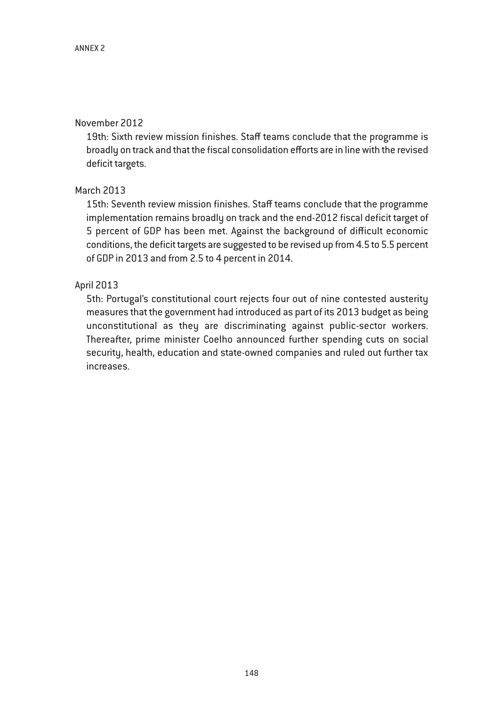# November 2012

19th: Sixth review mission finishes. Staff teams conclude that the programme is broadly on track and that the fiscal consolidation efforts are in line with the revised deficit targets.

# March 2013

15th: Seventh review mission finishes. Staff teams conclude that the programme implementation remains broadly on track and the end-2012 fiscal deficit target of 5 percent of GDP has been met. Against the background of difficult economic conditions, the deficit targets are suggested to be revised up from 4.5 to 5.5 percent of GDP in 2013 and from 2.5 to 4 percent in 2014.

# April 2013

5th: Portugal's constitutional court rejects four out of nine contested austerity measures that the government had introduced as part of its 2013 budget as being unconstitutional as they are discriminating against public-sector workers. Thereafter, prime minister Coelho announced further spending cuts on social security, health, education and state-owned companies and ruled out further tax increases.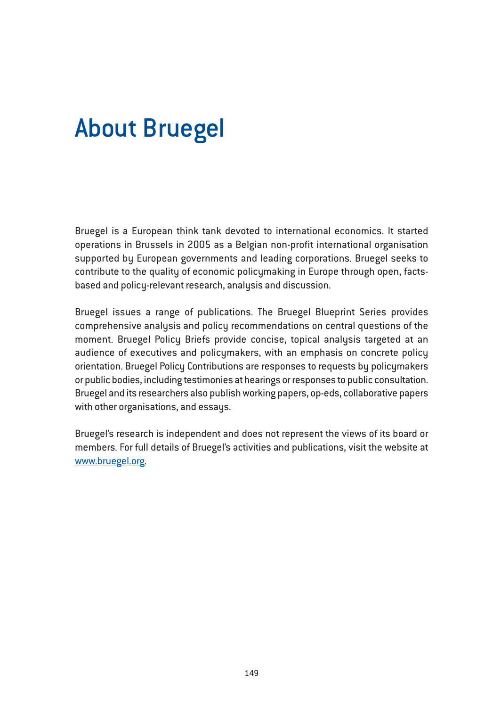# About Bruegel

Bruegel is a European think tank devoted to international economics. It started operations in Brussels in 2005 as a Belgian non-profit international organisation supported by European governments and leading corporations. Bruegel seeks to contribute to the quality of economic policymaking in Europe through open, factsbased and policy-relevant research, analysis and discussion.

Bruegel issues a range of publications. The Bruegel Blueprint Series provides comprehensive analysis and policy recommendations on central questions of the moment. Bruegel Policy Briefs provide concise, topical analysis targeted at an audience of executives and policymakers, with an emphasis on concrete policy orientation. Bruegel Policy Contributions are responses to requests by policymakers or public bodies, including testimonies at hearings or responses to public consultation. Bruegel and its researchers also publish working papers, op-eds, collaborative papers with other organisations, and essays.

Bruegel's research is independent and does not represent the views of its board or members. For full details of Bruegel's activities and publications, visit the website at www.bruegel.org.